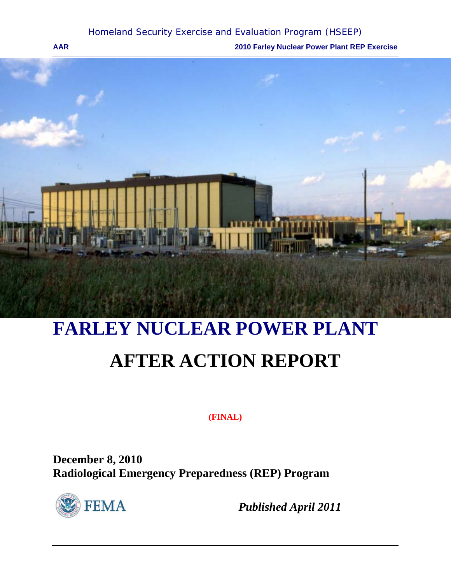### Homeland Security Exercise and Evaluation Program (HSEEP)

**AAR 2010 Farley Nuclear Power Plant REP Exercise**



# **FARLEY NUCLEAR POWER PLANT AFTER ACTION REPORT**

**(FINAL)** 

**December 8, 2010 Radiological Emergency Preparedness (REP) Program**



*Published April 2011*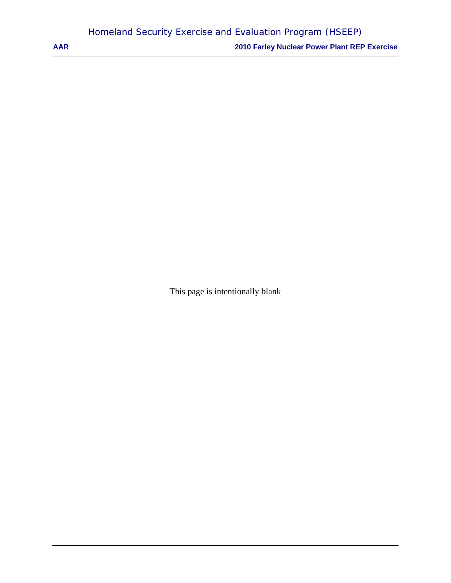This page is intentionally blank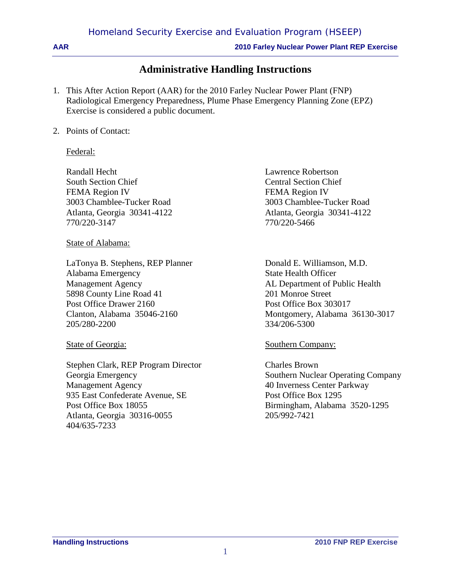<span id="page-2-0"></span>

# **Administrative Handling Instructions**

- 1. This After Action Report (AAR) for the 2010 Farley Nuclear Power Plant (FNP) Radiological Emergency Preparedness, Plume Phase Emergency Planning Zone (EPZ) Exercise is considered a public document.
- 2. Points of Contact:

Federal:

Randall Hecht **Lawrence Robertson** South Section Chief Central Section Chief FEMA Region IV FEMA Region IV 3003 Chamblee-Tucker Road 3003 Chamblee-Tucker Road Atlanta, Georgia 30341-4122 Atlanta, Georgia 30341-4122 770/220-3147 770/220-5466

State of Alabama:

LaTonya B. Stephens, REP Planner Donald E. Williamson, M.D. Alabama Emergency State Health Officer Management Agency AL Department of Public Health 5898 County Line Road 41 201 Monroe Street Post Office Drawer 2160 Post Office Box 303017 205/280-2200 334/206-5300

Stephen Clark, REP Program Director Charles Brown Management Agency 40 Inverness Center Parkway 935 East Confederate Avenue, SE Post Office Box 1295 Post Office Box 18055 Birmingham, Alabama 3520-1295 Atlanta, Georgia 30316-0055 205/992-7421 404/635-7233

Clanton, Alabama 35046-2160 Montgomery, Alabama 36130-3017

#### State of Georgia: Southern Company:

Georgia Emergency Southern Nuclear Operating Company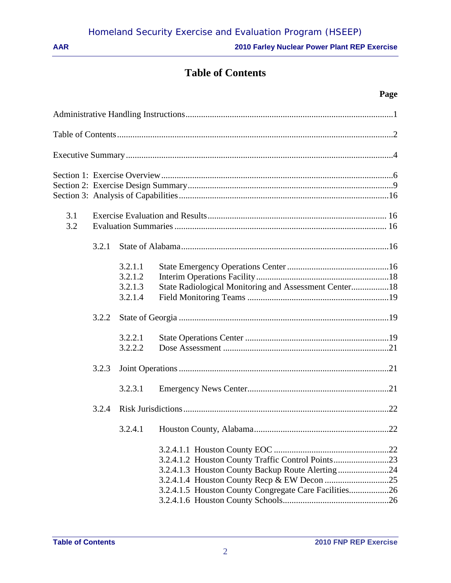# **Table of Contents**

#### **Page**

<span id="page-3-0"></span>

| 3.1<br>3.2 |       |                                          |                                                                                                                                                                |  |  |  |  |  |
|------------|-------|------------------------------------------|----------------------------------------------------------------------------------------------------------------------------------------------------------------|--|--|--|--|--|
|            | 3.2.1 |                                          |                                                                                                                                                                |  |  |  |  |  |
|            |       | 3.2.1.1<br>3.2.1.2<br>3.2.1.3<br>3.2.1.4 | State Radiological Monitoring and Assessment Center18                                                                                                          |  |  |  |  |  |
|            | 3.2.2 |                                          |                                                                                                                                                                |  |  |  |  |  |
|            |       | 3.2.2.1<br>3.2.2.2                       |                                                                                                                                                                |  |  |  |  |  |
|            | 3.2.3 |                                          |                                                                                                                                                                |  |  |  |  |  |
|            |       | 3.2.3.1                                  |                                                                                                                                                                |  |  |  |  |  |
|            | 3.2.4 |                                          |                                                                                                                                                                |  |  |  |  |  |
|            |       | 3.2.4.1                                  |                                                                                                                                                                |  |  |  |  |  |
|            |       |                                          | 3.2.4.1.2 Houston County Traffic Control Points23<br>3.2.4.1.3 Houston County Backup Route Alerting24<br>3.2.4.1.5 Houston County Congregate Care Facilities26 |  |  |  |  |  |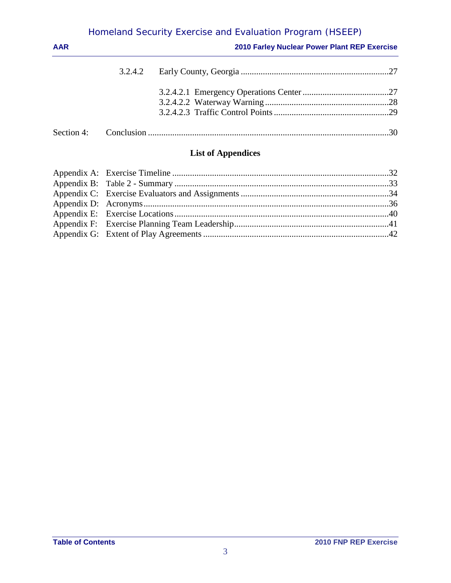# Homeland Security Exercise and Evaluation Program (HSEEP)

| <b>AAR</b> | 2010 Farley Nuclear Power Plant REP Exercise |  |  |  |  |  |
|------------|----------------------------------------------|--|--|--|--|--|
|            |                                              |  |  |  |  |  |
|            |                                              |  |  |  |  |  |
|            |                                              |  |  |  |  |  |
|            |                                              |  |  |  |  |  |
|            |                                              |  |  |  |  |  |

# **List of Appendices**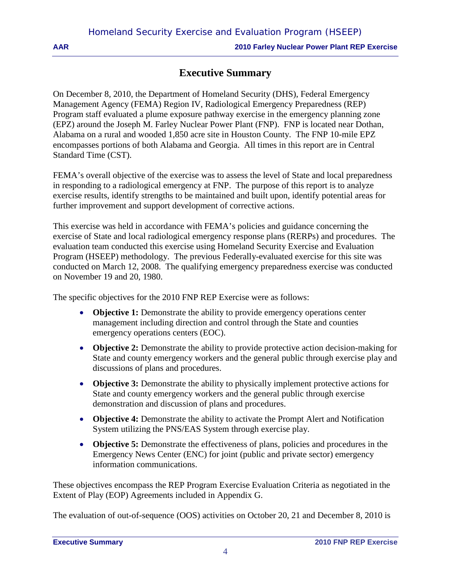# **Executive Summary**

<span id="page-5-0"></span>On December 8, 2010, the Department of Homeland Security (DHS), Federal Emergency Management Agency (FEMA) Region IV, Radiological Emergency Preparedness (REP) Program staff evaluated a plume exposure pathway exercise in the emergency planning zone (EPZ) around the Joseph M. Farley Nuclear Power Plant (FNP). FNP is located near Dothan, Alabama on a rural and wooded 1,850 acre site in Houston County. The FNP 10-mile EPZ encompasses portions of both Alabama and Georgia. All times in this report are in Central Standard Time (CST).

FEMA's overall objective of the exercise was to assess the level of State and local preparedness in responding to a radiological emergency at FNP. The purpose of this report is to analyze exercise results, identify strengths to be maintained and built upon, identify potential areas for further improvement and support development of corrective actions.

This exercise was held in accordance with FEMA's policies and guidance concerning the exercise of State and local radiological emergency response plans (RERPs) and procedures. The evaluation team conducted this exercise using Homeland Security Exercise and Evaluation Program (HSEEP) methodology. The previous Federally-evaluated exercise for this site was conducted on March 12, 2008. The qualifying emergency preparedness exercise was conducted on November 19 and 20, 1980.

The specific objectives for the 2010 FNP REP Exercise were as follows:

- **Objective 1:** Demonstrate the ability to provide emergency operations center management including direction and control through the State and counties emergency operations centers (EOC).
- **Objective 2:** Demonstrate the ability to provide protective action decision-making for State and county emergency workers and the general public through exercise play and discussions of plans and procedures.
- **Objective 3:** Demonstrate the ability to physically implement protective actions for State and county emergency workers and the general public through exercise demonstration and discussion of plans and procedures.
- **Objective 4:** Demonstrate the ability to activate the Prompt Alert and Notification System utilizing the PNS/EAS System through exercise play.
- **Objective 5:** Demonstrate the effectiveness of plans, policies and procedures in the Emergency News Center (ENC) for joint (public and private sector) emergency information communications.

These objectives encompass the REP Program Exercise Evaluation Criteria as negotiated in the Extent of Play (EOP) Agreements included in Appendix G.

The evaluation of out-of-sequence (OOS) activities on October 20, 21 and December 8, 2010 is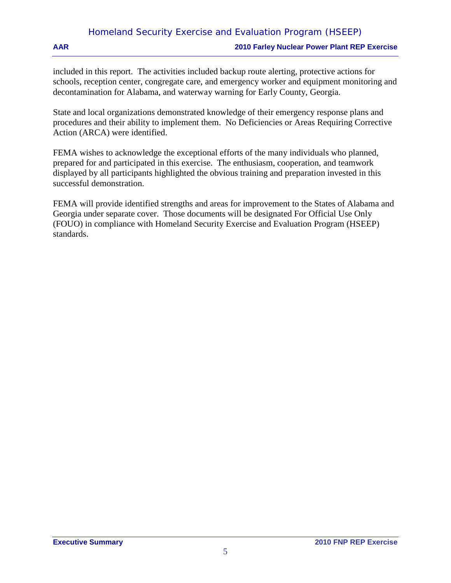included in this report. The activities included backup route alerting, protective actions for schools, reception center, congregate care, and emergency worker and equipment monitoring and decontamination for Alabama, and waterway warning for Early County, Georgia.

State and local organizations demonstrated knowledge of their emergency response plans and procedures and their ability to implement them. No Deficiencies or Areas Requiring Corrective Action (ARCA) were identified.

FEMA wishes to acknowledge the exceptional efforts of the many individuals who planned, prepared for and participated in this exercise. The enthusiasm, cooperation, and teamwork displayed by all participants highlighted the obvious training and preparation invested in this successful demonstration.

FEMA will provide identified strengths and areas for improvement to the States of Alabama and Georgia under separate cover. Those documents will be designated For Official Use Only (FOUO) in compliance with Homeland Security Exercise and Evaluation Program (HSEEP) standards.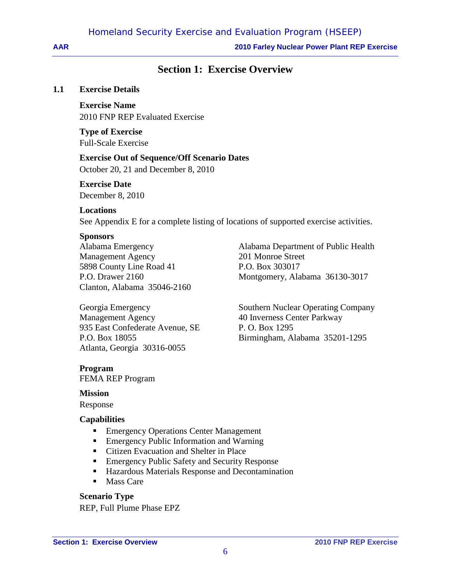# **Section 1: Exercise Overview**

#### <span id="page-7-0"></span>**1.1 Exercise Details**

**Exercise Name** 2010 FNP REP Evaluated Exercise

**Type of Exercise** Full-Scale Exercise

## **Exercise Out of Sequence/Off Scenario Dates**

October 20, 21 and December 8, 2010

**Exercise Date** December 8, 2010

#### **Locations**

See Appendix E for a complete listing of locations of supported exercise activities.

#### **Sponsors**

Management Agency 5898 County Line Road 41 P.O. Box 303017 Clanton, Alabama 35046-2160

Management Agency 40 Inverness Center Parkway 935 East Confederate Avenue, SE P. O. Box 1295 Atlanta, Georgia 30316-0055

#### **Program**

FEMA REP Program

#### **Mission**

Response

#### **Capabilities**

- **Emergency Operations Center Management**
- **Emergency Public Information and Warning**
- **EXECUTE:** Citizen Evacuation and Shelter in Place
- **Emergency Public Safety and Security Response**
- Hazardous Materials Response and Decontamination
- **Mass Care**

#### **Scenario Type**

REP, Full Plume Phase EPZ

Alabama Emergency Alabama Department of Public Health<br>
Management Agency 201 Monroe Street P.O. Drawer 2160 Montgomery, Alabama 36130-3017

Georgia Emergency Southern Nuclear Operating Company P.O. Box 18055 Birmingham, Alabama 35201-1295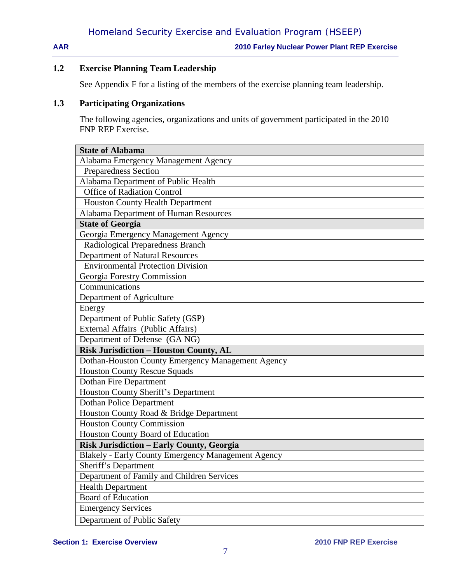#### **1.2 Exercise Planning Team Leadership**

See Appendix F for a listing of the members of the exercise planning team leadership.

#### **1.3 Participating Organizations**

The following agencies, organizations and units of government participated in the 2010 FNP REP Exercise.

| <b>State of Alabama</b>                                   |
|-----------------------------------------------------------|
| Alabama Emergency Management Agency                       |
| <b>Preparedness Section</b>                               |
| Alabama Department of Public Health                       |
| <b>Office of Radiation Control</b>                        |
| <b>Houston County Health Department</b>                   |
| Alabama Department of Human Resources                     |
| <b>State of Georgia</b>                                   |
| Georgia Emergency Management Agency                       |
| Radiological Preparedness Branch                          |
| <b>Department of Natural Resources</b>                    |
| <b>Environmental Protection Division</b>                  |
| Georgia Forestry Commission                               |
| Communications                                            |
| Department of Agriculture                                 |
| Energy                                                    |
| Department of Public Safety (GSP)                         |
| External Affairs (Public Affairs)                         |
| Department of Defense (GA NG)                             |
| <b>Risk Jurisdiction - Houston County, AL</b>             |
| Dothan-Houston County Emergency Management Agency         |
| <b>Houston County Rescue Squads</b>                       |
| <b>Dothan Fire Department</b>                             |
| <b>Houston County Sheriff's Department</b>                |
| <b>Dothan Police Department</b>                           |
| Houston County Road & Bridge Department                   |
| <b>Houston County Commission</b>                          |
| Houston County Board of Education                         |
| <b>Risk Jurisdiction - Early County, Georgia</b>          |
| <b>Blakely - Early County Emergency Management Agency</b> |
| Sheriff's Department                                      |
| Department of Family and Children Services                |
| <b>Health Department</b>                                  |
| <b>Board of Education</b>                                 |
| <b>Emergency Services</b>                                 |
| Department of Public Safety                               |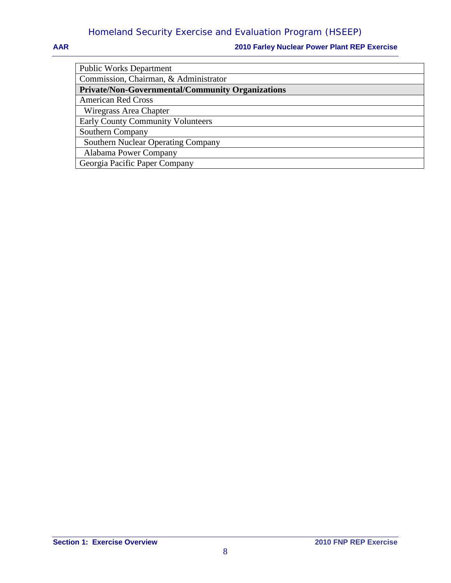| <b>Public Works Department</b>                          |  |  |  |  |  |
|---------------------------------------------------------|--|--|--|--|--|
| Commission, Chairman, & Administrator                   |  |  |  |  |  |
| <b>Private/Non-Governmental/Community Organizations</b> |  |  |  |  |  |
| <b>American Red Cross</b>                               |  |  |  |  |  |
| Wiregrass Area Chapter                                  |  |  |  |  |  |
| <b>Early County Community Volunteers</b>                |  |  |  |  |  |
| Southern Company                                        |  |  |  |  |  |
| <b>Southern Nuclear Operating Company</b>               |  |  |  |  |  |
| Alabama Power Company                                   |  |  |  |  |  |
| Georgia Pacific Paper Company                           |  |  |  |  |  |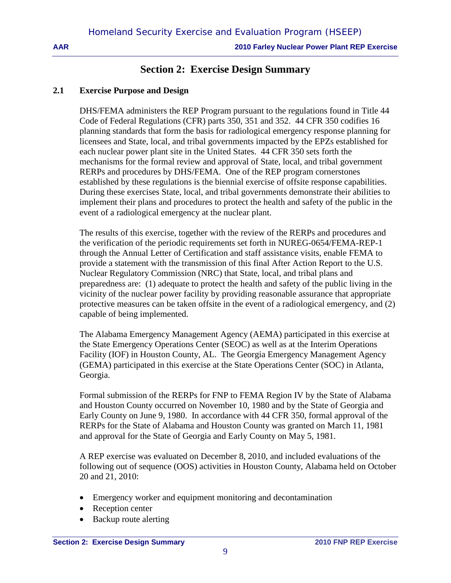# **Section 2: Exercise Design Summary**

#### <span id="page-10-0"></span>**2.1 Exercise Purpose and Design**

DHS/FEMA administers the REP Program pursuant to the regulations found in Title 44 Code of Federal Regulations (CFR) parts 350, 351 and 352. 44 CFR 350 codifies 16 planning standards that form the basis for radiological emergency response planning for licensees and State, local, and tribal governments impacted by the EPZs established for each nuclear power plant site in the United States. 44 CFR 350 sets forth the mechanisms for the formal review and approval of State, local, and tribal government RERPs and procedures by DHS/FEMA. One of the REP program cornerstones established by these regulations is the biennial exercise of offsite response capabilities. During these exercises State, local, and tribal governments demonstrate their abilities to implement their plans and procedures to protect the health and safety of the public in the event of a radiological emergency at the nuclear plant.

The results of this exercise, together with the review of the RERPs and procedures and the verification of the periodic requirements set forth in NUREG-0654/FEMA-REP-1 through the Annual Letter of Certification and staff assistance visits, enable FEMA to provide a statement with the transmission of this final After Action Report to the U.S. Nuclear Regulatory Commission (NRC) that State, local, and tribal plans and preparedness are: (1) adequate to protect the health and safety of the public living in the vicinity of the nuclear power facility by providing reasonable assurance that appropriate protective measures can be taken offsite in the event of a radiological emergency, and (2) capable of being implemented.

The Alabama Emergency Management Agency (AEMA) participated in this exercise at the State Emergency Operations Center (SEOC) as well as at the Interim Operations Facility (IOF) in Houston County, AL. The Georgia Emergency Management Agency (GEMA) participated in this exercise at the State Operations Center (SOC) in Atlanta, Georgia.

Formal submission of the RERPs for FNP to FEMA Region IV by the State of Alabama and Houston County occurred on November 10, 1980 and by the State of Georgia and Early County on June 9, 1980. In accordance with 44 CFR 350, formal approval of the RERPs for the State of Alabama and Houston County was granted on March 11, 1981 and approval for the State of Georgia and Early County on May 5, 1981.

A REP exercise was evaluated on December 8, 2010, and included evaluations of the following out of sequence (OOS) activities in Houston County, Alabama held on October 20 and 21, 2010:

- Emergency worker and equipment monitoring and decontamination
- Reception center
- Backup route alerting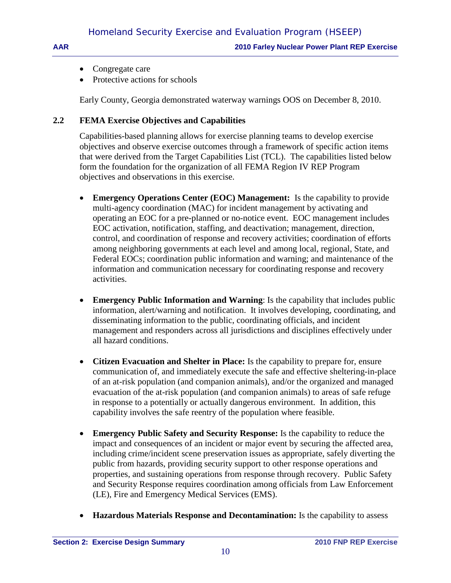- **AAR 2010 Farley Nuclear Power Plant REP Exercise**
	- Congregate care
	- Protective actions for schools

Early County, Georgia demonstrated waterway warnings OOS on December 8, 2010.

#### **2.2 FEMA Exercise Objectives and Capabilities**

Capabilities-based planning allows for exercise planning teams to develop exercise objectives and observe exercise outcomes through a framework of specific action items that were derived from the Target Capabilities List (TCL). The capabilities listed below form the foundation for the organization of all FEMA Region IV REP Program objectives and observations in this exercise.

- **Emergency Operations Center (EOC) Management:** Is the capability to provide multi-agency coordination (MAC) for incident management by activating and operating an EOC for a pre-planned or no-notice event. EOC management includes EOC activation, notification, staffing, and deactivation; management, direction, control, and coordination of response and recovery activities; coordination of efforts among neighboring governments at each level and among local, regional, State, and Federal EOCs; coordination public information and warning; and maintenance of the information and communication necessary for coordinating response and recovery activities.
- **Emergency Public Information and Warning**: Is the capability that includes public information, alert/warning and notification. It involves developing, coordinating, and disseminating information to the public, coordinating officials, and incident management and responders across all jurisdictions and disciplines effectively under all hazard conditions.
- **Citizen Evacuation and Shelter in Place:** Is the capability to prepare for, ensure communication of, and immediately execute the safe and effective sheltering-in-place of an at-risk population (and companion animals), and/or the organized and managed evacuation of the at-risk population (and companion animals) to areas of safe refuge in response to a potentially or actually dangerous environment. In addition, this capability involves the safe reentry of the population where feasible.
- **Emergency Public Safety and Security Response:** Is the capability to reduce the impact and consequences of an incident or major event by securing the affected area, including crime/incident scene preservation issues as appropriate, safely diverting the public from hazards, providing security support to other response operations and properties, and sustaining operations from response through recovery. Public Safety and Security Response requires coordination among officials from Law Enforcement (LE), Fire and Emergency Medical Services (EMS).
- **Hazardous Materials Response and Decontamination:** Is the capability to assess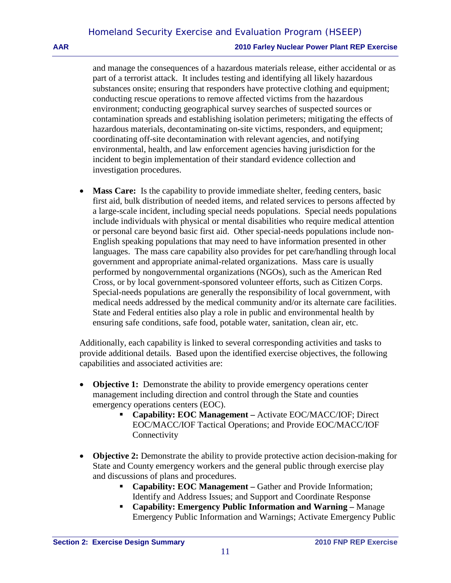and manage the consequences of a hazardous materials release, either accidental or as part of a terrorist attack. It includes testing and identifying all likely hazardous substances onsite; ensuring that responders have protective clothing and equipment; conducting rescue operations to remove affected victims from the hazardous environment; conducting geographical survey searches of suspected sources or contamination spreads and establishing isolation perimeters; mitigating the effects of hazardous materials, decontaminating on-site victims, responders, and equipment; coordinating off-site decontamination with relevant agencies, and notifying environmental, health, and law enforcement agencies having jurisdiction for the incident to begin implementation of their standard evidence collection and investigation procedures.

• Mass Care: Is the capability to provide immediate shelter, feeding centers, basic first aid, bulk distribution of needed items, and related services to persons affected by a large-scale incident, including special needs populations. Special needs populations include individuals with physical or mental disabilities who require medical attention or personal care beyond basic first aid. Other special-needs populations include non-English speaking populations that may need to have information presented in other languages. The mass care capability also provides for pet care/handling through local government and appropriate animal-related organizations. Mass care is usually performed by nongovernmental organizations (NGOs), such as the American Red Cross, or by local government-sponsored volunteer efforts, such as Citizen Corps. Special-needs populations are generally the responsibility of local government, with medical needs addressed by the medical community and/or its alternate care facilities. State and Federal entities also play a role in public and environmental health by ensuring safe conditions, safe food, potable water, sanitation, clean air, etc.

Additionally, each capability is linked to several corresponding activities and tasks to provide additional details. Based upon the identified exercise objectives, the following capabilities and associated activities are:

- **Objective 1:** Demonstrate the ability to provide emergency operations center management including direction and control through the State and counties emergency operations centers (EOC).
	- **Capability: EOC Management** Activate EOC/MACC/IOF; Direct EOC/MACC/IOF Tactical Operations; and Provide EOC/MACC/IOF **Connectivity**
- **Objective 2:** Demonstrate the ability to provide protective action decision-making for State and County emergency workers and the general public through exercise play and discussions of plans and procedures.
	- **Capability: EOC Management** Gather and Provide Information; Identify and Address Issues; and Support and Coordinate Response
	- **Capability: Emergency Public Information and Warning** Manage Emergency Public Information and Warnings; Activate Emergency Public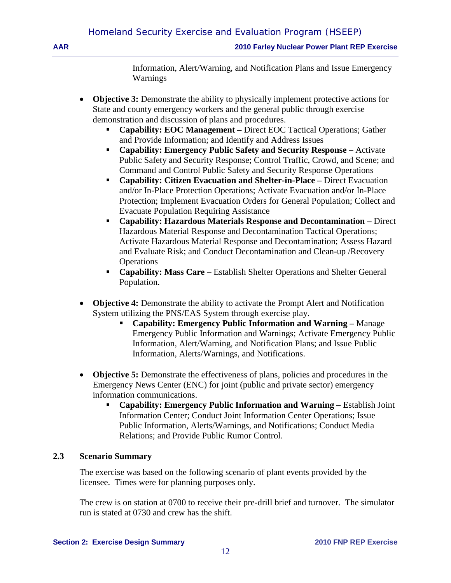Information, Alert/Warning, and Notification Plans and Issue Emergency Warnings

- **Objective 3:** Demonstrate the ability to physically implement protective actions for State and county emergency workers and the general public through exercise demonstration and discussion of plans and procedures.
	- **Capability: EOC Management** Direct EOC Tactical Operations; Gather and Provide Information; and Identify and Address Issues
	- **Capability: Emergency Public Safety and Security Response** Activate Public Safety and Security Response; Control Traffic, Crowd, and Scene; and Command and Control Public Safety and Security Response Operations
	- **Capability: Citizen Evacuation and Shelter-in-Place Direct Evacuation** and/or In-Place Protection Operations; Activate Evacuation and/or In-Place Protection; Implement Evacuation Orders for General Population; Collect and Evacuate Population Requiring Assistance
	- **Capability: Hazardous Materials Response and Decontamination** Direct Hazardous Material Response and Decontamination Tactical Operations; Activate Hazardous Material Response and Decontamination; Assess Hazard and Evaluate Risk; and Conduct Decontamination and Clean-up /Recovery **Operations**
	- **Capability: Mass Care** Establish Shelter Operations and Shelter General Population.
- **Objective 4:** Demonstrate the ability to activate the Prompt Alert and Notification System utilizing the PNS/EAS System through exercise play.
	- **Capability: Emergency Public Information and Warning** Manage Emergency Public Information and Warnings; Activate Emergency Public Information, Alert/Warning, and Notification Plans; and Issue Public Information, Alerts/Warnings, and Notifications.
- **Objective 5:** Demonstrate the effectiveness of plans, policies and procedures in the Emergency News Center (ENC) for joint (public and private sector) emergency information communications.
	- **Capability: Emergency Public Information and Warning Establish Joint** Information Center; Conduct Joint Information Center Operations; Issue Public Information, Alerts/Warnings, and Notifications; Conduct Media Relations; and Provide Public Rumor Control.

#### **2.3 Scenario Summary**

The exercise was based on the following scenario of plant events provided by the licensee. Times were for planning purposes only.

The crew is on station at 0700 to receive their pre-drill brief and turnover. The simulator run is stated at 0730 and crew has the shift.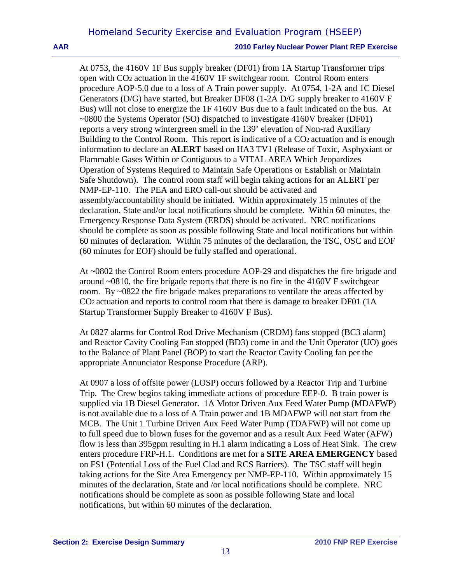At 0753, the 4160V 1F Bus supply breaker (DF01) from 1A Startup Transformer trips open with CO2 actuation in the 4160V 1F switchgear room. Control Room enters procedure AOP-5.0 due to a loss of A Train power supply. At 0754, 1-2A and 1C Diesel Generators (D/G) have started, but Breaker DF08 (1-2A D/G supply breaker to 4160V F Bus) will not close to energize the 1F 4160V Bus due to a fault indicated on the bus. At ~0800 the Systems Operator (SO) dispatched to investigate 4160V breaker (DF01) reports a very strong wintergreen smell in the 139' elevation of Non-rad Auxiliary Building to the Control Room. This report is indicative of a  $CO<sub>2</sub>$  actuation and is enough information to declare an **ALERT** based on HA3 TV1 (Release of Toxic, Asphyxiant or Flammable Gases Within or Contiguous to a VITAL AREA Which Jeopardizes Operation of Systems Required to Maintain Safe Operations or Establish or Maintain Safe Shutdown). The control room staff will begin taking actions for an ALERT per NMP-EP-110. The PEA and ERO call-out should be activated and assembly/accountability should be initiated. Within approximately 15 minutes of the declaration, State and/or local notifications should be complete. Within 60 minutes, the Emergency Response Data System (ERDS) should be activated. NRC notifications should be complete as soon as possible following State and local notifications but within 60 minutes of declaration. Within 75 minutes of the declaration, the TSC, OSC and EOF (60 minutes for EOF) should be fully staffed and operational.

At ~0802 the Control Room enters procedure AOP-29 and dispatches the fire brigade and around ~0810, the fire brigade reports that there is no fire in the 4160V F switchgear room. By ~0822 the fire brigade makes preparations to ventilate the areas affected by CO2 actuation and reports to control room that there is damage to breaker DF01 (1A Startup Transformer Supply Breaker to 4160V F Bus).

At 0827 alarms for Control Rod Drive Mechanism (CRDM) fans stopped (BC3 alarm) and Reactor Cavity Cooling Fan stopped (BD3) come in and the Unit Operator (UO) goes to the Balance of Plant Panel (BOP) to start the Reactor Cavity Cooling fan per the appropriate Annunciator Response Procedure (ARP).

At 0907 a loss of offsite power (LOSP) occurs followed by a Reactor Trip and Turbine Trip. The Crew begins taking immediate actions of procedure EEP-0. B train power is supplied via 1B Diesel Generator. 1A Motor Driven Aux Feed Water Pump (MDAFWP) is not available due to a loss of A Train power and 1B MDAFWP will not start from the MCB. The Unit 1 Turbine Driven Aux Feed Water Pump (TDAFWP) will not come up to full speed due to blown fuses for the governor and as a result Aux Feed Water (AFW) flow is less than 395gpm resulting in H.1 alarm indicating a Loss of Heat Sink. The crew enters procedure FRP-H.1. Conditions are met for a **SITE AREA EMERGENCY** based on FS1 (Potential Loss of the Fuel Clad and RCS Barriers). The TSC staff will begin taking actions for the Site Area Emergency per NMP-EP-110. Within approximately 15 minutes of the declaration, State and /or local notifications should be complete. NRC notifications should be complete as soon as possible following State and local notifications, but within 60 minutes of the declaration.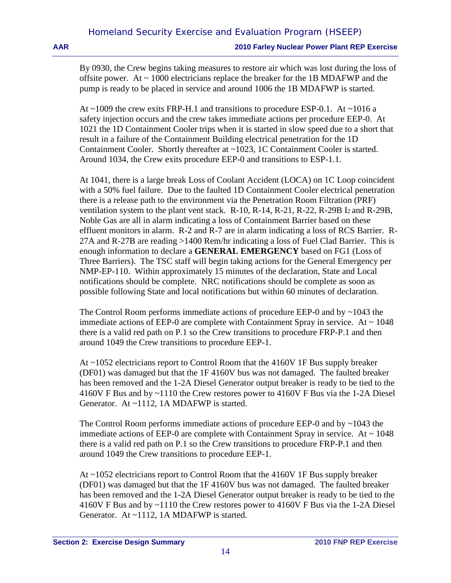By 0930, the Crew begins taking measures to restore air which was lost during the loss of offsite power. At  $\sim$  1000 electricians replace the breaker for the 1B MDAFWP and the pump is ready to be placed in service and around 1006 the 1B MDAFWP is started.

At ~1009 the crew exits FRP-H.1 and transitions to procedure ESP-0.1. At ~1016 a safety injection occurs and the crew takes immediate actions per procedure EEP-0. At 1021 the 1D Containment Cooler trips when it is started in slow speed due to a short that result in a failure of the Containment Building electrical penetration for the 1D Containment Cooler. Shortly thereafter at ~1023, 1C Containment Cooler is started. Around 1034, the Crew exits procedure EEP-0 and transitions to ESP-1.1.

At 1041, there is a large break Loss of Coolant Accident (LOCA) on 1C Loop coincident with a 50% fuel failure. Due to the faulted 1D Containment Cooler electrical penetration there is a release path to the environment via the Penetration Room Filtration (PRF) ventilation system to the plant vent stack. R-10, R-14, R-21, R-22, R-29B I2 and R-29B, Noble Gas are all in alarm indicating a loss of Containment Barrier based on these effluent monitors in alarm. R-2 and R-7 are in alarm indicating a loss of RCS Barrier. R-27A and R-27B are reading >1400 Rem/hr indicating a loss of Fuel Clad Barrier. This is enough information to declare a **GENERAL EMERGENCY** based on FG1 (Loss of Three Barriers). The TSC staff will begin taking actions for the General Emergency per NMP-EP-110. Within approximately 15 minutes of the declaration, State and Local notifications should be complete. NRC notifications should be complete as soon as possible following State and local notifications but within 60 minutes of declaration.

The Control Room performs immediate actions of procedure EEP-0 and by ~1043 the immediate actions of EEP-0 are complete with Containment Spray in service. At  $\sim 1048$ there is a valid red path on P.1 so the Crew transitions to procedure FRP-P.1 and then around 1049 the Crew transitions to procedure EEP-1.

At ~1052 electricians report to Control Room that the 4160V 1F Bus supply breaker (DF01) was damaged but that the 1F 4160V bus was not damaged. The faulted breaker has been removed and the 1-2A Diesel Generator output breaker is ready to be tied to the 4160V F Bus and by ~1110 the Crew restores power to 4160V F Bus via the 1-2A Diesel Generator. At ~1112, 1A MDAFWP is started.

The Control Room performs immediate actions of procedure EEP-0 and by  $\sim$ 1043 the immediate actions of EEP-0 are complete with Containment Spray in service. At  $\sim 1048$ there is a valid red path on P.1 so the Crew transitions to procedure FRP-P.1 and then around 1049 the Crew transitions to procedure EEP-1.

At ~1052 electricians report to Control Room that the 4160V 1F Bus supply breaker (DF01) was damaged but that the 1F 4160V bus was not damaged. The faulted breaker has been removed and the 1-2A Diesel Generator output breaker is ready to be tied to the 4160V F Bus and by ~1110 the Crew restores power to 4160V F Bus via the 1-2A Diesel Generator. At ~1112, 1A MDAFWP is started.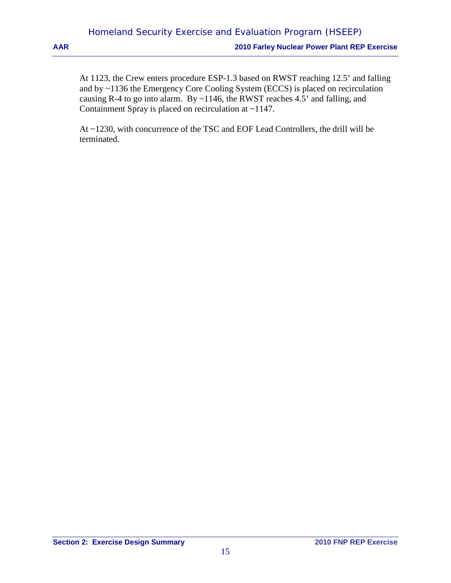At 1123, the Crew enters procedure ESP-1.3 based on RWST reaching 12.5' and falling and by ~1136 the Emergency Core Cooling System (ECCS) is placed on recirculation causing R-4 to go into alarm. By  $\sim$ 1146, the RWST reaches 4.5' and falling, and Containment Spray is placed on recirculation at ~1147.

At ~1230, with concurrence of the TSC and EOF Lead Controllers, the drill will be terminated.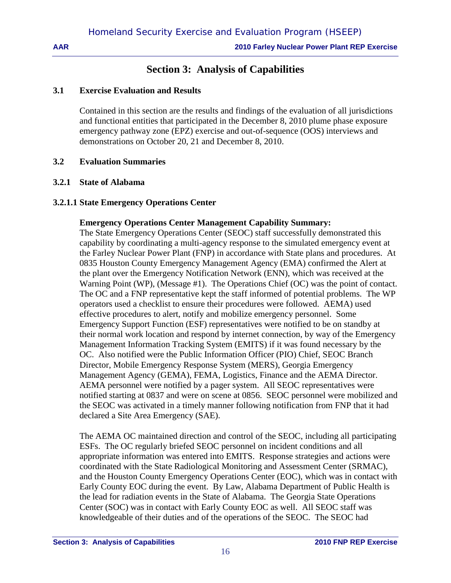# **Section 3: Analysis of Capabilities**

#### <span id="page-17-1"></span><span id="page-17-0"></span>**3.1 Exercise Evaluation and Results**

Contained in this section are the results and findings of the evaluation of all jurisdictions and functional entities that participated in the December 8, 2010 plume phase exposure emergency pathway zone (EPZ) exercise and out-of-sequence (OOS) interviews and demonstrations on October 20, 21 and December 8, 2010.

#### <span id="page-17-2"></span>**3.2 Evaluation Summaries**

#### <span id="page-17-3"></span>**3.2.1 State of Alabama**

#### <span id="page-17-4"></span>**3.2.1.1 State Emergency Operations Center**

#### **Emergency Operations Center Management Capability Summary:**

The State Emergency Operations Center (SEOC) staff successfully demonstrated this capability by coordinating a multi-agency response to the simulated emergency event at the Farley Nuclear Power Plant (FNP) in accordance with State plans and procedures. At 0835 Houston County Emergency Management Agency (EMA) confirmed the Alert at the plant over the Emergency Notification Network (ENN), which was received at the Warning Point (WP), (Message #1). The Operations Chief (OC) was the point of contact. The OC and a FNP representative kept the staff informed of potential problems. The WP operators used a checklist to ensure their procedures were followed. AEMA) used effective procedures to alert, notify and mobilize emergency personnel. Some Emergency Support Function (ESF) representatives were notified to be on standby at their normal work location and respond by internet connection, by way of the Emergency Management Information Tracking System (EMITS) if it was found necessary by the OC. Also notified were the Public Information Officer (PIO) Chief, SEOC Branch Director, Mobile Emergency Response System (MERS), Georgia Emergency Management Agency (GEMA), FEMA, Logistics, Finance and the AEMA Director. AEMA personnel were notified by a pager system. All SEOC representatives were notified starting at 0837 and were on scene at 0856. SEOC personnel were mobilized and the SEOC was activated in a timely manner following notification from FNP that it had declared a Site Area Emergency (SAE).

The AEMA OC maintained direction and control of the SEOC, including all participating ESFs. The OC regularly briefed SEOC personnel on incident conditions and all appropriate information was entered into EMITS. Response strategies and actions were coordinated with the State Radiological Monitoring and Assessment Center (SRMAC), and the Houston County Emergency Operations Center (EOC), which was in contact with Early County EOC during the event. By Law, Alabama Department of Public Health is the lead for radiation events in the State of Alabama. The Georgia State Operations Center (SOC) was in contact with Early County EOC as well. All SEOC staff was knowledgeable of their duties and of the operations of the SEOC. The SEOC had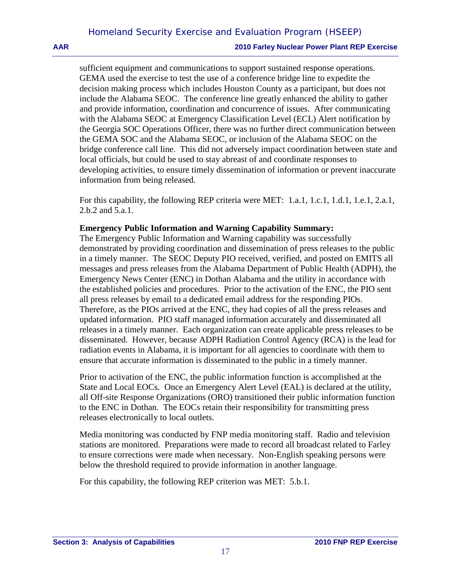sufficient equipment and communications to support sustained response operations. GEMA used the exercise to test the use of a conference bridge line to expedite the decision making process which includes Houston County as a participant, but does not include the Alabama SEOC. The conference line greatly enhanced the ability to gather and provide information, coordination and concurrence of issues. After communicating with the Alabama SEOC at Emergency Classification Level (ECL) Alert notification by the Georgia SOC Operations Officer, there was no further direct communication between the GEMA SOC and the Alabama SEOC, or inclusion of the Alabama SEOC on the bridge conference call line. This did not adversely impact coordination between state and local officials, but could be used to stay abreast of and coordinate responses to developing activities, to ensure timely dissemination of information or prevent inaccurate information from being released.

For this capability, the following REP criteria were MET: 1.a.1, 1.c.1, 1.d.1, 1.e.1, 2.a.1, 2.b.2 and 5.a.1.

#### **Emergency Public Information and Warning Capability Summary:**

The Emergency Public Information and Warning capability was successfully demonstrated by providing coordination and dissemination of press releases to the public in a timely manner. The SEOC Deputy PIO received, verified, and posted on EMITS all messages and press releases from the Alabama Department of Public Health (ADPH), the Emergency News Center (ENC) in Dothan Alabama and the utility in accordance with the established policies and procedures. Prior to the activation of the ENC, the PIO sent all press releases by email to a dedicated email address for the responding PIOs. Therefore, as the PIOs arrived at the ENC, they had copies of all the press releases and updated information. PIO staff managed information accurately and disseminated all releases in a timely manner. Each organization can create applicable press releases to be disseminated. However, because ADPH Radiation Control Agency (RCA) is the lead for radiation events in Alabama, it is important for all agencies to coordinate with them to ensure that accurate information is disseminated to the public in a timely manner.

Prior to activation of the ENC, the public information function is accomplished at the State and Local EOCs. Once an Emergency Alert Level (EAL) is declared at the utility, all Off-site Response Organizations (ORO) transitioned their public information function to the ENC in Dothan. The EOCs retain their responsibility for transmitting press releases electronically to local outlets.

Media monitoring was conducted by FNP media monitoring staff. Radio and television stations are monitored. Preparations were made to record all broadcast related to Farley to ensure corrections were made when necessary. Non-English speaking persons were below the threshold required to provide information in another language.

For this capability, the following REP criterion was MET: 5.b.1.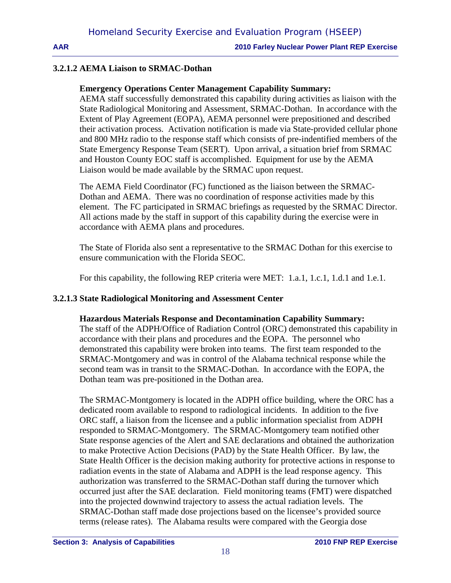#### <span id="page-19-0"></span>**3.2.1.2 AEMA Liaison to SRMAC-Dothan**

#### **Emergency Operations Center Management Capability Summary:**

AEMA staff successfully demonstrated this capability during activities as liaison with the State Radiological Monitoring and Assessment, SRMAC-Dothan. In accordance with the Extent of Play Agreement (EOPA), AEMA personnel were prepositioned and described their activation process. Activation notification is made via State-provided cellular phone and 800 MHz radio to the response staff which consists of pre-indentified members of the State Emergency Response Team (SERT). Upon arrival, a situation brief from SRMAC and Houston County EOC staff is accomplished. Equipment for use by the AEMA Liaison would be made available by the SRMAC upon request.

The AEMA Field Coordinator (FC) functioned as the liaison between the SRMAC-Dothan and AEMA. There was no coordination of response activities made by this element. The FC participated in SRMAC briefings as requested by the SRMAC Director. All actions made by the staff in support of this capability during the exercise were in accordance with AEMA plans and procedures.

The State of Florida also sent a representative to the SRMAC Dothan for this exercise to ensure communication with the Florida SEOC.

For this capability, the following REP criteria were MET: 1.a.1, 1.c.1, 1.d.1 and 1.e.1.

#### <span id="page-19-1"></span>**3.2.1.3 State Radiological Monitoring and Assessment Center**

#### **Hazardous Materials Response and Decontamination Capability Summary:**

The staff of the ADPH/Office of Radiation Control (ORC) demonstrated this capability in accordance with their plans and procedures and the EOPA. The personnel who demonstrated this capability were broken into teams. The first team responded to the SRMAC-Montgomery and was in control of the Alabama technical response while the second team was in transit to the SRMAC-Dothan. In accordance with the EOPA, the Dothan team was pre-positioned in the Dothan area.

The SRMAC-Montgomery is located in the ADPH office building, where the ORC has a dedicated room available to respond to radiological incidents. In addition to the five ORC staff, a liaison from the licensee and a public information specialist from ADPH responded to SRMAC-Montgomery. The SRMAC-Montgomery team notified other State response agencies of the Alert and SAE declarations and obtained the authorization to make Protective Action Decisions (PAD) by the State Health Officer. By law, the State Health Officer is the decision making authority for protective actions in response to radiation events in the state of Alabama and ADPH is the lead response agency. This authorization was transferred to the SRMAC-Dothan staff during the turnover which occurred just after the SAE declaration. Field monitoring teams (FMT) were dispatched into the projected downwind trajectory to assess the actual radiation levels. The SRMAC-Dothan staff made dose projections based on the licensee's provided source terms (release rates). The Alabama results were compared with the Georgia dose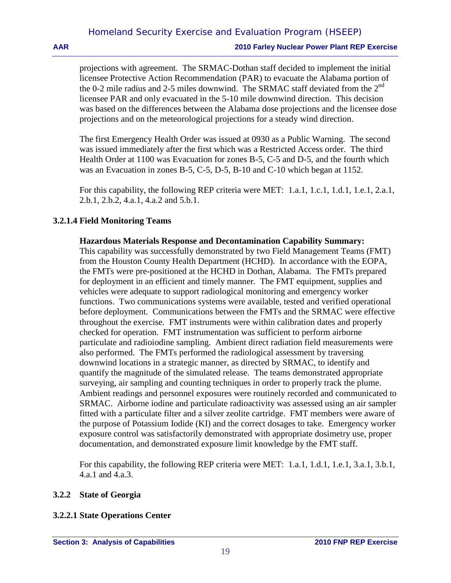#### Homeland Security Exercise and Evaluation Program (HSEEP)

#### **AAR 2010 Farley Nuclear Power Plant REP Exercise**

projections with agreement. The SRMAC-Dothan staff decided to implement the initial licensee Protective Action Recommendation (PAR) to evacuate the Alabama portion of the 0-2 mile radius and 2-5 miles downwind. The SRMAC staff deviated from the  $2^{nd}$ licensee PAR and only evacuated in the 5-10 mile downwind direction. This decision was based on the differences between the Alabama dose projections and the licensee dose projections and on the meteorological projections for a steady wind direction.

The first Emergency Health Order was issued at 0930 as a Public Warning. The second was issued immediately after the first which was a Restricted Access order. The third Health Order at 1100 was Evacuation for zones B-5, C-5 and D-5, and the fourth which was an Evacuation in zones B-5, C-5, D-5, B-10 and C-10 which began at 1152.

For this capability, the following REP criteria were MET: 1.a.1, 1.c.1, 1.d.1, 1.e.1, 2.a.1, 2.b.1, 2.b.2, 4.a.1, 4.a.2 and 5.b.1.

#### <span id="page-20-0"></span>**3.2.1.4 Field Monitoring Teams**

#### **Hazardous Materials Response and Decontamination Capability Summary:**

This capability was successfully demonstrated by two Field Management Teams (FMT) from the Houston County Health Department (HCHD). In accordance with the EOPA, the FMTs were pre-positioned at the HCHD in Dothan, Alabama. The FMTs prepared for deployment in an efficient and timely manner. The FMT equipment, supplies and vehicles were adequate to support radiological monitoring and emergency worker functions. Two communications systems were available, tested and verified operational before deployment. Communications between the FMTs and the SRMAC were effective throughout the exercise. FMT instruments were within calibration dates and properly checked for operation. FMT instrumentation was sufficient to perform airborne particulate and radioiodine sampling. Ambient direct radiation field measurements were also performed. The FMTs performed the radiological assessment by traversing downwind locations in a strategic manner, as directed by SRMAC, to identify and quantify the magnitude of the simulated release. The teams demonstrated appropriate surveying, air sampling and counting techniques in order to properly track the plume. Ambient readings and personnel exposures were routinely recorded and communicated to SRMAC. Airborne iodine and particulate radioactivity was assessed using an air sampler fitted with a particulate filter and a silver zeolite cartridge. FMT members were aware of the purpose of Potassium Iodide (KI) and the correct dosages to take. Emergency worker exposure control was satisfactorily demonstrated with appropriate dosimetry use, proper documentation, and demonstrated exposure limit knowledge by the FMT staff.

For this capability, the following REP criteria were MET: 1.a.1, 1.d.1, 1.e.1, 3.a.1, 3.b.1, 4.a.1 and 4.a.3.

#### <span id="page-20-1"></span>**3.2.2 State of Georgia**

#### <span id="page-20-2"></span>**3.2.2.1 State Operations Center**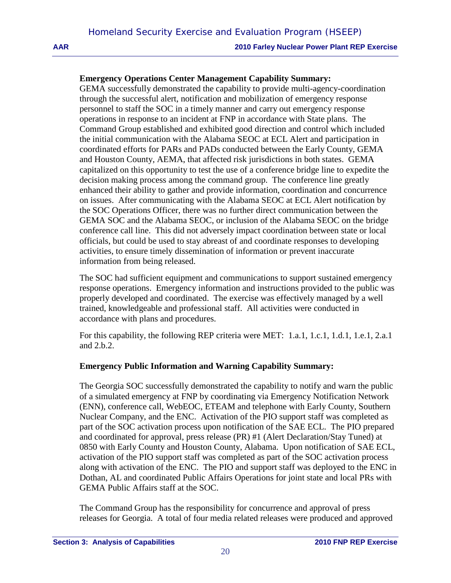#### **Emergency Operations Center Management Capability Summary:**

GEMA successfully demonstrated the capability to provide multi-agency-coordination through the successful alert, notification and mobilization of emergency response personnel to staff the SOC in a timely manner and carry out emergency response operations in response to an incident at FNP in accordance with State plans. The Command Group established and exhibited good direction and control which included the initial communication with the Alabama SEOC at ECL Alert and participation in coordinated efforts for PARs and PADs conducted between the Early County, GEMA and Houston County, AEMA, that affected risk jurisdictions in both states. GEMA capitalized on this opportunity to test the use of a conference bridge line to expedite the decision making process among the command group. The conference line greatly enhanced their ability to gather and provide information, coordination and concurrence on issues. After communicating with the Alabama SEOC at ECL Alert notification by the SOC Operations Officer, there was no further direct communication between the GEMA SOC and the Alabama SEOC, or inclusion of the Alabama SEOC on the bridge conference call line. This did not adversely impact coordination between state or local officials, but could be used to stay abreast of and coordinate responses to developing activities, to ensure timely dissemination of information or prevent inaccurate information from being released.

The SOC had sufficient equipment and communications to support sustained emergency response operations. Emergency information and instructions provided to the public was properly developed and coordinated. The exercise was effectively managed by a well trained, knowledgeable and professional staff. All activities were conducted in accordance with plans and procedures.

For this capability, the following REP criteria were MET: 1.a.1, 1.c.1, 1.d.1, 1.e.1, 2.a.1 and 2.b.2.

#### **Emergency Public Information and Warning Capability Summary:**

The Georgia SOC successfully demonstrated the capability to notify and warn the public of a simulated emergency at FNP by coordinating via Emergency Notification Network (ENN), conference call, WebEOC, ETEAM and telephone with Early County, Southern Nuclear Company, and the ENC. Activation of the PIO support staff was completed as part of the SOC activation process upon notification of the SAE ECL. The PIO prepared and coordinated for approval, press release (PR) #1 (Alert Declaration/Stay Tuned) at 0850 with Early County and Houston County, Alabama. Upon notification of SAE ECL, activation of the PIO support staff was completed as part of the SOC activation process along with activation of the ENC. The PIO and support staff was deployed to the ENC in Dothan, AL and coordinated Public Affairs Operations for joint state and local PRs with GEMA Public Affairs staff at the SOC.

The Command Group has the responsibility for concurrence and approval of press releases for Georgia. A total of four media related releases were produced and approved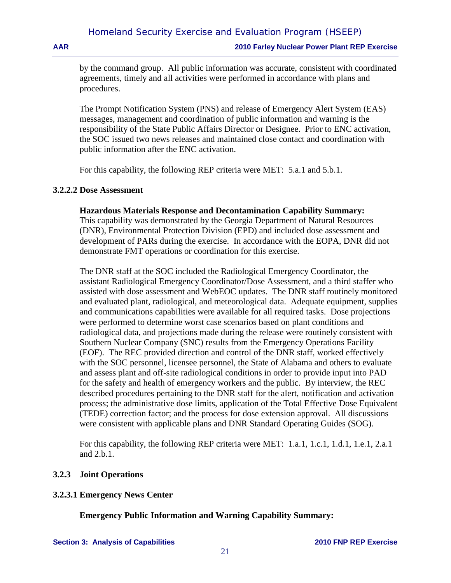### Homeland Security Exercise and Evaluation Program (HSEEP)

**AAR 2010 Farley Nuclear Power Plant REP Exercise**

by the command group. All public information was accurate, consistent with coordinated agreements, timely and all activities were performed in accordance with plans and procedures.

The Prompt Notification System (PNS) and release of Emergency Alert System (EAS) messages, management and coordination of public information and warning is the responsibility of the State Public Affairs Director or Designee. Prior to ENC activation, the SOC issued two news releases and maintained close contact and coordination with public information after the ENC activation.

For this capability, the following REP criteria were MET: 5.a.1 and 5.b.1.

#### <span id="page-22-0"></span>**3.2.2.2 Dose Assessment**

#### **Hazardous Materials Response and Decontamination Capability Summary:**

This capability was demonstrated by the Georgia Department of Natural Resources (DNR), Environmental Protection Division (EPD) and included dose assessment and development of PARs during the exercise. In accordance with the EOPA, DNR did not demonstrate FMT operations or coordination for this exercise.

The DNR staff at the SOC included the Radiological Emergency Coordinator, the assistant Radiological Emergency Coordinator/Dose Assessment, and a third staffer who assisted with dose assessment and WebEOC updates. The DNR staff routinely monitored and evaluated plant, radiological, and meteorological data. Adequate equipment, supplies and communications capabilities were available for all required tasks. Dose projections were performed to determine worst case scenarios based on plant conditions and radiological data, and projections made during the release were routinely consistent with Southern Nuclear Company (SNC) results from the Emergency Operations Facility (EOF). The REC provided direction and control of the DNR staff, worked effectively with the SOC personnel, licensee personnel, the State of Alabama and others to evaluate and assess plant and off-site radiological conditions in order to provide input into PAD for the safety and health of emergency workers and the public. By interview, the REC described procedures pertaining to the DNR staff for the alert, notification and activation process; the administrative dose limits, application of the Total Effective Dose Equivalent (TEDE) correction factor; and the process for dose extension approval. All discussions were consistent with applicable plans and DNR Standard Operating Guides (SOG).

For this capability, the following REP criteria were MET: 1.a.1, 1.c.1, 1.d.1, 1.e.1, 2.a.1 and 2.b.1.

#### <span id="page-22-1"></span>**3.2.3 Joint Operations**

#### <span id="page-22-2"></span>**3.2.3.1 Emergency News Center**

**Emergency Public Information and Warning Capability Summary:**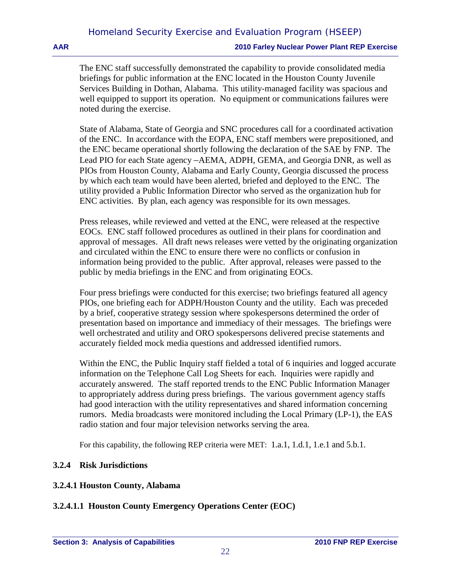The ENC staff successfully demonstrated the capability to provide consolidated media briefings for public information at the ENC located in the Houston County Juvenile Services Building in Dothan, Alabama. This utility-managed facility was spacious and well equipped to support its operation. No equipment or communications failures were noted during the exercise.

State of Alabama, State of Georgia and SNC procedures call for a coordinated activation of the ENC. In accordance with the EOPA, ENC staff members were prepositioned, and the ENC became operational shortly following the declaration of the SAE by FNP. The Lead PIO for each State agency –AEMA, ADPH, GEMA, and Georgia DNR, as well as PIOs from Houston County, Alabama and Early County, Georgia discussed the process by which each team would have been alerted, briefed and deployed to the ENC. The utility provided a Public Information Director who served as the organization hub for ENC activities. By plan, each agency was responsible for its own messages.

Press releases, while reviewed and vetted at the ENC, were released at the respective EOCs. ENC staff followed procedures as outlined in their plans for coordination and approval of messages. All draft news releases were vetted by the originating organization and circulated within the ENC to ensure there were no conflicts or confusion in information being provided to the public. After approval, releases were passed to the public by media briefings in the ENC and from originating EOCs.

Four press briefings were conducted for this exercise; two briefings featured all agency PIOs, one briefing each for ADPH/Houston County and the utility. Each was preceded by a brief, cooperative strategy session where spokespersons determined the order of presentation based on importance and immediacy of their messages. The briefings were well orchestrated and utility and ORO spokespersons delivered precise statements and accurately fielded mock media questions and addressed identified rumors.

Within the ENC, the Public Inquiry staff fielded a total of 6 inquiries and logged accurate information on the Telephone Call Log Sheets for each. Inquiries were rapidly and accurately answered. The staff reported trends to the ENC Public Information Manager to appropriately address during press briefings. The various government agency staffs had good interaction with the utility representatives and shared information concerning rumors. Media broadcasts were monitored including the Local Primary (LP-1), the EAS radio station and four major television networks serving the area.

For this capability, the following REP criteria were MET: 1.a.1, 1.d.1, 1.e.1 and 5.b.1.

#### <span id="page-23-0"></span>**3.2.4 Risk Jurisdictions**

#### <span id="page-23-1"></span>**3.2.4.1 Houston County, Alabama**

#### <span id="page-23-2"></span>**3.2.4.1.1 Houston County Emergency Operations Center (EOC)**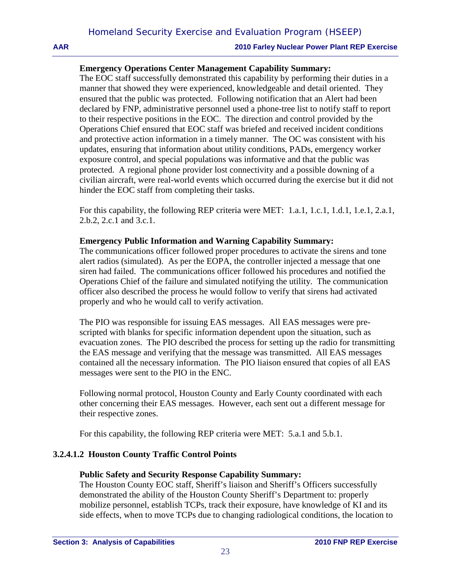#### **Emergency Operations Center Management Capability Summary:**

The EOC staff successfully demonstrated this capability by performing their duties in a manner that showed they were experienced, knowledgeable and detail oriented. They ensured that the public was protected. Following notification that an Alert had been declared by FNP, administrative personnel used a phone-tree list to notify staff to report to their respective positions in the EOC. The direction and control provided by the Operations Chief ensured that EOC staff was briefed and received incident conditions and protective action information in a timely manner. The OC was consistent with his updates, ensuring that information about utility conditions, PADs, emergency worker exposure control, and special populations was informative and that the public was protected. A regional phone provider lost connectivity and a possible downing of a civilian aircraft, were real-world events which occurred during the exercise but it did not hinder the EOC staff from completing their tasks.

For this capability, the following REP criteria were MET: 1.a.1, 1.c.1, 1.d.1, 1.e.1, 2.a.1, 2.b.2, 2.c.1 and 3.c.1.

#### **Emergency Public Information and Warning Capability Summary:**

The communications officer followed proper procedures to activate the sirens and tone alert radios (simulated). As per the EOPA, the controller injected a message that one siren had failed. The communications officer followed his procedures and notified the Operations Chief of the failure and simulated notifying the utility. The communication officer also described the process he would follow to verify that sirens had activated properly and who he would call to verify activation.

The PIO was responsible for issuing EAS messages. All EAS messages were prescripted with blanks for specific information dependent upon the situation, such as evacuation zones. The PIO described the process for setting up the radio for transmitting the EAS message and verifying that the message was transmitted. All EAS messages contained all the necessary information. The PIO liaison ensured that copies of all EAS messages were sent to the PIO in the ENC.

Following normal protocol, Houston County and Early County coordinated with each other concerning their EAS messages. However, each sent out a different message for their respective zones.

For this capability, the following REP criteria were MET: 5.a.1 and 5.b.1.

#### <span id="page-24-0"></span>**3.2.4.1.2 Houston County Traffic Control Points**

#### **Public Safety and Security Response Capability Summary:**

The Houston County EOC staff, Sheriff's liaison and Sheriff's Officers successfully demonstrated the ability of the Houston County Sheriff's Department to: properly mobilize personnel, establish TCPs, track their exposure, have knowledge of KI and its side effects, when to move TCPs due to changing radiological conditions, the location to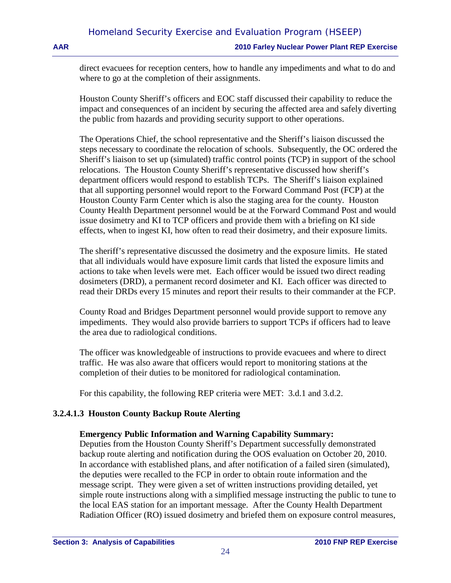direct evacuees for reception centers, how to handle any impediments and what to do and where to go at the completion of their assignments.

Houston County Sheriff's officers and EOC staff discussed their capability to reduce the impact and consequences of an incident by securing the affected area and safely diverting the public from hazards and providing security support to other operations.

The Operations Chief, the school representative and the Sheriff's liaison discussed the steps necessary to coordinate the relocation of schools. Subsequently, the OC ordered the Sheriff's liaison to set up (simulated) traffic control points (TCP) in support of the school relocations. The Houston County Sheriff's representative discussed how sheriff's department officers would respond to establish TCPs. The Sheriff's liaison explained that all supporting personnel would report to the Forward Command Post (FCP) at the Houston County Farm Center which is also the staging area for the county. Houston County Health Department personnel would be at the Forward Command Post and would issue dosimetry and KI to TCP officers and provide them with a briefing on KI side effects, when to ingest KI, how often to read their dosimetry, and their exposure limits.

The sheriff's representative discussed the dosimetry and the exposure limits. He stated that all individuals would have exposure limit cards that listed the exposure limits and actions to take when levels were met. Each officer would be issued two direct reading dosimeters (DRD), a permanent record dosimeter and KI. Each officer was directed to read their DRDs every 15 minutes and report their results to their commander at the FCP.

County Road and Bridges Department personnel would provide support to remove any impediments. They would also provide barriers to support TCPs if officers had to leave the area due to radiological conditions.

The officer was knowledgeable of instructions to provide evacuees and where to direct traffic. He was also aware that officers would report to monitoring stations at the completion of their duties to be monitored for radiological contamination.

For this capability, the following REP criteria were MET: 3.d.1 and 3.d.2.

#### <span id="page-25-0"></span>**3.2.4.1.3 Houston County Backup Route Alerting**

#### **Emergency Public Information and Warning Capability Summary:**

Deputies from the Houston County Sheriff's Department successfully demonstrated backup route alerting and notification during the OOS evaluation on October 20, 2010. In accordance with established plans, and after notification of a failed siren (simulated), the deputies were recalled to the FCP in order to obtain route information and the message script. They were given a set of written instructions providing detailed, yet simple route instructions along with a simplified message instructing the public to tune to the local EAS station for an important message. After the County Health Department Radiation Officer (RO) issued dosimetry and briefed them on exposure control measures,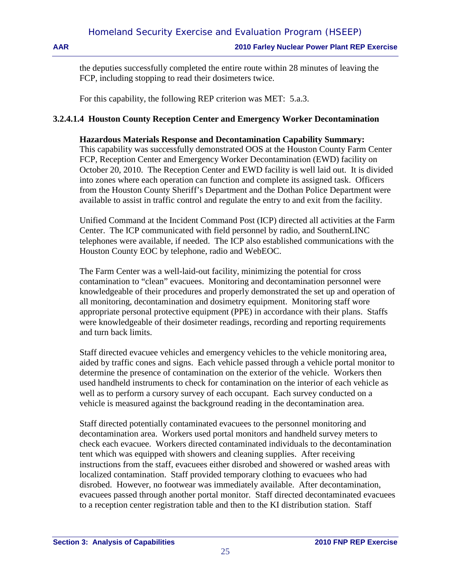the deputies successfully completed the entire route within 28 minutes of leaving the FCP, including stopping to read their dosimeters twice.

For this capability, the following REP criterion was MET: 5.a.3.

#### <span id="page-26-0"></span>**3.2.4.1.4 Houston County Reception Center and Emergency Worker Decontamination**

#### **Hazardous Materials Response and Decontamination Capability Summary:**  This capability was successfully demonstrated OOS at the Houston County Farm Center FCP, Reception Center and Emergency Worker Decontamination (EWD) facility on October 20, 2010. The Reception Center and EWD facility is well laid out. It is divided into zones where each operation can function and complete its assigned task. Officers from the Houston County Sheriff's Department and the Dothan Police Department were available to assist in traffic control and regulate the entry to and exit from the facility.

Unified Command at the Incident Command Post (ICP) directed all activities at the Farm Center. The ICP communicated with field personnel by radio, and SouthernLINC telephones were available, if needed. The ICP also established communications with the Houston County EOC by telephone, radio and WebEOC.

The Farm Center was a well-laid-out facility, minimizing the potential for cross contamination to "clean" evacuees. Monitoring and decontamination personnel were knowledgeable of their procedures and properly demonstrated the set up and operation of all monitoring, decontamination and dosimetry equipment. Monitoring staff wore appropriate personal protective equipment (PPE) in accordance with their plans. Staffs were knowledgeable of their dosimeter readings, recording and reporting requirements and turn back limits.

Staff directed evacuee vehicles and emergency vehicles to the vehicle monitoring area, aided by traffic cones and signs. Each vehicle passed through a vehicle portal monitor to determine the presence of contamination on the exterior of the vehicle. Workers then used handheld instruments to check for contamination on the interior of each vehicle as well as to perform a cursory survey of each occupant. Each survey conducted on a vehicle is measured against the background reading in the decontamination area.

Staff directed potentially contaminated evacuees to the personnel monitoring and decontamination area. Workers used portal monitors and handheld survey meters to check each evacuee. Workers directed contaminated individuals to the decontamination tent which was equipped with showers and cleaning supplies. After receiving instructions from the staff, evacuees either disrobed and showered or washed areas with localized contamination. Staff provided temporary clothing to evacuees who had disrobed. However, no footwear was immediately available. After decontamination, evacuees passed through another portal monitor. Staff directed decontaminated evacuees to a reception center registration table and then to the KI distribution station. Staff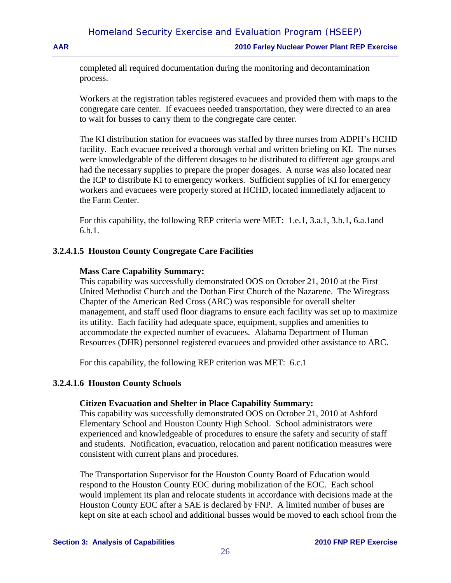completed all required documentation during the monitoring and decontamination process.

Workers at the registration tables registered evacuees and provided them with maps to the congregate care center. If evacuees needed transportation, they were directed to an area to wait for busses to carry them to the congregate care center.

The KI distribution station for evacuees was staffed by three nurses from ADPH's HCHD facility. Each evacuee received a thorough verbal and written briefing on KI. The nurses were knowledgeable of the different dosages to be distributed to different age groups and had the necessary supplies to prepare the proper dosages. A nurse was also located near the ICP to distribute KI to emergency workers. Sufficient supplies of KI for emergency workers and evacuees were properly stored at HCHD, located immediately adjacent to the Farm Center.

For this capability, the following REP criteria were MET: 1.e.1, 3.a.1, 3.b.1, 6.a.1and 6.b.1.

#### <span id="page-27-0"></span>**3.2.4.1.5 Houston County Congregate Care Facilities**

#### **Mass Care Capability Summary:**

This capability was successfully demonstrated OOS on October 21, 2010 at the First United Methodist Church and the Dothan First Church of the Nazarene. The Wiregrass Chapter of the American Red Cross (ARC) was responsible for overall shelter management, and staff used floor diagrams to ensure each facility was set up to maximize its utility. Each facility had adequate space, equipment, supplies and amenities to accommodate the expected number of evacuees. Alabama Department of Human Resources (DHR) personnel registered evacuees and provided other assistance to ARC.

For this capability, the following REP criterion was MET: 6.c.1

#### <span id="page-27-1"></span>**3.2.4.1.6 Houston County Schools**

#### **Citizen Evacuation and Shelter in Place Capability Summary:**

This capability was successfully demonstrated OOS on October 21, 2010 at Ashford Elementary School and Houston County High School. School administrators were experienced and knowledgeable of procedures to ensure the safety and security of staff and students. Notification, evacuation, relocation and parent notification measures were consistent with current plans and procedures.

The Transportation Supervisor for the Houston County Board of Education would respond to the Houston County EOC during mobilization of the EOC. Each school would implement its plan and relocate students in accordance with decisions made at the Houston County EOC after a SAE is declared by FNP. A limited number of buses are kept on site at each school and additional busses would be moved to each school from the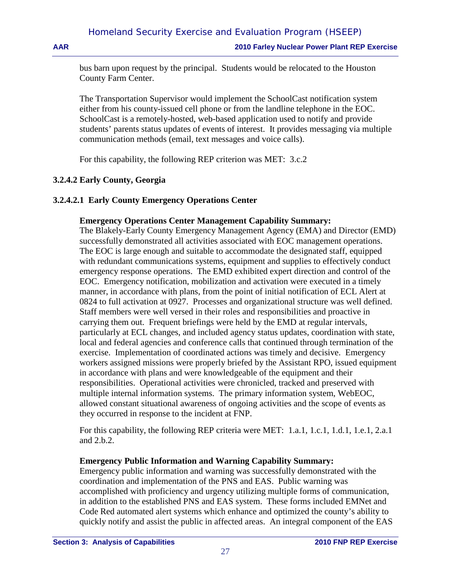bus barn upon request by the principal. Students would be relocated to the Houston County Farm Center.

The Transportation Supervisor would implement the SchoolCast notification system either from his county-issued cell phone or from the landline telephone in the EOC. SchoolCast is a remotely-hosted, web-based application used to notify and provide students' parents status updates of events of interest. It provides messaging via multiple communication methods (email, text messages and voice calls).

For this capability, the following REP criterion was MET: 3.c.2

#### <span id="page-28-0"></span>**3.2.4.2 Early County, Georgia**

#### <span id="page-28-1"></span>**3.2.4.2.1 Early County Emergency Operations Center**

#### **Emergency Operations Center Management Capability Summary:**

The Blakely-Early County Emergency Management Agency (EMA) and Director (EMD) successfully demonstrated all activities associated with EOC management operations. The EOC is large enough and suitable to accommodate the designated staff, equipped with redundant communications systems, equipment and supplies to effectively conduct emergency response operations. The EMD exhibited expert direction and control of the EOC. Emergency notification, mobilization and activation were executed in a timely manner, in accordance with plans, from the point of initial notification of ECL Alert at 0824 to full activation at 0927. Processes and organizational structure was well defined. Staff members were well versed in their roles and responsibilities and proactive in carrying them out. Frequent briefings were held by the EMD at regular intervals, particularly at ECL changes, and included agency status updates, coordination with state, local and federal agencies and conference calls that continued through termination of the exercise. Implementation of coordinated actions was timely and decisive. Emergency workers assigned missions were properly briefed by the Assistant RPO, issued equipment in accordance with plans and were knowledgeable of the equipment and their responsibilities. Operational activities were chronicled, tracked and preserved with multiple internal information systems. The primary information system, WebEOC, allowed constant situational awareness of ongoing activities and the scope of events as they occurred in response to the incident at FNP.

For this capability, the following REP criteria were MET: 1.a.1, 1.c.1, 1.d.1, 1.e.1, 2.a.1 and 2.b.2.

#### **Emergency Public Information and Warning Capability Summary:**

Emergency public information and warning was successfully demonstrated with the coordination and implementation of the PNS and EAS. Public warning was accomplished with proficiency and urgency utilizing multiple forms of communication, in addition to the established PNS and EAS system. These forms included EMNet and Code Red automated alert systems which enhance and optimized the county's ability to quickly notify and assist the public in affected areas. An integral component of the EAS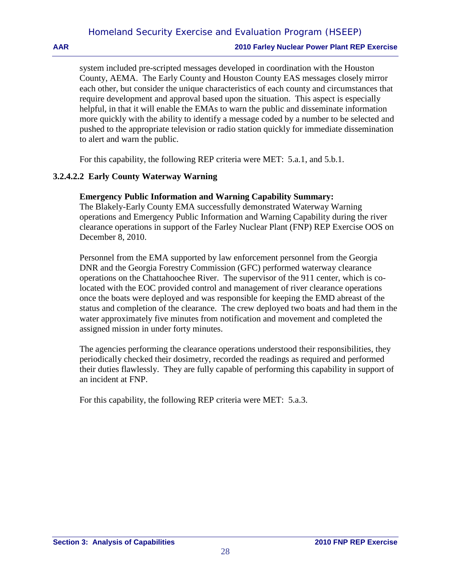system included pre-scripted messages developed in coordination with the Houston County, AEMA. The Early County and Houston County EAS messages closely mirror each other, but consider the unique characteristics of each county and circumstances that require development and approval based upon the situation. This aspect is especially helpful, in that it will enable the EMAs to warn the public and disseminate information more quickly with the ability to identify a message coded by a number to be selected and pushed to the appropriate television or radio station quickly for immediate dissemination to alert and warn the public.

For this capability, the following REP criteria were MET: 5.a.1, and 5.b.1.

#### <span id="page-29-0"></span>**3.2.4.2.2 Early County Waterway Warning**

#### **Emergency Public Information and Warning Capability Summary:**

The Blakely-Early County EMA successfully demonstrated Waterway Warning operations and Emergency Public Information and Warning Capability during the river clearance operations in support of the Farley Nuclear Plant (FNP) REP Exercise OOS on December 8, 2010.

Personnel from the EMA supported by law enforcement personnel from the Georgia DNR and the Georgia Forestry Commission (GFC) performed waterway clearance operations on the Chattahoochee River. The supervisor of the 911 center, which is colocated with the EOC provided control and management of river clearance operations once the boats were deployed and was responsible for keeping the EMD abreast of the status and completion of the clearance. The crew deployed two boats and had them in the water approximately five minutes from notification and movement and completed the assigned mission in under forty minutes.

The agencies performing the clearance operations understood their responsibilities, they periodically checked their dosimetry, recorded the readings as required and performed their duties flawlessly. They are fully capable of performing this capability in support of an incident at FNP.

<span id="page-29-1"></span>For this capability, the following REP criteria were MET: 5.a.3.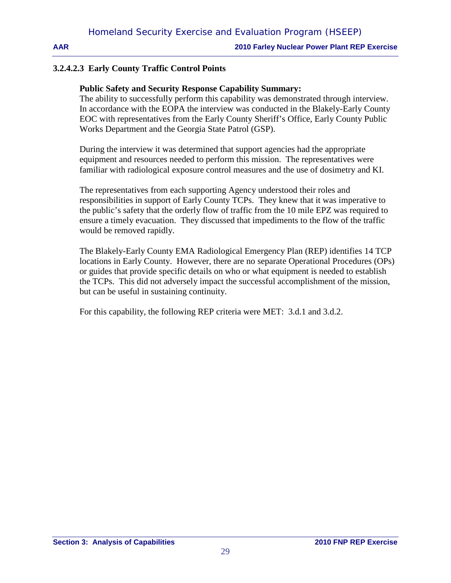#### **3.2.4.2.3 Early County Traffic Control Points**

#### **Public Safety and Security Response Capability Summary:**

The ability to successfully perform this capability was demonstrated through interview. In accordance with the EOPA the interview was conducted in the Blakely-Early County EOC with representatives from the Early County Sheriff's Office, Early County Public Works Department and the Georgia State Patrol (GSP).

During the interview it was determined that support agencies had the appropriate equipment and resources needed to perform this mission. The representatives were familiar with radiological exposure control measures and the use of dosimetry and KI.

The representatives from each supporting Agency understood their roles and responsibilities in support of Early County TCPs. They knew that it was imperative to the public's safety that the orderly flow of traffic from the 10 mile EPZ was required to ensure a timely evacuation. They discussed that impediments to the flow of the traffic would be removed rapidly.

The Blakely-Early County EMA Radiological Emergency Plan (REP) identifies 14 TCP locations in Early County. However, there are no separate Operational Procedures (OPs) or guides that provide specific details on who or what equipment is needed to establish the TCPs. This did not adversely impact the successful accomplishment of the mission, but can be useful in sustaining continuity.

For this capability, the following REP criteria were MET: 3.d.1 and 3.d.2.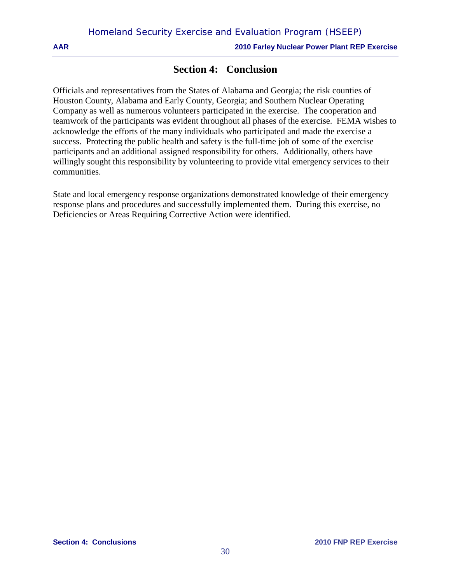# **Section 4: Conclusion**

<span id="page-31-0"></span>Officials and representatives from the States of Alabama and Georgia; the risk counties of Houston County, Alabama and Early County, Georgia; and Southern Nuclear Operating Company as well as numerous volunteers participated in the exercise. The cooperation and teamwork of the participants was evident throughout all phases of the exercise. FEMA wishes to acknowledge the efforts of the many individuals who participated and made the exercise a success. Protecting the public health and safety is the full-time job of some of the exercise participants and an additional assigned responsibility for others. Additionally, others have willingly sought this responsibility by volunteering to provide vital emergency services to their communities.

State and local emergency response organizations demonstrated knowledge of their emergency response plans and procedures and successfully implemented them. During this exercise, no Deficiencies or Areas Requiring Corrective Action were identified.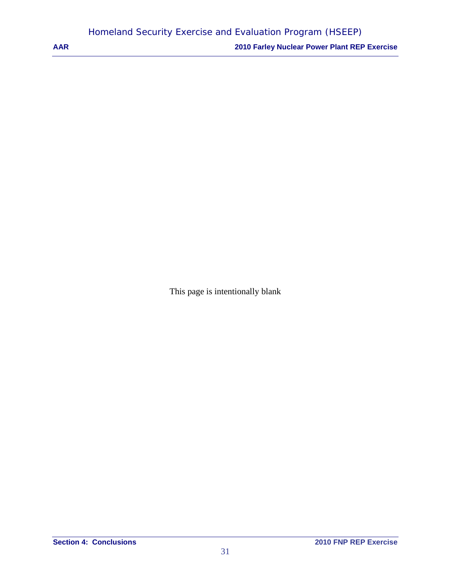This page is intentionally blank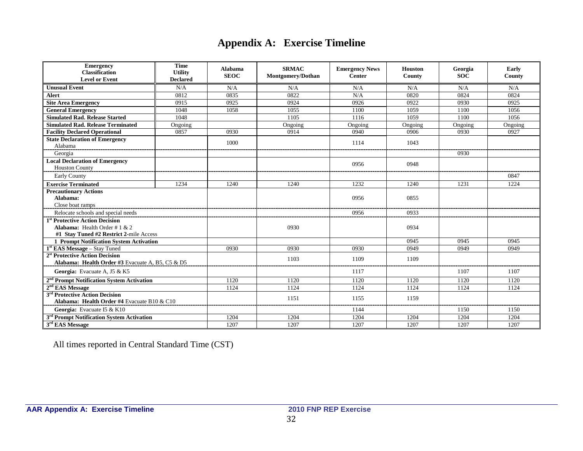# **Appendix A: Exercise Timeline**

<span id="page-33-0"></span>

| <b>Time</b><br><b>Emergency</b><br><b>Classification</b><br><b>Utility</b><br><b>Level or Event</b><br><b>Declared</b>          |         | <b>Alabama</b><br><b>SEOC</b> | <b>SRMAC</b><br>Montgomery/Dothan | <b>Emergency News</b><br><b>Center</b> | Houston<br>County | Georgia<br><b>SOC</b> | Early<br>County |
|---------------------------------------------------------------------------------------------------------------------------------|---------|-------------------------------|-----------------------------------|----------------------------------------|-------------------|-----------------------|-----------------|
| <b>Unusual Event</b>                                                                                                            | N/A     | N/A                           | N/A                               | N/A                                    | N/A               | N/A                   | N/A             |
| <b>Alert</b>                                                                                                                    | 0835    | 0822                          | N/A                               | 0820                                   | 0824              | 0824                  |                 |
| <b>Site Area Emergency</b>                                                                                                      | 0915    | 0925                          | 0924                              | 0926                                   | 0922              | 0930                  | 0925            |
| <b>General Emergency</b>                                                                                                        | 1048    | 1058                          | 1055                              | 1100                                   | 1059              | 1100                  | 1056            |
| <b>Simulated Rad. Release Started</b>                                                                                           | 1048    |                               | 1105                              | 1116                                   | 1059              | 1100                  | 1056            |
| <b>Simulated Rad. Release Terminated</b>                                                                                        | Ongoing |                               | Ongoing                           | Ongoing                                | Ongoing           | Ongoing               | Ongoing         |
| <b>Facility Declared Operational</b>                                                                                            | 0857    | 0930                          | 0914                              | 0940                                   | 0906              | 0930                  | 0927            |
| <b>State Declaration of Emergency</b><br>Alabama                                                                                |         | 1000                          |                                   | 1114                                   | 1043              |                       |                 |
| Georgia                                                                                                                         |         |                               |                                   |                                        |                   | 0930                  |                 |
| <b>Local Declaration of Emergency</b><br><b>Houston County</b>                                                                  |         |                               |                                   | 0956                                   | 0948              |                       |                 |
| <b>Early County</b>                                                                                                             |         |                               |                                   |                                        |                   |                       | 0847            |
| <b>Exercise Terminated</b>                                                                                                      | 1234    | 1240                          | 1240                              | 1232                                   | 1240              | 1231                  | 1224            |
| <b>Precautionary Actions</b><br>Alabama:                                                                                        |         |                               | 0956                              | 0855                                   |                   |                       |                 |
| Close boat ramps                                                                                                                |         |                               |                                   |                                        |                   |                       |                 |
| Relocate schools and special needs                                                                                              |         |                               |                                   | 0956                                   | 0933              |                       |                 |
| 1 <sup>st</sup> Protective Action Decision<br><b>Alabama:</b> Health Order # $1 & 2$<br>#1 Stay Tuned #2 Restrict 2-mile Access |         |                               | 0930                              |                                        | 0934              |                       |                 |
| 1 Prompt Notification System Activation                                                                                         |         |                               |                                   |                                        | 0945              | 0945                  | 0945            |
| $1st$ EAS Message – Stay Tuned                                                                                                  |         | 0930                          | 0930                              | 0930                                   | 0949              | 0949                  | 0949            |
| 2 <sup>st</sup> Protective Action Decision<br>Alabama: Health Order #3 Evacuate A, B5, C5 & D5                                  |         | 1103                          | 1109                              | 1109                                   |                   |                       |                 |
| Georgia: Evacuate A, J5 & K5                                                                                                    |         |                               |                                   | 1117                                   |                   | 1107                  | 1107            |
| 2 <sup>nd</sup> Prompt Notification System Activation                                                                           |         | 1120                          | 1120                              | 1120                                   | 1120              | 1120                  | 1120            |
| 2 <sup>nd</sup> EAS Message                                                                                                     |         | 1124                          | 1124                              | 1124                                   | 1124              | 1124                  | 1124            |
| 3 <sup>rd</sup> Protective Action Decision<br>Alabama: Health Order #4 Evacuate B10 & C10                                       |         |                               | 1151                              | 1155                                   | 1159              |                       |                 |
| Georgia: Evacuate I5 & K10                                                                                                      |         |                               |                                   | 1144                                   |                   | 1150                  | 1150            |
| 3 <sup>rd</sup> Prompt Notification System Activation                                                                           |         | 1204                          | 1204                              | 1204                                   | 1204              | 1204                  | 1204            |
| 3 <sup>rd</sup> EAS Message                                                                                                     |         | 1207                          | 1207                              | 1207                                   | 1207              | 1207                  | 1207            |

All times reported in Central Standard Time (CST)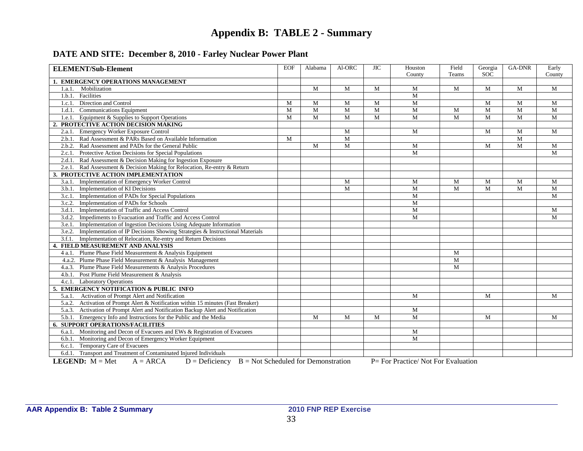# **Appendix B: TABLE 2 - Summary**

### **DATE AND SITE: December 8, 2010 - Farley Nuclear Power Plant**

<span id="page-34-0"></span>

| <b>ELEMENT/Sub-Element</b>                                                            | <b>EOF</b>     | Alabama     | Al-ORC         | $\overline{JIC}$ | Houston<br>County | Field<br>Teams | Georgia<br><b>SOC</b> | <b>GA-DNR</b>  | Early<br>County |
|---------------------------------------------------------------------------------------|----------------|-------------|----------------|------------------|-------------------|----------------|-----------------------|----------------|-----------------|
| 1. EMERGENCY OPERATIONS MANAGEMENT                                                    |                |             |                |                  |                   |                |                       |                |                 |
| 1.a.1. Mobilization                                                                   |                | M           | M              | M                | M                 | M              | M                     | M              | $\mathbf{M}$    |
| 1.b.1.<br>Facilities                                                                  |                |             |                |                  | $\overline{M}$    |                |                       |                |                 |
| Direction and Control<br>1.c.1.                                                       | M              | M           | M              | M                | M                 |                | M                     | M              | M               |
| 1.d.1.<br><b>Communications Equipment</b>                                             | $\overline{M}$ | M           | $\overline{M}$ | M                | $\overline{M}$    | M              | M                     | $\overline{M}$ | M               |
| 1.e.1. Equipment & Supplies to Support Operations                                     | $\mathbf M$    | $\mathbf M$ | M              | M                | M                 | M              | M                     | M              | M               |
| 2. PROTECTIVE ACTION DECISION MAKING                                                  |                |             |                |                  |                   |                |                       |                |                 |
| <b>Emergency Worker Exposure Control</b><br>2.a.1.                                    |                |             | M              |                  | M                 |                | M                     | M              | M               |
| Rad Assessment & PARs Based on Available Information<br>2.b.1.                        | M              |             | M              |                  |                   |                |                       | M              |                 |
| 2.b.2.<br>Rad Assessment and PADs for the General Public                              |                | M           | M              |                  | M                 |                | M                     | M              | M               |
| 2.c.1.<br>Protective Action Decisions for Special Populations                         |                |             |                |                  | M                 |                |                       |                | M               |
| 2.d.1. Rad Assessment & Decision Making for Ingestion Exposure                        |                |             |                |                  |                   |                |                       |                |                 |
| 2.e.1.<br>Rad Assessment & Decision Making for Relocation, Re-entry & Return          |                |             |                |                  |                   |                |                       |                |                 |
| 3. PROTECTIVE ACTION IMPLEMENTATION                                                   |                |             |                |                  |                   |                |                       |                |                 |
| Implementation of Emergency Worker Control<br>3.a.1.                                  |                |             | M              |                  | M                 | M              | M                     | M              | M               |
| Implementation of KI Decisions<br>3.b.1.                                              |                |             | M              |                  | M                 | M              | M                     | M              | M               |
| Implementation of PADs for Special Populations<br>3.c.1.                              |                |             |                |                  | M                 |                |                       |                | M               |
| Implementation of PADs for Schools<br>3.c.2.                                          |                |             |                |                  | M                 |                |                       |                |                 |
| Implementation of Traffic and Access Control<br>3.d.1.                                |                |             |                |                  | M                 |                |                       |                | M               |
| Impediments to Evacuation and Traffic and Access Control<br>3.d.2.                    |                |             |                |                  | $\overline{M}$    |                |                       |                | M               |
| Implementation of Ingestion Decisions Using Adequate Information<br>3.e.1.            |                |             |                |                  |                   |                |                       |                |                 |
| Implementation of IP Decisions Showing Strategies & Instructional Materials<br>3.e.2. |                |             |                |                  |                   |                |                       |                |                 |
| 3.f.1.<br>Implementation of Relocation, Re-entry and Return Decisions                 |                |             |                |                  |                   |                |                       |                |                 |
| <b>4. FIELD MEASUREMENT AND ANALYSIS</b>                                              |                |             |                |                  |                   |                |                       |                |                 |
| Plume Phase Field Measurement & Analysis Equipment<br>4 a.1.                          |                |             |                |                  |                   | M              |                       |                |                 |
| 4.a.2. Plume Phase Field Measurement & Analysis Management                            |                |             |                |                  |                   | M              |                       |                |                 |
| Plume Phase Field Measurements & Analysis Procedures<br>4.a.3.                        |                |             |                |                  |                   | M              |                       |                |                 |
| Post Plume Field Measurement & Analysis<br>4.b.1.                                     |                |             |                |                  |                   |                |                       |                |                 |
| <b>Laboratory Operations</b><br>4.c.1.                                                |                |             |                |                  |                   |                |                       |                |                 |
| 5. EMERGENCY NOTIFICATION & PUBLIC INFO                                               |                |             |                |                  |                   |                |                       |                |                 |
| Activation of Prompt Alert and Notification<br>5.a.1.                                 |                |             |                |                  | $\mathbf M$       |                | M                     |                | M               |
| 5.a.2. Activation of Prompt Alert & Notification within 15 minutes (Fast Breaker)     |                |             |                |                  |                   |                |                       |                |                 |
| Activation of Prompt Alert and Notification Backup Alert and Notification<br>5.a.3.   |                |             |                |                  | $\overline{M}$    |                |                       |                |                 |
| Emergency Info and Instructions for the Public and the Media<br>5.b.1.                |                | M           | M              | M                | M                 |                | M                     |                | M               |
| <b>6. SUPPORT OPERATIONS/FACILITIES</b>                                               |                |             |                |                  |                   |                |                       |                |                 |
| Monitoring and Decon of Evacuees and EWs & Registration of Evacuees<br>6.a.1.         |                |             |                |                  | M                 |                |                       |                |                 |
| 6.b.1. Monitoring and Decon of Emergency Worker Equipment                             |                |             |                |                  | M                 |                |                       |                |                 |
| Temporary Care of Evacuees<br>6.c.1                                                   |                |             |                |                  |                   |                |                       |                |                 |
| Transport and Treatment of Contaminated Injured Individuals<br>6.d.1.                 |                |             |                |                  |                   |                |                       |                |                 |

**LEGEND:** M = Met A = ARCA D = Deficiency B = Not Scheduled for Demonstration P= For Practice/ Not For Evaluation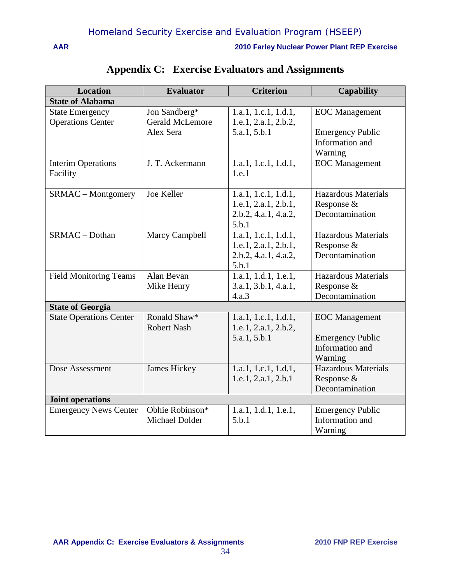<span id="page-35-0"></span>

| <b>Location</b>                                    | <b>Evaluator</b>                                     | <b>Criterion</b>                                                              | <b>Capability</b>                                                              |  |  |  |  |
|----------------------------------------------------|------------------------------------------------------|-------------------------------------------------------------------------------|--------------------------------------------------------------------------------|--|--|--|--|
| <b>State of Alabama</b>                            |                                                      |                                                                               |                                                                                |  |  |  |  |
| <b>State Emergency</b><br><b>Operations Center</b> | Jon Sandberg*<br><b>Gerald McLemore</b><br>Alex Sera | 1.a.1, 1.c.1, 1.d.1,<br>1.e.1, 2.a.1, 2.b.2,<br>5.a.1, 5.b.1                  | <b>EOC</b> Management<br><b>Emergency Public</b><br>Information and            |  |  |  |  |
|                                                    |                                                      |                                                                               | Warning                                                                        |  |  |  |  |
| <b>Interim Operations</b><br>Facility              | J. T. Ackermann                                      | 1.a.1, 1.c.1, 1.d.1,<br>1.e.1                                                 | <b>EOC</b> Management                                                          |  |  |  |  |
| SRMAC – Montgomery                                 | Joe Keller                                           | 1.a.1, 1.c.1, 1.d.1,<br>1.e.1, 2.a.1, 2.b.1,<br>2.b.2, 4.a.1, 4.a.2,<br>5.b.1 | <b>Hazardous Materials</b><br>Response &<br>Decontamination                    |  |  |  |  |
| SRMAC - Dothan                                     | Marcy Campbell                                       | 1.a.1, 1.c.1, 1.d.1,<br>1.e.1, 2.a.1, 2.b.1,<br>2.b.2, 4.a.1, 4.a.2,<br>5.b.1 | <b>Hazardous Materials</b><br>Response &<br>Decontamination                    |  |  |  |  |
| <b>Field Monitoring Teams</b>                      | Alan Bevan<br>Mike Henry                             | 1.a.1, 1.d.1, 1.e.1,<br>3.a.1, 3.b.1, 4.a.1,<br>4.a.3                         | <b>Hazardous Materials</b><br>Response &<br>Decontamination                    |  |  |  |  |
| <b>State of Georgia</b>                            |                                                      |                                                                               |                                                                                |  |  |  |  |
| <b>State Operations Center</b>                     | Ronald Shaw*<br><b>Robert Nash</b>                   | 1.a.1, 1.c.1, 1.d.1,<br>1.e.1, 2.a.1, 2.b.2,<br>5.a.1, 5.b.1                  | <b>EOC</b> Management<br><b>Emergency Public</b><br>Information and<br>Warning |  |  |  |  |
| Dose Assessment                                    | <b>James Hickey</b>                                  | 1.a.1, 1.c.1, 1.d.1,<br>1.e.1, 2.a.1, 2.b.1                                   | Hazardous Materials<br>Response &<br>Decontamination                           |  |  |  |  |
| <b>Joint operations</b>                            |                                                      |                                                                               |                                                                                |  |  |  |  |
| <b>Emergency News Center</b>                       | Obhie Robinson*<br>Michael Dolder                    | 1.a.1, 1.d.1, 1.e.1,<br>5.b.1                                                 | <b>Emergency Public</b><br>Information and<br>Warning                          |  |  |  |  |

# **Appendix C: Exercise Evaluators and Assignments**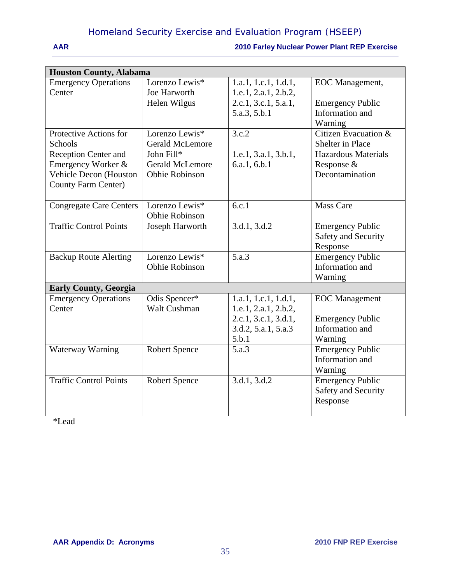# Homeland Security Exercise and Evaluation Program (HSEEP)

## **AAR 2010 Farley Nuclear Power Plant REP Exercise**

| <b>Houston County, Alabama</b> |                        |                      |                            |  |
|--------------------------------|------------------------|----------------------|----------------------------|--|
| <b>Emergency Operations</b>    | Lorenzo Lewis*         | 1.a.1, 1.c.1, 1.d.1, | <b>EOC</b> Management,     |  |
| Center                         | Joe Harworth           | 1.e.1, 2.a.1, 2.b.2, |                            |  |
|                                | Helen Wilgus           | 2.c.1, 3.c.1, 5.a.1, | <b>Emergency Public</b>    |  |
|                                |                        | 5.a.3, 5.b.1         | Information and            |  |
|                                |                        |                      | Warning                    |  |
| Protective Actions for         | Lorenzo Lewis*         | 3.c.2                | Citizen Evacuation &       |  |
| Schools                        | <b>Gerald McLemore</b> |                      | <b>Shelter</b> in Place    |  |
| <b>Reception Center and</b>    | John Fill*             | 1.e.1, 3.a.1, 3.b.1, | <b>Hazardous Materials</b> |  |
| Emergency Worker &             | <b>Gerald McLemore</b> | 6.a.1, 6.b.1         | Response &                 |  |
| <b>Vehicle Decon (Houston</b>  | Obhie Robinson         |                      | Decontamination            |  |
| <b>County Farm Center)</b>     |                        |                      |                            |  |
|                                |                        |                      |                            |  |
| <b>Congregate Care Centers</b> | Lorenzo Lewis*         | 6.c.1                | <b>Mass Care</b>           |  |
|                                | Obhie Robinson         |                      |                            |  |
| <b>Traffic Control Points</b>  | Joseph Harworth        | 3.d.1, 3.d.2         | <b>Emergency Public</b>    |  |
|                                |                        |                      | Safety and Security        |  |
|                                |                        |                      | Response                   |  |
| <b>Backup Route Alerting</b>   | Lorenzo Lewis*         | 5.a.3                | <b>Emergency Public</b>    |  |
|                                | Obhie Robinson         |                      | Information and            |  |
|                                |                        |                      | Warning                    |  |
| <b>Early County, Georgia</b>   |                        |                      |                            |  |
| <b>Emergency Operations</b>    | Odis Spencer*          | 1.a.1, 1.c.1, 1.d.1, | <b>EOC</b> Management      |  |
| Center                         | Walt Cushman           | 1.e.1, 2.a.1, 2.b.2, |                            |  |
|                                |                        | 2.c.1, 3.c.1, 3.d.1, | <b>Emergency Public</b>    |  |
|                                |                        | 3.d.2, 5.a.1, 5.a.3  | Information and            |  |
|                                |                        | 5.b.1                | Warning                    |  |
| Waterway Warning               | <b>Robert Spence</b>   | 5.a.3                | <b>Emergency Public</b>    |  |
|                                |                        |                      | Information and            |  |
|                                |                        |                      | Warning                    |  |
| <b>Traffic Control Points</b>  | <b>Robert Spence</b>   | 3.d.1, 3.d.2         | <b>Emergency Public</b>    |  |
|                                |                        |                      | Safety and Security        |  |
|                                |                        |                      | Response                   |  |
|                                |                        |                      |                            |  |

\*Lead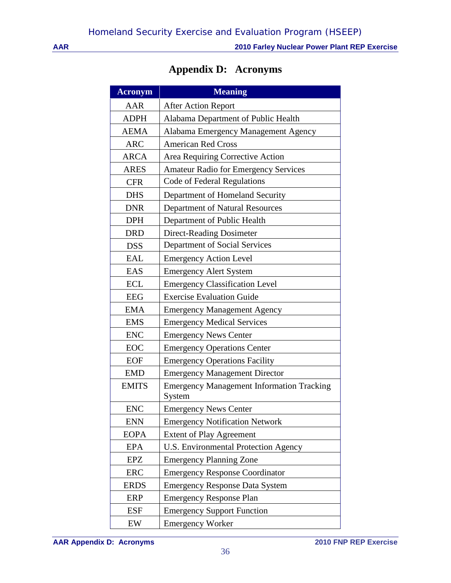# **Appendix D: Acronyms**

| <b>Acronym</b> | <b>Meaning</b>                                             |
|----------------|------------------------------------------------------------|
| <b>AAR</b>     | <b>After Action Report</b>                                 |
| <b>ADPH</b>    | Alabama Department of Public Health                        |
| <b>AEMA</b>    | Alabama Emergency Management Agency                        |
| <b>ARC</b>     | <b>American Red Cross</b>                                  |
| <b>ARCA</b>    | Area Requiring Corrective Action                           |
| <b>ARES</b>    | <b>Amateur Radio for Emergency Services</b>                |
| <b>CFR</b>     | Code of Federal Regulations                                |
| <b>DHS</b>     | Department of Homeland Security                            |
| <b>DNR</b>     | <b>Department of Natural Resources</b>                     |
| <b>DPH</b>     | Department of Public Health                                |
| <b>DRD</b>     | <b>Direct-Reading Dosimeter</b>                            |
| <b>DSS</b>     | Department of Social Services                              |
| <b>EAL</b>     | <b>Emergency Action Level</b>                              |
| EAS            | <b>Emergency Alert System</b>                              |
| <b>ECL</b>     | <b>Emergency Classification Level</b>                      |
| <b>EEG</b>     | <b>Exercise Evaluation Guide</b>                           |
| <b>EMA</b>     | <b>Emergency Management Agency</b>                         |
| <b>EMS</b>     | <b>Emergency Medical Services</b>                          |
| <b>ENC</b>     | <b>Emergency News Center</b>                               |
| <b>EOC</b>     | <b>Emergency Operations Center</b>                         |
| <b>EOF</b>     | <b>Emergency Operations Facility</b>                       |
| <b>EMD</b>     | <b>Emergency Management Director</b>                       |
| <b>EMITS</b>   | <b>Emergency Management Information Tracking</b><br>System |
| <b>ENC</b>     | <b>Emergency News Center</b>                               |
| <b>ENN</b>     | <b>Emergency Notification Network</b>                      |
| <b>EOPA</b>    | <b>Extent of Play Agreement</b>                            |
| <b>EPA</b>     | <b>U.S. Environmental Protection Agency</b>                |
| <b>EPZ</b>     | <b>Emergency Planning Zone</b>                             |
| <b>ERC</b>     | <b>Emergency Response Coordinator</b>                      |
| <b>ERDS</b>    | <b>Emergency Response Data System</b>                      |
| <b>ERP</b>     | <b>Emergency Response Plan</b>                             |
| <b>ESF</b>     | <b>Emergency Support Function</b>                          |
| EW             | <b>Emergency Worker</b>                                    |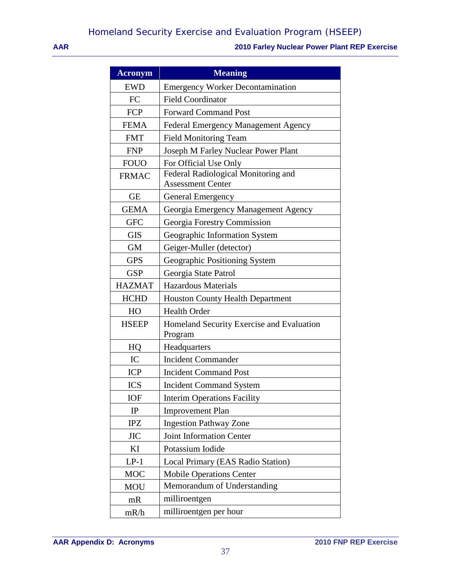| <b>Acronym</b> | <b>Meaning</b>                                                  |
|----------------|-----------------------------------------------------------------|
| <b>EWD</b>     | <b>Emergency Worker Decontamination</b>                         |
| FC             | <b>Field Coordinator</b>                                        |
| <b>FCP</b>     | <b>Forward Command Post</b>                                     |
| <b>FEMA</b>    | <b>Federal Emergency Management Agency</b>                      |
| <b>FMT</b>     | <b>Field Monitoring Team</b>                                    |
| <b>FNP</b>     | Joseph M Farley Nuclear Power Plant                             |
| <b>FOUO</b>    | For Official Use Only                                           |
| <b>FRMAC</b>   | Federal Radiological Monitoring and<br><b>Assessment Center</b> |
| <b>GE</b>      | <b>General Emergency</b>                                        |
| <b>GEMA</b>    | Georgia Emergency Management Agency                             |
| <b>GFC</b>     | Georgia Forestry Commission                                     |
| <b>GIS</b>     | Geographic Information System                                   |
| <b>GM</b>      | Geiger-Muller (detector)                                        |
| <b>GPS</b>     | Geographic Positioning System                                   |
| <b>GSP</b>     | Georgia State Patrol                                            |
| <b>HAZMAT</b>  | <b>Hazardous Materials</b>                                      |
| <b>HCHD</b>    | <b>Houston County Health Department</b>                         |
| HO             | <b>Health Order</b>                                             |
| <b>HSEEP</b>   | Homeland Security Exercise and Evaluation<br>Program            |
| HQ             | Headquarters                                                    |
| IC             | <b>Incident Commander</b>                                       |
| <b>ICP</b>     | <b>Incident Command Post</b>                                    |
| <b>ICS</b>     | <b>Incident Command System</b>                                  |
| <b>IOF</b>     | <b>Interim Operations Facility</b>                              |
| IP             | <b>Improvement Plan</b>                                         |
| <b>IPZ</b>     | <b>Ingestion Pathway Zone</b>                                   |
| <b>JIC</b>     | <b>Joint Information Center</b>                                 |
| KI             | Potassium Iodide                                                |
| $LP-1$         | Local Primary (EAS Radio Station)                               |
| <b>MOC</b>     | <b>Mobile Operations Center</b>                                 |
| <b>MOU</b>     | Memorandum of Understanding                                     |
| mR             | milliroentgen                                                   |
| mR/h           | milliroentgen per hour                                          |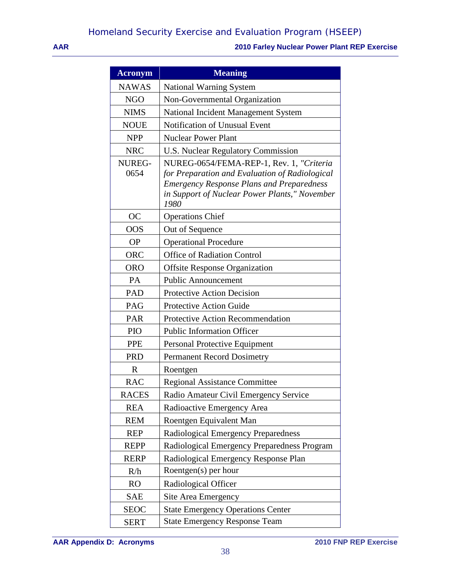# Homeland Security Exercise and Evaluation Program (HSEEP)

## **AAR 2010 Farley Nuclear Power Plant REP Exercise**

| <b>Acronym</b>        | <b>Meaning</b>                                                                                                                                                                                          |
|-----------------------|---------------------------------------------------------------------------------------------------------------------------------------------------------------------------------------------------------|
| <b>NAWAS</b>          | <b>National Warning System</b>                                                                                                                                                                          |
| <b>NGO</b>            | Non-Governmental Organization                                                                                                                                                                           |
| <b>NIMS</b>           | National Incident Management System                                                                                                                                                                     |
| <b>NOUE</b>           | Notification of Unusual Event                                                                                                                                                                           |
| <b>NPP</b>            | <b>Nuclear Power Plant</b>                                                                                                                                                                              |
| <b>NRC</b>            | <b>U.S. Nuclear Regulatory Commission</b>                                                                                                                                                               |
| <b>NUREG-</b><br>0654 | NUREG-0654/FEMA-REP-1, Rev. 1, "Criteria<br>for Preparation and Evaluation of Radiological<br><b>Emergency Response Plans and Preparedness</b><br>in Support of Nuclear Power Plants," November<br>1980 |
| <b>OC</b>             | <b>Operations Chief</b>                                                                                                                                                                                 |
| <b>OOS</b>            | Out of Sequence                                                                                                                                                                                         |
| <b>OP</b>             | <b>Operational Procedure</b>                                                                                                                                                                            |
| <b>ORC</b>            | <b>Office of Radiation Control</b>                                                                                                                                                                      |
| <b>ORO</b>            | <b>Offsite Response Organization</b>                                                                                                                                                                    |
| PA                    | <b>Public Announcement</b>                                                                                                                                                                              |
| PAD                   | <b>Protective Action Decision</b>                                                                                                                                                                       |
| PAG                   | <b>Protective Action Guide</b>                                                                                                                                                                          |
| PAR                   | Protective Action Recommendation                                                                                                                                                                        |
| PIO                   | <b>Public Information Officer</b>                                                                                                                                                                       |
| <b>PPE</b>            | Personal Protective Equipment                                                                                                                                                                           |
| <b>PRD</b>            | <b>Permanent Record Dosimetry</b>                                                                                                                                                                       |
| $\mathbf R$           | Roentgen                                                                                                                                                                                                |
| <b>RAC</b>            | <b>Regional Assistance Committee</b>                                                                                                                                                                    |
| <b>RACES</b>          | Radio Amateur Civil Emergency Service                                                                                                                                                                   |
| <b>REA</b>            | Radioactive Emergency Area                                                                                                                                                                              |
| <b>REM</b>            | Roentgen Equivalent Man                                                                                                                                                                                 |
| <b>REP</b>            | Radiological Emergency Preparedness                                                                                                                                                                     |
| <b>REPP</b>           | Radiological Emergency Preparedness Program                                                                                                                                                             |
| <b>RERP</b>           | Radiological Emergency Response Plan                                                                                                                                                                    |
| R/h                   | Roentgen(s) per hour                                                                                                                                                                                    |
| <b>RO</b>             | Radiological Officer                                                                                                                                                                                    |
| <b>SAE</b>            | Site Area Emergency                                                                                                                                                                                     |
| <b>SEOC</b>           | <b>State Emergency Operations Center</b>                                                                                                                                                                |
| <b>SERT</b>           | <b>State Emergency Response Team</b>                                                                                                                                                                    |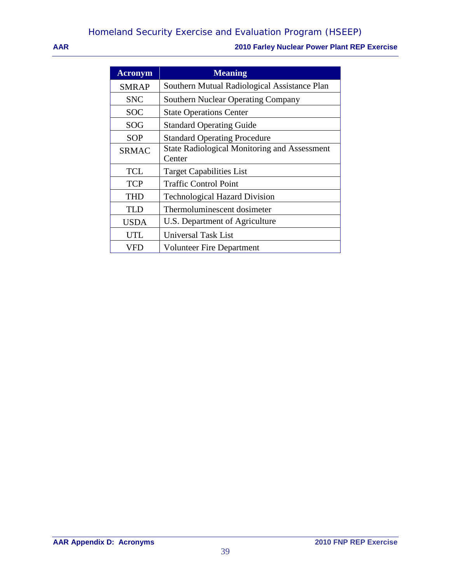# Homeland Security Exercise and Evaluation Program (HSEEP)

## **AAR 2010 Farley Nuclear Power Plant REP Exercise**

| <b>Acronym</b> | <b>Meaning</b>                                      |
|----------------|-----------------------------------------------------|
| <b>SMRAP</b>   | Southern Mutual Radiological Assistance Plan        |
| <b>SNC</b>     | <b>Southern Nuclear Operating Company</b>           |
| <b>SOC</b>     | <b>State Operations Center</b>                      |
| <b>SOG</b>     | <b>Standard Operating Guide</b>                     |
| <b>SOP</b>     | <b>Standard Operating Procedure</b>                 |
| <b>SRMAC</b>   | <b>State Radiological Monitoring and Assessment</b> |
|                | Center                                              |
| <b>TCL</b>     | <b>Target Capabilities List</b>                     |
| <b>TCP</b>     | <b>Traffic Control Point</b>                        |
| <b>THD</b>     | <b>Technological Hazard Division</b>                |
| TI D           | Thermoluminescent dosimeter                         |
| <b>USDA</b>    | U.S. Department of Agriculture                      |
| <b>UTL</b>     | <b>Universal Task List</b>                          |
| V FI J         | <b>Volunteer Fire Department</b>                    |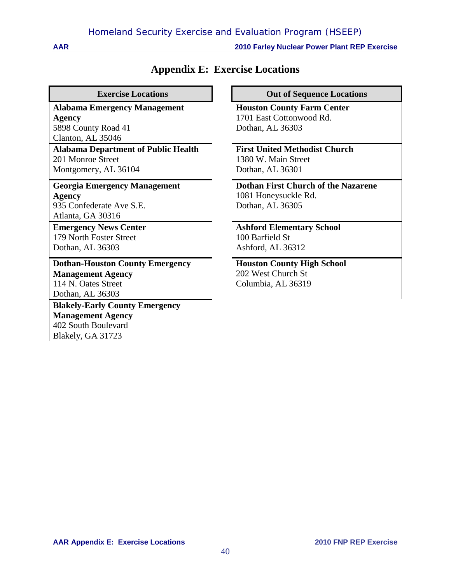# **Appendix E: Exercise Locations**

#### **Alabama Emergency Management Agency**  5898 County Road 41 Clanton, AL 35046

**Alabama Department of Public Health** 201 Monroe Street Montgomery, AL 36104

**Georgia Emergency Management Agency** 935 Confederate Ave S.E. Atlanta, GA 30316

**Emergency News Center**  179 North Foster Street Dothan, AL 36303

**Dothan-Houston County Emergency Management Agency**  114 N. Oates Street Dothan, AL 36303

**Blakely-Early County Emergency Management Agency** 402 South Boulevard Blakely, GA 31723

#### **Exercise Locations Department Locations Out of Sequence Locations**

**Houston County Farm Center** 1701 East Cottonwood Rd. Dothan, AL 36303

**First United Methodist Church** 1380 W. Main Street Dothan, AL 36301

**Dothan First Church of the Nazarene** 1081 Honeysuckle Rd. Dothan, AL 36305

**Ashford Elementary School** 100 Barfield St Ashford, AL 36312

**Houston County High School** 202 West Church St Columbia, AL 36319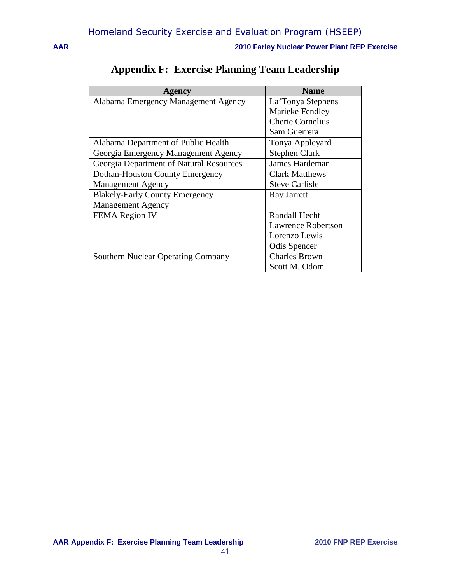| <b>Agency</b>                             | <b>Name</b>             |
|-------------------------------------------|-------------------------|
| Alabama Emergency Management Agency       | La'Tonya Stephens       |
|                                           | Marieke Fendley         |
|                                           | <b>Cherie Cornelius</b> |
|                                           | Sam Guerrera            |
| Alabama Department of Public Health       | Tonya Appleyard         |
| Georgia Emergency Management Agency       | <b>Stephen Clark</b>    |
| Georgia Department of Natural Resources   | James Hardeman          |
| <b>Dothan-Houston County Emergency</b>    | <b>Clark Matthews</b>   |
| <b>Management Agency</b>                  | <b>Steve Carlisle</b>   |
| <b>Blakely-Early County Emergency</b>     | Ray Jarrett             |
| <b>Management Agency</b>                  |                         |
| <b>FEMA Region IV</b>                     | Randall Hecht           |
|                                           | Lawrence Robertson      |
|                                           | Lorenzo Lewis           |
|                                           | Odis Spencer            |
| <b>Southern Nuclear Operating Company</b> | <b>Charles Brown</b>    |
|                                           | Scott M. Odom           |

# **Appendix F: Exercise Planning Team Leadership**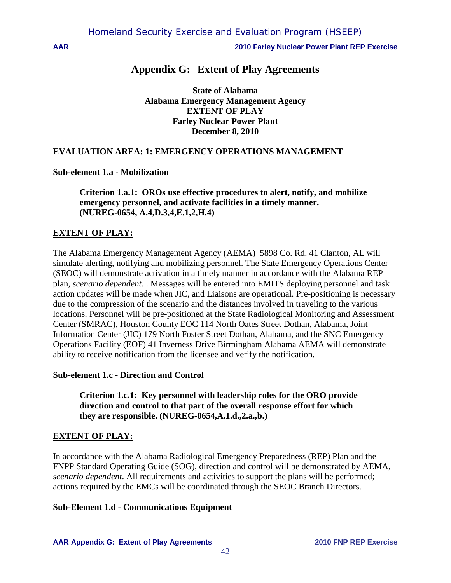# **Appendix G: Extent of Play Agreements**

**State of Alabama Alabama Emergency Management Agency EXTENT OF PLAY Farley Nuclear Power Plant December 8, 2010** 

## **EVALUATION AREA: 1: EMERGENCY OPERATIONS MANAGEMENT**

**Sub-element 1.a - Mobilization**

**Criterion 1.a.1: OROs use effective procedures to alert, notify, and mobilize emergency personnel, and activate facilities in a timely manner. (NUREG-0654, A.4,D.3,4,E.1,2,H.4)** 

## **EXTENT OF PLAY:**

The Alabama Emergency Management Agency (AEMA) 5898 Co. Rd. 41 Clanton, AL will simulate alerting, notifying and mobilizing personnel. The State Emergency Operations Center (SEOC) will demonstrate activation in a timely manner in accordance with the Alabama REP plan, *scenario dependent*. . Messages will be entered into EMITS deploying personnel and task action updates will be made when JIC, and Liaisons are operational. Pre-positioning is necessary due to the compression of the scenario and the distances involved in traveling to the various locations. Personnel will be pre-positioned at the State Radiological Monitoring and Assessment Center (SMRAC), Houston County EOC 114 North Oates Street Dothan, Alabama, Joint Information Center (JIC) 179 North Foster Street Dothan, Alabama, and the SNC Emergency Operations Facility (EOF) 41 Inverness Drive Birmingham Alabama AEMA will demonstrate ability to receive notification from the licensee and verify the notification.

## **Sub-element 1.c - Direction and Control**

**Criterion 1.c.1: Key personnel with leadership roles for the ORO provide direction and control to that part of the overall response effort for which they are responsible. (NUREG-0654,A.1.d.,2.a.,b.)** 

## **EXTENT OF PLAY:**

In accordance with the Alabama Radiological Emergency Preparedness (REP) Plan and the FNPP Standard Operating Guide (SOG), direction and control will be demonstrated by AEMA, *scenario dependent*. All requirements and activities to support the plans will be performed; actions required by the EMCs will be coordinated through the SEOC Branch Directors.

## **Sub-Element 1.d - Communications Equipment**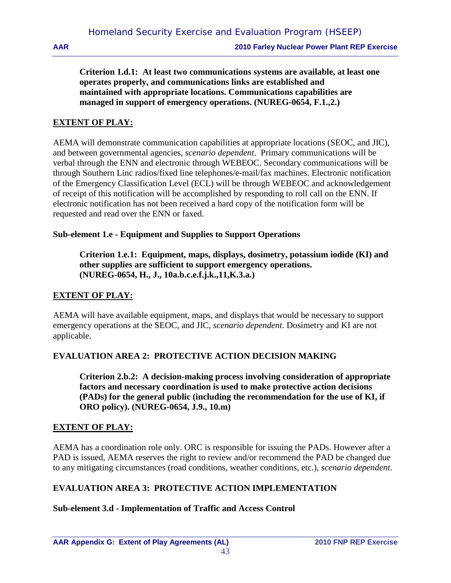**Criterion 1.d.1: At least two communications systems are available, at least one operates properly, and communications links are established and maintained with appropriate locations. Communications capabilities are managed in support of emergency operations. (NUREG-0654, F.1.,2.)**

## **EXTENT OF PLAY:**

AEMA will demonstrate communication capabilities at appropriate locations (SEOC, and JIC), and between governmental agencies, *scenario dependent*. Primary communications will be verbal through the ENN and electronic through WEBEOC. Secondary communications will be through Southern Linc radios/fixed line telephones/e-mail/fax machines. Electronic notification of the Emergency Classification Level (ECL) will be through WEBEOC and acknowledgement of receipt of this notification will be accomplished by responding to roll call on the ENN. If electronic notification has not been received a hard copy of the notification form will be requested and read over the ENN or faxed.

## **Sub-element 1.e - Equipment and Supplies to Support Operations**

**Criterion 1.e.1: Equipment, maps, displays, dosimetry, potassium iodide (KI) and other supplies are sufficient to support emergency operations. (NUREG-0654, H., J., 10a.b.c.e.f.j.k.,11,K.3.a.)** 

## **EXTENT OF PLAY:**

AEMA will have available equipment, maps, and displays that would be necessary to support emergency operations at the SEOC, and JIC, *scenario dependent*. Dosimetry and KI are not applicable.

## **EVALUATION AREA 2: PROTECTIVE ACTION DECISION MAKING**

**Criterion 2.b.2: A decision-making process involving consideration of appropriate factors and necessary coordination is used to make protective action decisions (PADs) for the general public (including the recommendation for the use of KI, if ORO policy). (NUREG-0654, J.9., 10.m)** 

## **EXTENT OF PLAY:**

AEMA has a coordination role only. ORC is responsible for issuing the PADs. However after a PAD is issued, AEMA reserves the right to review and/or recommend the PAD be changed due to any mitigating circumstances (road conditions, weather conditions, etc.), *scenario dependent*.

## **EVALUATION AREA 3: PROTECTIVE ACTION IMPLEMENTATION**

## **Sub-element 3.d - Implementation of Traffic and Access Control**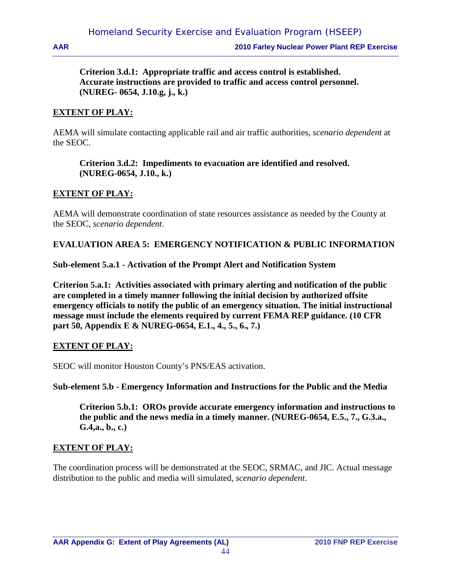**Criterion 3.d.1: Appropriate traffic and access control is established. Accurate instructions are provided to traffic and access control personnel. (NUREG- 0654, J.10.g, j., k.)** 

#### **EXTENT OF PLAY:**

AEMA will simulate contacting applicable rail and air traffic authorities, *scenario dependent* at the SEOC.

#### **Criterion 3.d.2: Impediments to evacuation are identified and resolved. (NUREG-0654, J.10., k.)**

#### **EXTENT OF PLAY:**

AEMA will demonstrate coordination of state resources assistance as needed by the County at the SEOC, *scenario dependent*.

#### **EVALUATION AREA 5: EMERGENCY NOTIFICATION & PUBLIC INFORMATION**

**Sub-element 5.a.1 - Activation of the Prompt Alert and Notification System**

**Criterion 5.a.1: Activities associated with primary alerting and notification of the public are completed in a timely manner following the initial decision by authorized offsite emergency officials to notify the public of an emergency situation. The initial instructional message must include the elements required by current FEMA REP guidance. (10 CFR part 50, Appendix E & NUREG-0654, E.1., 4., 5., 6., 7.)** 

## **EXTENT OF PLAY:**

SEOC will monitor Houston County's PNS/EAS activation.

**Sub-element 5.b - Emergency Information and Instructions for the Public and the Media**

**Criterion 5.b.1: OROs provide accurate emergency information and instructions to the public and the news media in a timely manner. (NUREG-0654, E.5., 7., G.3.a., G.4,a., b., c.)** 

## **EXTENT OF PLAY:**

The coordination process will be demonstrated at the SEOC, SRMAC, and JIC. Actual message distribution to the public and media will simulated, *scenario dependent*.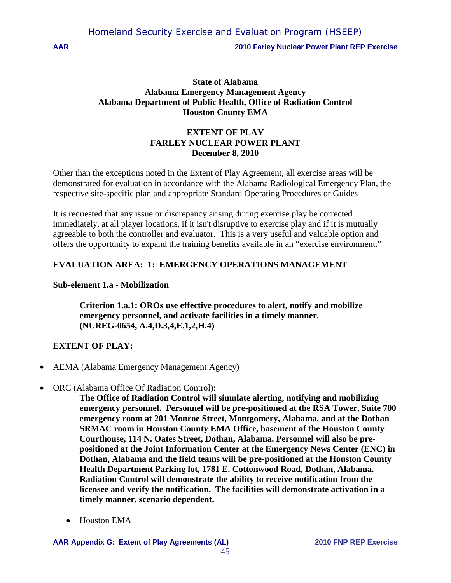Homeland Security Exercise and Evaluation Program (HSEEP)

## **State of Alabama Alabama Emergency Management Agency Alabama Department of Public Health, Office of Radiation Control Houston County EMA**

## **EXTENT OF PLAY FARLEY NUCLEAR POWER PLANT December 8, 2010**

Other than the exceptions noted in the Extent of Play Agreement, all exercise areas will be demonstrated for evaluation in accordance with the Alabama Radiological Emergency Plan, the respective site-specific plan and appropriate Standard Operating Procedures or Guides

It is requested that any issue or discrepancy arising during exercise play be corrected immediately, at all player locations, if it isn't disruptive to exercise play and if it is mutually agreeable to both the controller and evaluator. This is a very useful and valuable option and offers the opportunity to expand the training benefits available in an "exercise environment."

## **EVALUATION AREA: 1: EMERGENCY OPERATIONS MANAGEMENT**

## **Sub-element 1.a - Mobilization**

**Criterion 1.a.1: OROs use effective procedures to alert, notify and mobilize emergency personnel, and activate facilities in a timely manner. (NUREG-0654, A.4,D.3,4,E.1,2,H.4)** 

## **EXTENT OF PLAY:**

- AEMA (Alabama Emergency Management Agency)
- ORC (Alabama Office Of Radiation Control):
	- **The Office of Radiation Control will simulate alerting, notifying and mobilizing emergency personnel. Personnel will be pre-positioned at the RSA Tower, Suite 700 emergency room at 201 Monroe Street, Montgomery, Alabama, and at the Dothan SRMAC room in Houston County EMA Office, basement of the Houston County Courthouse, 114 N. Oates Street, Dothan, Alabama. Personnel will also be prepositioned at the Joint Information Center at the Emergency News Center (ENC) in Dothan, Alabama and the field teams will be pre-positioned at the Houston County Health Department Parking lot, 1781 E. Cottonwood Road, Dothan, Alabama. Radiation Control will demonstrate the ability to receive notification from the licensee and verify the notification. The facilities will demonstrate activation in a timely manner, scenario dependent.**
	- Houston EMA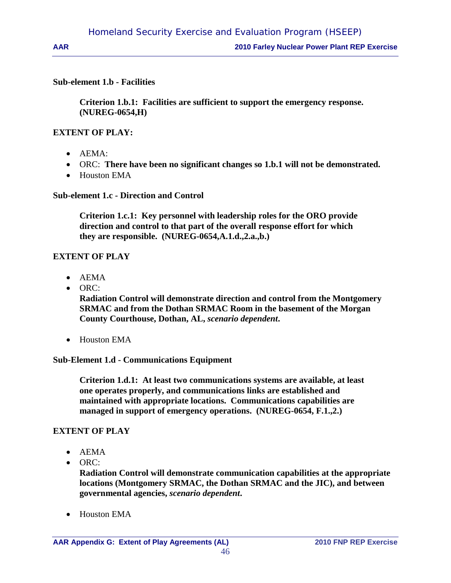**Sub-element 1.b - Facilities** 

**Criterion 1.b.1: Facilities are sufficient to support the emergency response. (NUREG-0654,H)** 

## **EXTENT OF PLAY:**

- AEMA:
- ORC: **There have been no significant changes so 1.b.1 will not be demonstrated.**
- Houston EMA

#### **Sub-element 1.c - Direction and Control**

**Criterion 1.c.1: Key personnel with leadership roles for the ORO provide direction and control to that part of the overall response effort for which they are responsible. (NUREG-0654,A.1.d.,2.a.,b.)** 

## **EXTENT OF PLAY**

- AEMA
- ORC:

**Radiation Control will demonstrate direction and control from the Montgomery SRMAC and from the Dothan SRMAC Room in the basement of the Morgan County Courthouse, Dothan, AL,** *scenario dependent***.** 

• Houston EMA

#### **Sub-Element 1.d - Communications Equipment**

**Criterion 1.d.1: At least two communications systems are available, at least one operates properly, and communications links are established and maintained with appropriate locations. Communications capabilities are managed in support of emergency operations. (NUREG-0654, F.1.,2.)** 

#### **EXTENT OF PLAY**

- AEMA
- ORC:

**Radiation Control will demonstrate communication capabilities at the appropriate locations (Montgomery SRMAC, the Dothan SRMAC and the JIC), and between governmental agencies,** *scenario dependent***.** 

• Houston EMA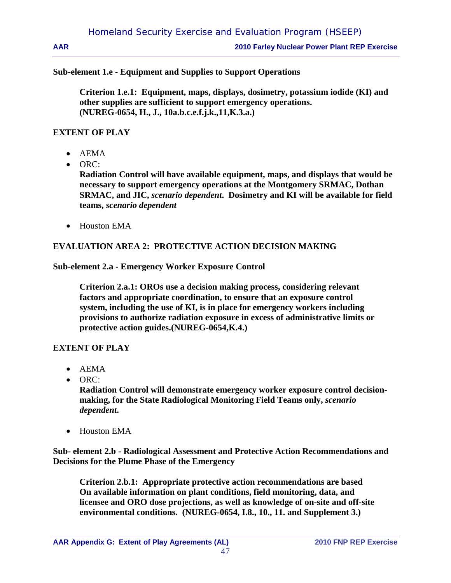**Sub-element 1.e - Equipment and Supplies to Support Operations** 

**Criterion 1.e.1: Equipment, maps, displays, dosimetry, potassium iodide (KI) and other supplies are sufficient to support emergency operations. (NUREG-0654, H., J., 10a.b.c.e.f.j.k.,11,K.3.a.)** 

## **EXTENT OF PLAY**

- AEMA
- ORC:

**Radiation Control will have available equipment, maps, and displays that would be necessary to support emergency operations at the Montgomery SRMAC, Dothan SRMAC, and JIC,** *scenario dependent***. Dosimetry and KI will be available for field teams,** *scenario dependent* 

• Houston EMA

## **EVALUATION AREA 2: PROTECTIVE ACTION DECISION MAKING**

**Sub-element 2.a - Emergency Worker Exposure Control** 

**Criterion 2.a.1: OROs use a decision making process, considering relevant factors and appropriate coordination, to ensure that an exposure control system, including the use of KI, is in place for emergency workers including provisions to authorize radiation exposure in excess of administrative limits or protective action guides.(NUREG-0654,K.4.)** 

## **EXTENT OF PLAY**

- AEMA
- ORC:

**Radiation Control will demonstrate emergency worker exposure control decisionmaking, for the State Radiological Monitoring Field Teams only,** *scenario dependent***.** 

• Houston EMA

**Sub- element 2.b - Radiological Assessment and Protective Action Recommendations and Decisions for the Plume Phase of the Emergency** 

**Criterion 2.b.1: Appropriate protective action recommendations are based On available information on plant conditions, field monitoring, data, and licensee and ORO dose projections, as well as knowledge of on-site and off-site environmental conditions. (NUREG-0654, I.8., 10., 11. and Supplement 3.)**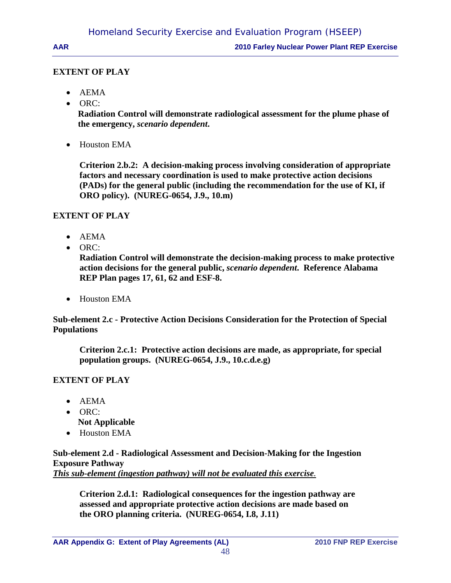## **EXTENT OF PLAY**

- AEMA
- ORC:

**Radiation Control will demonstrate radiological assessment for the plume phase of the emergency,** *scenario dependent***.** 

• Houston EMA

**Criterion 2.b.2: A decision-making process involving consideration of appropriate factors and necessary coordination is used to make protective action decisions (PADs) for the general public (including the recommendation for the use of KI, if ORO policy). (NUREG-0654, J.9., 10.m)** 

## **EXTENT OF PLAY**

- AEMA
- ORC:

**Radiation Control will demonstrate the decision-making process to make protective action decisions for the general public,** *scenario dependent***. Reference Alabama REP Plan pages 17, 61, 62 and ESF-8.** 

• Houston EMA

**Sub-element 2.c - Protective Action Decisions Consideration for the Protection of Special Populations** 

**Criterion 2.c.1: Protective action decisions are made, as appropriate, for special population groups. (NUREG-0654, J.9., 10.c.d.e.g)** 

## **EXTENT OF PLAY**

- AEMA
- ORC:
- **Not Applicable**
- Houston EMA

**Sub-element 2.d - Radiological Assessment and Decision-Making for the Ingestion Exposure Pathway**  *This sub-element (ingestion pathway) will not be evaluated this exercise.* 

**Criterion 2.d.1: Radiological consequences for the ingestion pathway are assessed and appropriate protective action decisions are made based on the ORO planning criteria. (NUREG-0654, I.8, J.11)**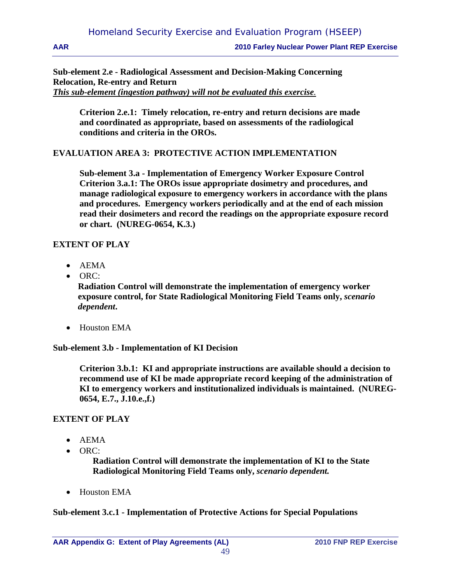#### **Sub-element 2.e - Radiological Assessment and Decision-Making Concerning Relocation, Re-entry and Return**  *This sub-element (ingestion pathway) will not be evaluated this exercise.*

**Criterion 2.e.1: Timely relocation, re-entry and return decisions are made and coordinated as appropriate, based on assessments of the radiological conditions and criteria in the OROs.** 

## **EVALUATION AREA 3: PROTECTIVE ACTION IMPLEMENTATION**

**Sub-element 3.a - Implementation of Emergency Worker Exposure Control Criterion 3.a.1: The OROs issue appropriate dosimetry and procedures, and manage radiological exposure to emergency workers in accordance with the plans and procedures. Emergency workers periodically and at the end of each mission read their dosimeters and record the readings on the appropriate exposure record or chart. (NUREG-0654, K.3.)** 

## **EXTENT OF PLAY**

- AEMA
- ORC:

**Radiation Control will demonstrate the implementation of emergency worker exposure control, for State Radiological Monitoring Field Teams only,** *scenario dependent***.** 

• Houston EMA

## **Sub-element 3.b - Implementation of KI Decision**

**Criterion 3.b.1: KI and appropriate instructions are available should a decision to recommend use of KI be made appropriate record keeping of the administration of KI to emergency workers and institutionalized individuals is maintained. (NUREG-0654, E.7., J.10.e.,f.)** 

## **EXTENT OF PLAY**

- AEMA
- ORC:

**Radiation Control will demonstrate the implementation of KI to the State Radiological Monitoring Field Teams only,** *scenario dependent.* 

• Houston EMA

## **Sub-element 3.c.1 - Implementation of Protective Actions for Special Populations**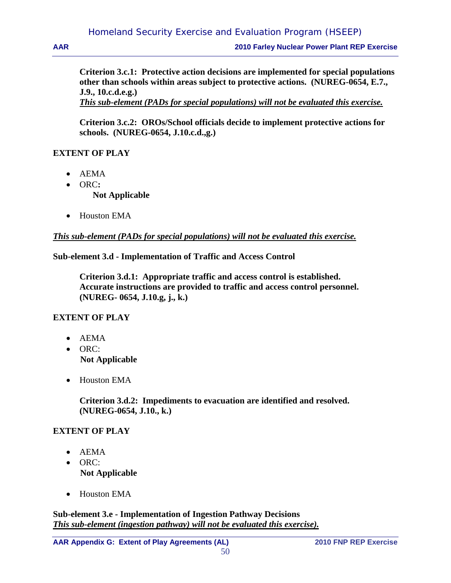**Criterion 3.c.1: Protective action decisions are implemented for special populations other than schools within areas subject to protective actions. (NUREG-0654, E.7., J.9., 10.c.d.e.g.)**  *This sub-element (PADs for special populations) will not be evaluated this exercise.* 

**Criterion 3.c.2: OROs/School officials decide to implement protective actions for schools. (NUREG-0654, J.10.c.d.,g.)** 

#### **EXTENT OF PLAY**

• AEMA

• ORC**: Not Applicable** 

• Houston EMA

## *This sub-element (PADs for special populations) will not be evaluated this exercise.*

**Sub-element 3.d - Implementation of Traffic and Access Control** 

**Criterion 3.d.1: Appropriate traffic and access control is established. Accurate instructions are provided to traffic and access control personnel. (NUREG- 0654, J.10.g, j., k.)** 

## **EXTENT OF PLAY**

- AEMA
- ORC: **Not Applicable**
- Houston EMA

**Criterion 3.d.2: Impediments to evacuation are identified and resolved. (NUREG-0654, J.10., k.)** 

## **EXTENT OF PLAY**

- AEMA
- ORC: **Not Applicable**
- Houston EMA

**Sub-element 3.e - Implementation of Ingestion Pathway Decisions**  *This sub-element (ingestion pathway) will not be evaluated this exercise).*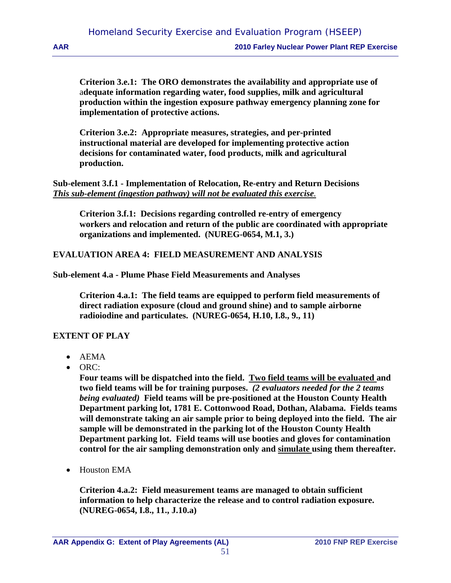**Criterion 3.e.1: The ORO demonstrates the availability and appropriate use of**  a**dequate information regarding water, food supplies, milk and agricultural production within the ingestion exposure pathway emergency planning zone for implementation of protective actions.** 

**Criterion 3.e.2: Appropriate measures, strategies, and per-printed instructional material are developed for implementing protective action decisions for contaminated water, food products, milk and agricultural production.** 

**Sub-element 3.f.1 - Implementation of Relocation, Re-entry and Return Decisions**  *This sub-element (ingestion pathway) will not be evaluated this exercise.* 

**Criterion 3.f.1: Decisions regarding controlled re-entry of emergency workers and relocation and return of the public are coordinated with appropriate organizations and implemented. (NUREG-0654, M.1, 3.)** 

#### **EVALUATION AREA 4: FIELD MEASUREMENT AND ANALYSIS**

**Sub-element 4.a - Plume Phase Field Measurements and Analyses** 

**Criterion 4.a.1: The field teams are equipped to perform field measurements of direct radiation exposure (cloud and ground shine) and to sample airborne radioiodine and particulates. (NUREG-0654, H.10, I.8., 9., 11)** 

## **EXTENT OF PLAY**

- AEMA
- ORC:

**Four teams will be dispatched into the field. Two field teams will be evaluated and two field teams will be for training purposes.** *(2 evaluators needed for the 2 teams being evaluated)* **Field teams will be pre-positioned at the Houston County Health Department parking lot, 1781 E. Cottonwood Road, Dothan, Alabama. Fields teams will demonstrate taking an air sample prior to being deployed into the field. The air sample will be demonstrated in the parking lot of the Houston County Health Department parking lot. Field teams will use booties and gloves for contamination control for the air sampling demonstration only and simulate using them thereafter.** 

• Houston EMA

**Criterion 4.a.2: Field measurement teams are managed to obtain sufficient information to help characterize the release and to control radiation exposure. (NUREG-0654, I.8., 11., J.10.a)**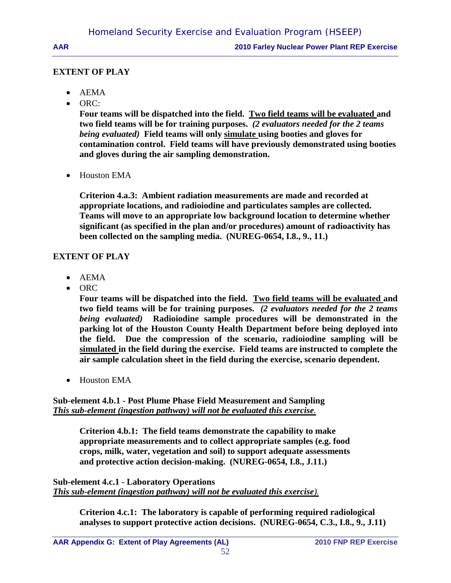## **EXTENT OF PLAY**

- AEMA
- ORC:

**Four teams will be dispatched into the field. Two field teams will be evaluated and two field teams will be for training purposes.** *(2 evaluators needed for the 2 teams being evaluated)* **Field teams will only simulate using booties and gloves for contamination control. Field teams will have previously demonstrated using booties and gloves during the air sampling demonstration.** 

• Houston EMA

**Criterion 4.a.3: Ambient radiation measurements are made and recorded at appropriate locations, and radioiodine and particulates samples are collected. Teams will move to an appropriate low background location to determine whether significant (as specified in the plan and/or procedures) amount of radioactivity has been collected on the sampling media. (NUREG-0654, I.8., 9., 11.)** 

## **EXTENT OF PLAY**

- AEMA
- ORC

**Four teams will be dispatched into the field. Two field teams will be evaluated and two field teams will be for training purposes.** *(2 evaluators needed for the 2 teams being evaluated)* **Radioiodine sample procedures will be demonstrated in the parking lot of the Houston County Health Department before being deployed into the field. Due the compression of the scenario, radioiodine sampling will be simulated in the field during the exercise. Field teams are instructed to complete the air sample calculation sheet in the field during the exercise, scenario dependent.** 

• Houston EMA

#### **Sub-element 4.b.1 - Post Plume Phase Field Measurement and Sampling**  *This sub-element (ingestion pathway) will not be evaluated this exercise.*

**Criterion 4.b.1: The field teams demonstrate the capability to make appropriate measurements and to collect appropriate samples (e.g. food crops, milk, water, vegetation and soil) to support adequate assessments and protective action decision-making. (NUREG-0654, I.8., J.11.)** 

## **Sub-element 4.c.1 - Laboratory Operations**  *This sub-element (ingestion pathway) will not be evaluated this exercise).*

**Criterion 4.c.1: The laboratory is capable of performing required radiological analyses to support protective action decisions. (NUREG-0654, C.3., I.8., 9., J.11)**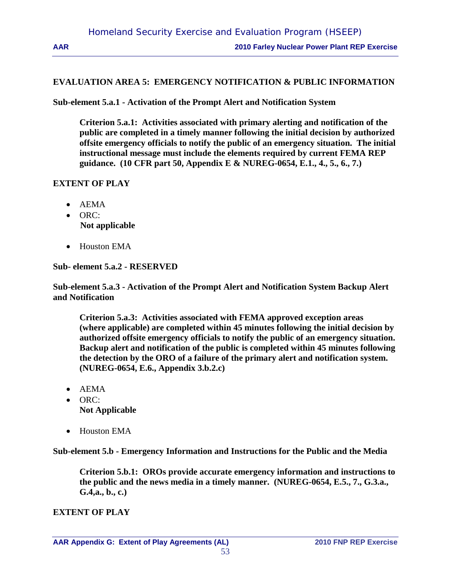## **EVALUATION AREA 5: EMERGENCY NOTIFICATION & PUBLIC INFORMATION**

**Sub-element 5.a.1 - Activation of the Prompt Alert and Notification System** 

**Criterion 5.a.1: Activities associated with primary alerting and notification of the public are completed in a timely manner following the initial decision by authorized offsite emergency officials to notify the public of an emergency situation. The initial instructional message must include the elements required by current FEMA REP guidance. (10 CFR part 50, Appendix E & NUREG-0654, E.1., 4., 5., 6., 7.)** 

#### **EXTENT OF PLAY**

- AEMA
- ORC: **Not applicable**
- Houston EMA

**Sub- element 5.a.2 - RESERVED** 

**Sub-element 5.a.3 - Activation of the Prompt Alert and Notification System Backup Alert and Notification** 

**Criterion 5.a.3: Activities associated with FEMA approved exception areas (where applicable) are completed within 45 minutes following the initial decision by authorized offsite emergency officials to notify the public of an emergency situation. Backup alert and notification of the public is completed within 45 minutes following the detection by the ORO of a failure of the primary alert and notification system. (NUREG-0654, E.6., Appendix 3.b.2.c)** 

- AEMA
- ORC:
	- **Not Applicable**
- Houston EMA

**Sub-element 5.b - Emergency Information and Instructions for the Public and the Media** 

**Criterion 5.b.1: OROs provide accurate emergency information and instructions to the public and the news media in a timely manner. (NUREG-0654, E.5., 7., G.3.a., G.4,a., b., c.)** 

## **EXTENT OF PLAY**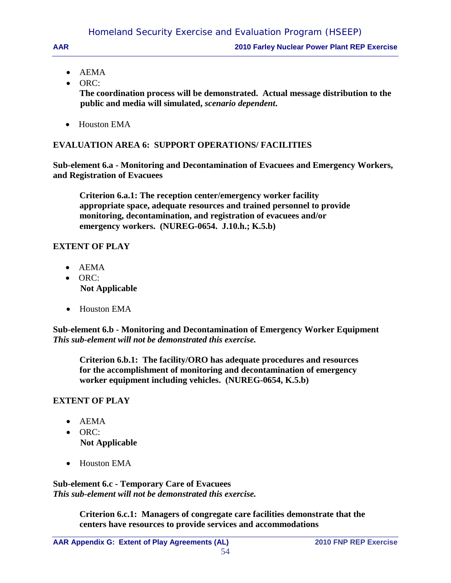- AEMA
- ORC:

**The coordination process will be demonstrated. Actual message distribution to the public and media will simulated,** *scenario dependent***.** 

• Houston EMA

### **EVALUATION AREA 6: SUPPORT OPERATIONS/ FACILITIES**

**Sub-element 6.a - Monitoring and Decontamination of Evacuees and Emergency Workers, and Registration of Evacuees** 

**Criterion 6.a.1: The reception center/emergency worker facility appropriate space, adequate resources and trained personnel to provide monitoring, decontamination, and registration of evacuees and/or emergency workers. (NUREG-0654. J.10.h.; K.5.b)** 

#### **EXTENT OF PLAY**

- AEMA
- ORC:

**Not Applicable** 

• Houston EMA

**Sub-element 6.b - Monitoring and Decontamination of Emergency Worker Equipment**  *This sub-element will not be demonstrated this exercise.* 

**Criterion 6.b.1: The facility/ORO has adequate procedures and resources for the accomplishment of monitoring and decontamination of emergency worker equipment including vehicles. (NUREG-0654, K.5.b)** 

## **EXTENT OF PLAY**

- AEMA
- ORC: **Not Applicable**
- Houston EMA

**Sub-element 6.c - Temporary Care of Evacuees**  *This sub-element will not be demonstrated this exercise.* 

> **Criterion 6.c.1: Managers of congregate care facilities demonstrate that the centers have resources to provide services and accommodations**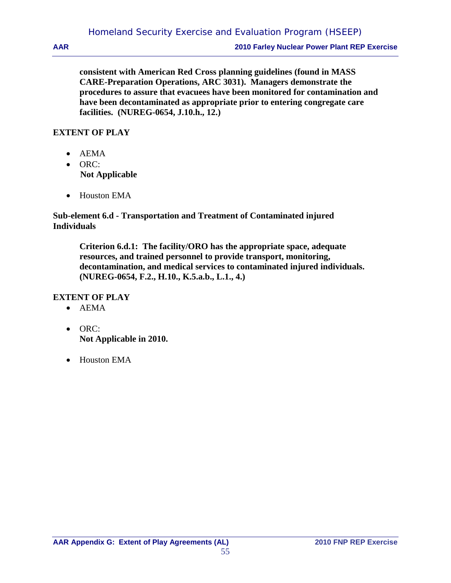**consistent with American Red Cross planning guidelines (found in MASS CARE-Preparation Operations, ARC 3031). Managers demonstrate the procedures to assure that evacuees have been monitored for contamination and have been decontaminated as appropriate prior to entering congregate care facilities. (NUREG-0654, J.10.h., 12.)** 

## **EXTENT OF PLAY**

- AEMA
- ORC: **Not Applicable**
- Houston EMA

## **Sub-element 6.d - Transportation and Treatment of Contaminated injured Individuals**

**Criterion 6.d.1: The facility/ORO has the appropriate space, adequate resources, and trained personnel to provide transport, monitoring, decontamination, and medical services to contaminated injured individuals. (NUREG-0654, F.2., H.10., K.5.a.b., L.1., 4.)** 

## **EXTENT OF PLAY**

- AEMA
- ORC: **Not Applicable in 2010.**
- Houston EMA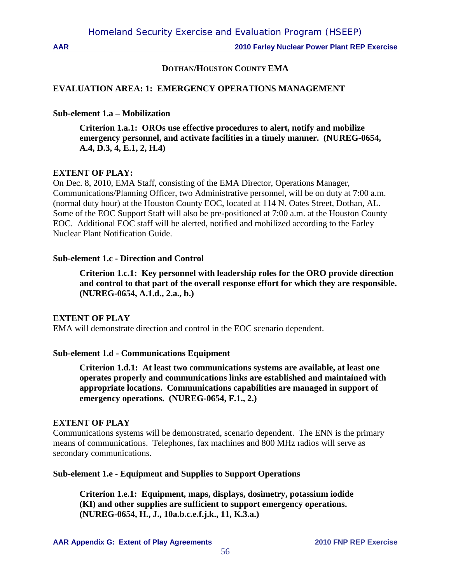## **DOTHAN/HOUSTON COUNTY EMA**

## **EVALUATION AREA: 1: EMERGENCY OPERATIONS MANAGEMENT**

**Sub-element 1.a – Mobilization** 

**Criterion 1.a.1: OROs use effective procedures to alert, notify and mobilize emergency personnel, and activate facilities in a timely manner. (NUREG-0654, A.4, D.3, 4, E.1, 2, H.4)** 

#### **EXTENT OF PLAY:**

On Dec. 8, 2010, EMA Staff, consisting of the EMA Director, Operations Manager, Communications/Planning Officer, two Administrative personnel, will be on duty at 7:00 a.m. (normal duty hour) at the Houston County EOC, located at 114 N. Oates Street, Dothan, AL. Some of the EOC Support Staff will also be pre-positioned at 7:00 a.m. at the Houston County EOC. Additional EOC staff will be alerted, notified and mobilized according to the Farley Nuclear Plant Notification Guide.

#### **Sub-element 1.c - Direction and Control**

**Criterion 1.c.1: Key personnel with leadership roles for the ORO provide direction and control to that part of the overall response effort for which they are responsible. (NUREG-0654, A.1.d., 2.a., b.)** 

#### **EXTENT OF PLAY**

EMA will demonstrate direction and control in the EOC scenario dependent.

## **Sub-element 1.d - Communications Equipment**

**Criterion 1.d.1: At least two communications systems are available, at least one operates properly and communications links are established and maintained with appropriate locations. Communications capabilities are managed in support of emergency operations. (NUREG-0654, F.1., 2.)** 

#### **EXTENT OF PLAY**

Communications systems will be demonstrated, scenario dependent. The ENN is the primary means of communications. Telephones, fax machines and 800 MHz radios will serve as secondary communications.

## **Sub-element 1.e - Equipment and Supplies to Support Operations**

**Criterion 1.e.1: Equipment, maps, displays, dosimetry, potassium iodide (KI) and other supplies are sufficient to support emergency operations. (NUREG-0654, H., J., 10a.b.c.e.f.j.k., 11, K.3.a.)**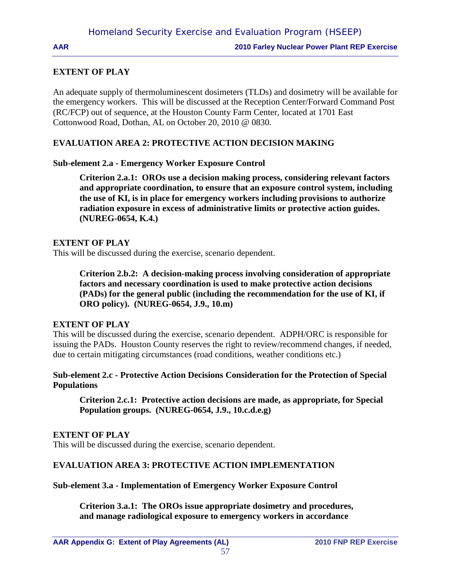## **EXTENT OF PLAY**

An adequate supply of thermoluminescent dosimeters (TLDs) and dosimetry will be available for the emergency workers. This will be discussed at the Reception Center/Forward Command Post (RC/FCP) out of sequence, at the Houston County Farm Center, located at 1701 East Cottonwood Road, Dothan, AL on October 20, 2010 @ 0830.

## **EVALUATION AREA 2: PROTECTIVE ACTION DECISION MAKING**

#### **Sub-element 2.a - Emergency Worker Exposure Control**

**Criterion 2.a.1: OROs use a decision making process, considering relevant factors and appropriate coordination, to ensure that an exposure control system, including the use of KI, is in place for emergency workers including provisions to authorize radiation exposure in excess of administrative limits or protective action guides. (NUREG-0654, K.4.)**

#### **EXTENT OF PLAY**

This will be discussed during the exercise, scenario dependent.

**Criterion 2.b.2: A decision-making process involving consideration of appropriate factors and necessary coordination is used to make protective action decisions (PADs) for the general public (including the recommendation for the use of KI, if ORO policy). (NUREG-0654, J.9., 10.m)**

#### **EXTENT OF PLAY**

This will be discussed during the exercise, scenario dependent. ADPH/ORC is responsible for issuing the PADs. Houston County reserves the right to review/recommend changes, if needed, due to certain mitigating circumstances (road conditions, weather conditions etc.)

**Sub-element 2.c - Protective Action Decisions Consideration for the Protection of Special Populations** 

**Criterion 2.c.1: Protective action decisions are made, as appropriate, for Special Population groups. (NUREG-0654, J.9., 10.c.d.e.g)**

#### **EXTENT OF PLAY**

This will be discussed during the exercise, scenario dependent.

## **EVALUATION AREA 3: PROTECTIVE ACTION IMPLEMENTATION**

**Sub-element 3.a - Implementation of Emergency Worker Exposure Control**

**Criterion 3.a.1: The OROs issue appropriate dosimetry and procedures, and manage radiological exposure to emergency workers in accordance**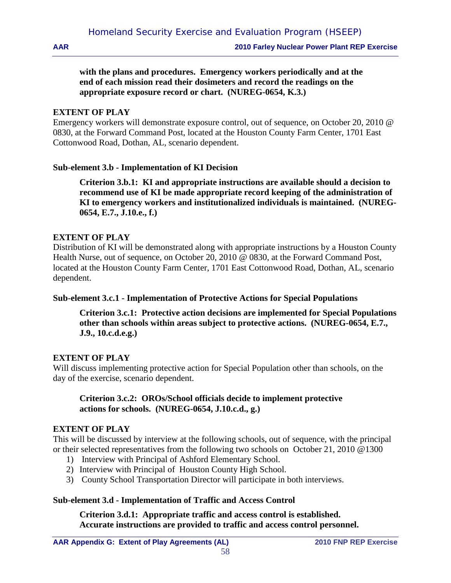**with the plans and procedures. Emergency workers periodically and at the end of each mission read their dosimeters and record the readings on the appropriate exposure record or chart. (NUREG-0654, K.3.)**

#### **EXTENT OF PLAY**

Emergency workers will demonstrate exposure control, out of sequence, on October 20, 2010 @ 0830, at the Forward Command Post, located at the Houston County Farm Center, 1701 East Cottonwood Road, Dothan, AL, scenario dependent.

#### **Sub-element 3.b - Implementation of KI Decision**

**Criterion 3.b.1: KI and appropriate instructions are available should a decision to recommend use of KI be made appropriate record keeping of the administration of KI to emergency workers and institutionalized individuals is maintained. (NUREG-0654, E.7., J.10.e., f.)** 

#### **EXTENT OF PLAY**

Distribution of KI will be demonstrated along with appropriate instructions by a Houston County Health Nurse, out of sequence, on October 20, 2010 @ 0830, at the Forward Command Post, located at the Houston County Farm Center, 1701 East Cottonwood Road, Dothan, AL, scenario dependent.

#### **Sub-element 3.c.1 - Implementation of Protective Actions for Special Populations**

**Criterion 3.c.1: Protective action decisions are implemented for Special Populations other than schools within areas subject to protective actions. (NUREG-0654, E.7., J.9., 10.c.d.e.g.)** 

#### **EXTENT OF PLAY**

Will discuss implementing protective action for Special Population other than schools, on the day of the exercise, scenario dependent.

## **Criterion 3.c.2: OROs/School officials decide to implement protective actions for schools. (NUREG-0654, J.10.c.d., g.)**

#### **EXTENT OF PLAY**

This will be discussed by interview at the following schools, out of sequence, with the principal or their selected representatives from the following two schools on October 21, 2010 @1300

- 1) Interview with Principal of Ashford Elementary School.
- 2) Interview with Principal of Houston County High School.
- 3) County School Transportation Director will participate in both interviews.

## **Sub-element 3.d - Implementation of Traffic and Access Control**

**Criterion 3.d.1: Appropriate traffic and access control is established. Accurate instructions are provided to traffic and access control personnel.**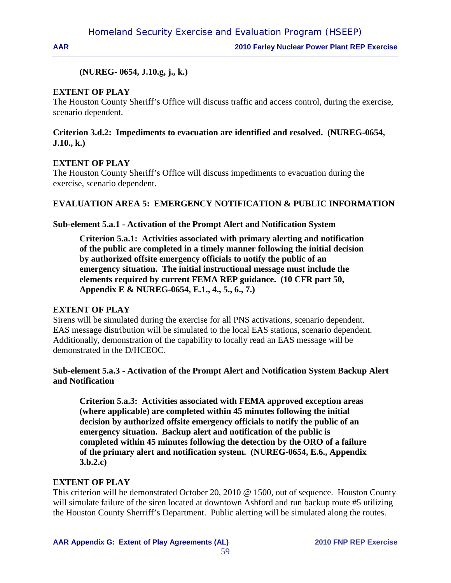### **(NUREG- 0654, J.10.g, j., k.)**

#### **EXTENT OF PLAY**

The Houston County Sheriff's Office will discuss traffic and access control, during the exercise, scenario dependent.

#### **Criterion 3.d.2: Impediments to evacuation are identified and resolved. (NUREG-0654, J.10., k.)**

#### **EXTENT OF PLAY**

The Houston County Sheriff's Office will discuss impediments to evacuation during the exercise, scenario dependent.

## **EVALUATION AREA 5: EMERGENCY NOTIFICATION & PUBLIC INFORMATION**

#### **Sub-element 5.a.1 - Activation of the Prompt Alert and Notification System**

**Criterion 5.a.1: Activities associated with primary alerting and notification of the public are completed in a timely manner following the initial decision by authorized offsite emergency officials to notify the public of an emergency situation. The initial instructional message must include the elements required by current FEMA REP guidance. (10 CFR part 50, Appendix E & NUREG-0654, E.1., 4., 5., 6., 7.)** 

#### **EXTENT OF PLAY**

Sirens will be simulated during the exercise for all PNS activations, scenario dependent. EAS message distribution will be simulated to the local EAS stations, scenario dependent. Additionally, demonstration of the capability to locally read an EAS message will be demonstrated in the D/HCEOC.

#### **Sub-element 5.a.3 - Activation of the Prompt Alert and Notification System Backup Alert and Notification**

**Criterion 5.a.3: Activities associated with FEMA approved exception areas (where applicable) are completed within 45 minutes following the initial decision by authorized offsite emergency officials to notify the public of an emergency situation. Backup alert and notification of the public is completed within 45 minutes following the detection by the ORO of a failure of the primary alert and notification system. (NUREG-0654, E.6., Appendix 3.b.2.c)** 

## **EXTENT OF PLAY**

This criterion will be demonstrated October 20, 2010 @ 1500, out of sequence. Houston County will simulate failure of the siren located at downtown Ashford and run backup route #5 utilizing the Houston County Sherriff's Department. Public alerting will be simulated along the routes.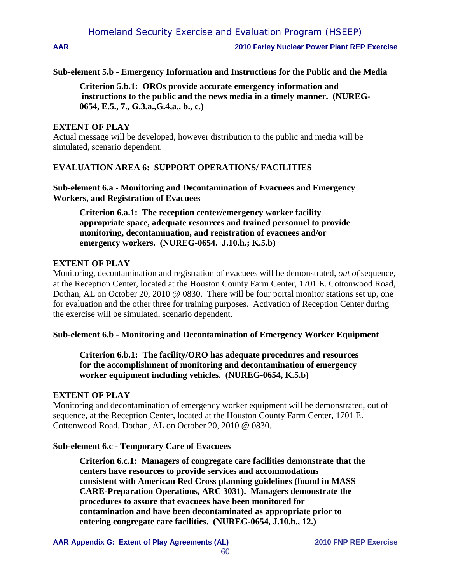## **Sub-element 5.b - Emergency Information and Instructions for the Public and the Media**

**Criterion 5.b.1: OROs provide accurate emergency information and instructions to the public and the news media in a timely manner. (NUREG-0654, E.5., 7., G.3.a.,G.4,a., b., c.)** 

## **EXTENT OF PLAY**

Actual message will be developed, however distribution to the public and media will be simulated, scenario dependent.

## **EVALUATION AREA 6: SUPPORT OPERATIONS/ FACILITIES**

#### **Sub-element 6.a - Monitoring and Decontamination of Evacuees and Emergency Workers, and Registration of Evacuees**

**Criterion 6.a.1: The reception center/emergency worker facility appropriate space, adequate resources and trained personnel to provide monitoring, decontamination, and registration of evacuees and/or emergency workers. (NUREG-0654. J.10.h.; K.5.b)**

## **EXTENT OF PLAY**

Monitoring, decontamination and registration of evacuees will be demonstrated, *out of* sequence, at the Reception Center, located at the Houston County Farm Center, 1701 E. Cottonwood Road, Dothan, AL on October 20, 2010 @ 0830. There will be four portal monitor stations set up, one for evaluation and the other three for training purposes. Activation of Reception Center during the exercise will be simulated, scenario dependent.

## **Sub-element 6.b - Monitoring and Decontamination of Emergency Worker Equipment**

**Criterion 6.b.1: The facility/ORO has adequate procedures and resources for the accomplishment of monitoring and decontamination of emergency worker equipment including vehicles. (NUREG-0654, K.5.b)**

## **EXTENT OF PLAY**

Monitoring and decontamination of emergency worker equipment will be demonstrated, out of sequence, at the Reception Center, located at the Houston County Farm Center, 1701 E. Cottonwood Road, Dothan, AL on October 20, 2010 @ 0830.

## **Sub-element 6.c - Temporary Care of Evacuees**

**Criterion 6.c.1: Managers of congregate care facilities demonstrate that the centers have resources to provide services and accommodations consistent with American Red Cross planning guidelines (found in MASS CARE-Preparation Operations, ARC 3031). Managers demonstrate the procedures to assure that evacuees have been monitored for contamination and have been decontaminated as appropriate prior to entering congregate care facilities. (NUREG-0654, J.10.h., 12.)**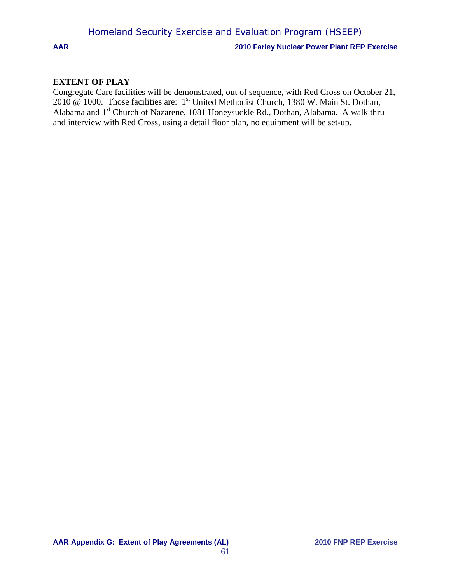## **EXTENT OF PLAY**

Congregate Care facilities will be demonstrated, out of sequence, with Red Cross on October 21, 2010  $\omega$  1000. Those facilities are: 1<sup>st</sup> United Methodist Church, 1380 W. Main St. Dothan, Alabama and 1<sup>st</sup> Church of Nazarene, 1081 Honeysuckle Rd., Dothan, Alabama. A walk thru and interview with Red Cross, using a detail floor plan, no equipment will be set-up.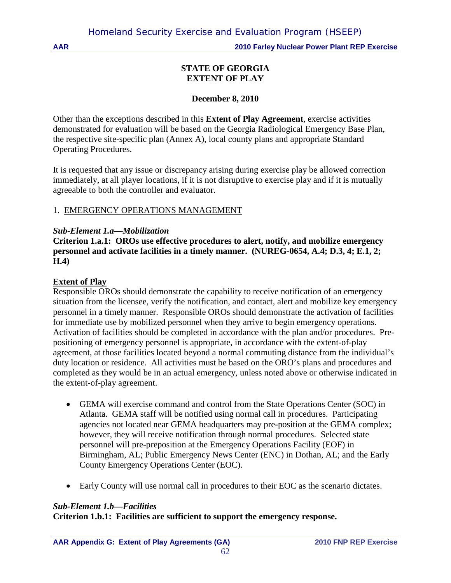## **STATE OF GEORGIA EXTENT OF PLAY**

## **December 8, 2010**

Other than the exceptions described in this **Extent of Play Agreement**, exercise activities demonstrated for evaluation will be based on the Georgia Radiological Emergency Base Plan, the respective site-specific plan (Annex A), local county plans and appropriate Standard Operating Procedures.

It is requested that any issue or discrepancy arising during exercise play be allowed correction immediately, at all player locations, if it is not disruptive to exercise play and if it is mutually agreeable to both the controller and evaluator.

## 1. EMERGENCY OPERATIONS MANAGEMENT

## *Sub-Element 1.a—Mobilization*

**Criterion 1.a.1: OROs use effective procedures to alert, notify, and mobilize emergency personnel and activate facilities in a timely manner. (NUREG-0654, A.4; D.3, 4; E.1, 2; H.4)** 

## **Extent of Play**

Responsible OROs should demonstrate the capability to receive notification of an emergency situation from the licensee, verify the notification, and contact, alert and mobilize key emergency personnel in a timely manner. Responsible OROs should demonstrate the activation of facilities for immediate use by mobilized personnel when they arrive to begin emergency operations. Activation of facilities should be completed in accordance with the plan and/or procedures. Prepositioning of emergency personnel is appropriate, in accordance with the extent-of-play agreement, at those facilities located beyond a normal commuting distance from the individual's duty location or residence. All activities must be based on the ORO's plans and procedures and completed as they would be in an actual emergency, unless noted above or otherwise indicated in the extent-of-play agreement.

- GEMA will exercise command and control from the State Operations Center (SOC) in Atlanta. GEMA staff will be notified using normal call in procedures. Participating agencies not located near GEMA headquarters may pre-position at the GEMA complex; however, they will receive notification through normal procedures. Selected state personnel will pre-preposition at the Emergency Operations Facility (EOF) in Birmingham, AL; Public Emergency News Center (ENC) in Dothan, AL; and the Early County Emergency Operations Center (EOC).
- Early County will use normal call in procedures to their EOC as the scenario dictates.

## *Sub-Element 1.b—Facilities*

**Criterion 1.b.1: Facilities are sufficient to support the emergency response.**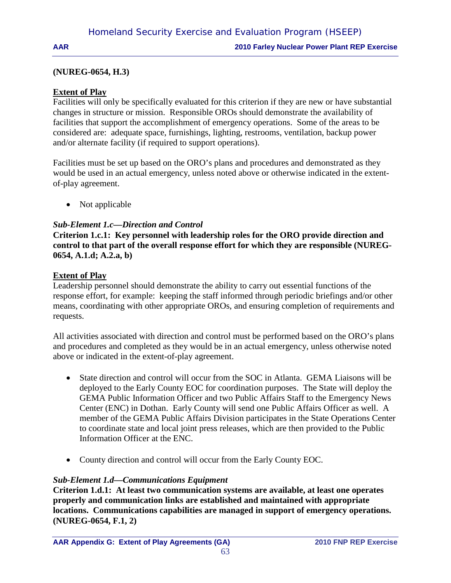#### **(NUREG-0654, H.3)**

#### **Extent of Play**

Facilities will only be specifically evaluated for this criterion if they are new or have substantial changes in structure or mission. Responsible OROs should demonstrate the availability of facilities that support the accomplishment of emergency operations. Some of the areas to be considered are: adequate space, furnishings, lighting, restrooms, ventilation, backup power and/or alternate facility (if required to support operations).

Facilities must be set up based on the ORO's plans and procedures and demonstrated as they would be used in an actual emergency, unless noted above or otherwise indicated in the extentof-play agreement.

• Not applicable

#### *Sub-Element 1.c—Direction and Control*

**Criterion 1.c.1: Key personnel with leadership roles for the ORO provide direction and control to that part of the overall response effort for which they are responsible (NUREG-0654, A.1.d; A.2.a, b)** 

#### **Extent of Play**

Leadership personnel should demonstrate the ability to carry out essential functions of the response effort, for example: keeping the staff informed through periodic briefings and/or other means, coordinating with other appropriate OROs, and ensuring completion of requirements and requests.

All activities associated with direction and control must be performed based on the ORO's plans and procedures and completed as they would be in an actual emergency, unless otherwise noted above or indicated in the extent-of-play agreement.

- State direction and control will occur from the SOC in Atlanta. GEMA Liaisons will be deployed to the Early County EOC for coordination purposes. The State will deploy the GEMA Public Information Officer and two Public Affairs Staff to the Emergency News Center (ENC) in Dothan. Early County will send one Public Affairs Officer as well. A member of the GEMA Public Affairs Division participates in the State Operations Center to coordinate state and local joint press releases, which are then provided to the Public Information Officer at the ENC.
- County direction and control will occur from the Early County EOC.

#### *Sub-Element 1.d—Communications Equipment*

**Criterion 1.d.1: At least two communication systems are available, at least one operates properly and communication links are established and maintained with appropriate locations. Communications capabilities are managed in support of emergency operations. (NUREG-0654, F.1, 2)**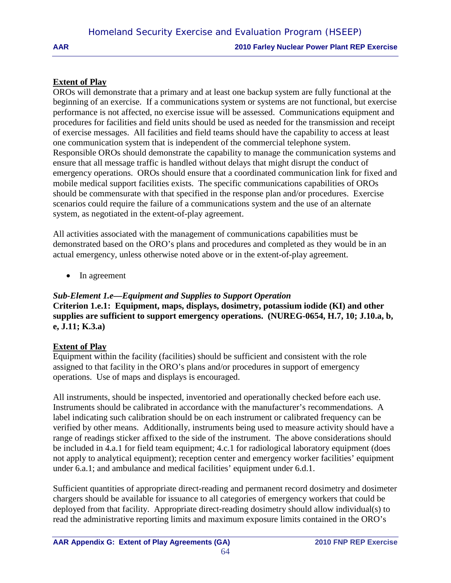## **Extent of Play**

OROs will demonstrate that a primary and at least one backup system are fully functional at the beginning of an exercise. If a communications system or systems are not functional, but exercise performance is not affected, no exercise issue will be assessed. Communications equipment and procedures for facilities and field units should be used as needed for the transmission and receipt of exercise messages. All facilities and field teams should have the capability to access at least one communication system that is independent of the commercial telephone system. Responsible OROs should demonstrate the capability to manage the communication systems and ensure that all message traffic is handled without delays that might disrupt the conduct of emergency operations. OROs should ensure that a coordinated communication link for fixed and mobile medical support facilities exists. The specific communications capabilities of OROs should be commensurate with that specified in the response plan and/or procedures. Exercise scenarios could require the failure of a communications system and the use of an alternate system, as negotiated in the extent-of-play agreement.

All activities associated with the management of communications capabilities must be demonstrated based on the ORO's plans and procedures and completed as they would be in an actual emergency, unless otherwise noted above or in the extent-of-play agreement.

• In agreement

## *Sub-Element 1.e—Equipment and Supplies to Support Operation*  **Criterion 1.e.1: Equipment, maps, displays, dosimetry, potassium iodide (KI) and other supplies are sufficient to support emergency operations. (NUREG-0654, H.7, 10; J.10.a, b, e, J.11; K.3.a)**

## **Extent of Play**

Equipment within the facility (facilities) should be sufficient and consistent with the role assigned to that facility in the ORO's plans and/or procedures in support of emergency operations. Use of maps and displays is encouraged.

All instruments, should be inspected, inventoried and operationally checked before each use. Instruments should be calibrated in accordance with the manufacturer's recommendations. A label indicating such calibration should be on each instrument or calibrated frequency can be verified by other means. Additionally, instruments being used to measure activity should have a range of readings sticker affixed to the side of the instrument. The above considerations should be included in 4.a.1 for field team equipment; 4.c.1 for radiological laboratory equipment (does not apply to analytical equipment); reception center and emergency worker facilities' equipment under 6.a.1; and ambulance and medical facilities' equipment under 6.d.1.

Sufficient quantities of appropriate direct-reading and permanent record dosimetry and dosimeter chargers should be available for issuance to all categories of emergency workers that could be deployed from that facility. Appropriate direct-reading dosimetry should allow individual(s) to read the administrative reporting limits and maximum exposure limits contained in the ORO's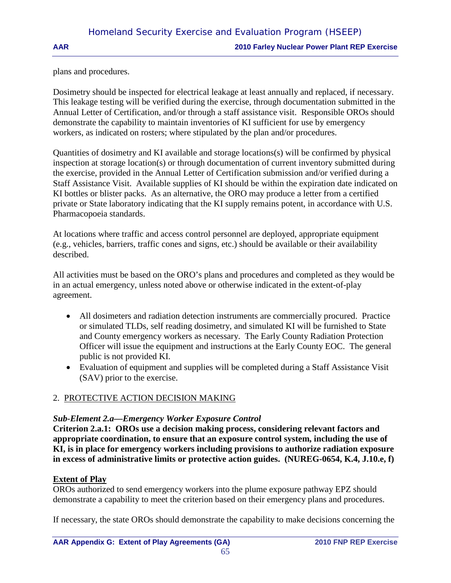plans and procedures.

Dosimetry should be inspected for electrical leakage at least annually and replaced, if necessary. This leakage testing will be verified during the exercise, through documentation submitted in the Annual Letter of Certification, and/or through a staff assistance visit. Responsible OROs should demonstrate the capability to maintain inventories of KI sufficient for use by emergency workers, as indicated on rosters; where stipulated by the plan and/or procedures.

Quantities of dosimetry and KI available and storage locations(s) will be confirmed by physical inspection at storage location(s) or through documentation of current inventory submitted during the exercise, provided in the Annual Letter of Certification submission and/or verified during a Staff Assistance Visit. Available supplies of KI should be within the expiration date indicated on KI bottles or blister packs. As an alternative, the ORO may produce a letter from a certified private or State laboratory indicating that the KI supply remains potent, in accordance with U.S. Pharmacopoeia standards.

At locations where traffic and access control personnel are deployed, appropriate equipment (e.g., vehicles, barriers, traffic cones and signs, etc.) should be available or their availability described.

All activities must be based on the ORO's plans and procedures and completed as they would be in an actual emergency, unless noted above or otherwise indicated in the extent-of-play agreement.

- All dosimeters and radiation detection instruments are commercially procured. Practice or simulated TLDs, self reading dosimetry, and simulated KI will be furnished to State and County emergency workers as necessary. The Early County Radiation Protection Officer will issue the equipment and instructions at the Early County EOC. The general public is not provided KI.
- Evaluation of equipment and supplies will be completed during a Staff Assistance Visit (SAV) prior to the exercise.

## 2. PROTECTIVE ACTION DECISION MAKING

## *Sub-Element 2.a—Emergency Worker Exposure Control*

**Criterion 2.a.1: OROs use a decision making process, considering relevant factors and appropriate coordination, to ensure that an exposure control system, including the use of KI, is in place for emergency workers including provisions to authorize radiation exposure in excess of administrative limits or protective action guides. (NUREG-0654, K.4, J.10.e, f)** 

## **Extent of Play**

OROs authorized to send emergency workers into the plume exposure pathway EPZ should demonstrate a capability to meet the criterion based on their emergency plans and procedures.

If necessary, the state OROs should demonstrate the capability to make decisions concerning the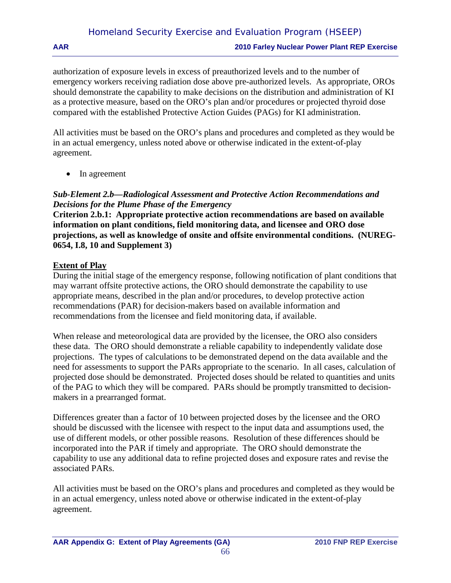authorization of exposure levels in excess of preauthorized levels and to the number of emergency workers receiving radiation dose above pre-authorized levels. As appropriate, OROs should demonstrate the capability to make decisions on the distribution and administration of KI as a protective measure, based on the ORO's plan and/or procedures or projected thyroid dose compared with the established Protective Action Guides (PAGs) for KI administration.

All activities must be based on the ORO's plans and procedures and completed as they would be in an actual emergency, unless noted above or otherwise indicated in the extent-of-play agreement.

• In agreement

*Sub-Element 2.b—Radiological Assessment and Protective Action Recommendations and Decisions for the Plume Phase of the Emergency*

**Criterion 2.b.1: Appropriate protective action recommendations are based on available information on plant conditions, field monitoring data, and licensee and ORO dose projections, as well as knowledge of onsite and offsite environmental conditions. (NUREG-0654, I.8, 10 and Supplement 3)** 

## **Extent of Play**

During the initial stage of the emergency response, following notification of plant conditions that may warrant offsite protective actions, the ORO should demonstrate the capability to use appropriate means, described in the plan and/or procedures, to develop protective action recommendations (PAR) for decision-makers based on available information and recommendations from the licensee and field monitoring data, if available.

When release and meteorological data are provided by the licensee, the ORO also considers these data. The ORO should demonstrate a reliable capability to independently validate dose projections. The types of calculations to be demonstrated depend on the data available and the need for assessments to support the PARs appropriate to the scenario. In all cases, calculation of projected dose should be demonstrated. Projected doses should be related to quantities and units of the PAG to which they will be compared. PARs should be promptly transmitted to decisionmakers in a prearranged format.

Differences greater than a factor of 10 between projected doses by the licensee and the ORO should be discussed with the licensee with respect to the input data and assumptions used, the use of different models, or other possible reasons. Resolution of these differences should be incorporated into the PAR if timely and appropriate. The ORO should demonstrate the capability to use any additional data to refine projected doses and exposure rates and revise the associated PARs.

All activities must be based on the ORO's plans and procedures and completed as they would be in an actual emergency, unless noted above or otherwise indicated in the extent-of-play agreement.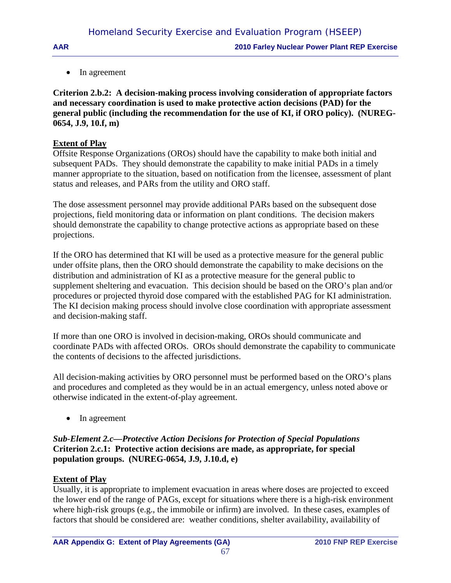• In agreement

**Criterion 2.b.2: A decision-making process involving consideration of appropriate factors and necessary coordination is used to make protective action decisions (PAD) for the general public (including the recommendation for the use of KI, if ORO policy). (NUREG-0654, J.9, 10.f, m)** 

## **Extent of Play**

Offsite Response Organizations (OROs) should have the capability to make both initial and subsequent PADs. They should demonstrate the capability to make initial PADs in a timely manner appropriate to the situation, based on notification from the licensee, assessment of plant status and releases, and PARs from the utility and ORO staff.

The dose assessment personnel may provide additional PARs based on the subsequent dose projections, field monitoring data or information on plant conditions. The decision makers should demonstrate the capability to change protective actions as appropriate based on these projections.

If the ORO has determined that KI will be used as a protective measure for the general public under offsite plans, then the ORO should demonstrate the capability to make decisions on the distribution and administration of KI as a protective measure for the general public to supplement sheltering and evacuation. This decision should be based on the ORO's plan and/or procedures or projected thyroid dose compared with the established PAG for KI administration. The KI decision making process should involve close coordination with appropriate assessment and decision-making staff.

If more than one ORO is involved in decision-making, OROs should communicate and coordinate PADs with affected OROs. OROs should demonstrate the capability to communicate the contents of decisions to the affected jurisdictions.

All decision-making activities by ORO personnel must be performed based on the ORO's plans and procedures and completed as they would be in an actual emergency, unless noted above or otherwise indicated in the extent-of-play agreement.

• In agreement

## *Sub-Element 2.c—Protective Action Decisions for Protection of Special Populations*  **Criterion 2.c.1: Protective action decisions are made, as appropriate, for special population groups. (NUREG-0654, J.9, J.10.d, e)**

## **Extent of Play**

Usually, it is appropriate to implement evacuation in areas where doses are projected to exceed the lower end of the range of PAGs, except for situations where there is a high-risk environment where high-risk groups (e.g., the immobile or infirm) are involved. In these cases, examples of factors that should be considered are: weather conditions, shelter availability, availability of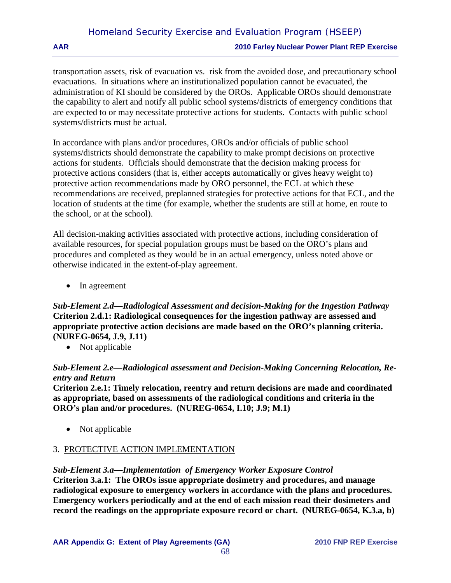transportation assets, risk of evacuation vs. risk from the avoided dose, and precautionary school evacuations. In situations where an institutionalized population cannot be evacuated, the administration of KI should be considered by the OROs. Applicable OROs should demonstrate the capability to alert and notify all public school systems/districts of emergency conditions that are expected to or may necessitate protective actions for students. Contacts with public school systems/districts must be actual.

In accordance with plans and/or procedures, OROs and/or officials of public school systems/districts should demonstrate the capability to make prompt decisions on protective actions for students. Officials should demonstrate that the decision making process for protective actions considers (that is, either accepts automatically or gives heavy weight to) protective action recommendations made by ORO personnel, the ECL at which these recommendations are received, preplanned strategies for protective actions for that ECL, and the location of students at the time (for example, whether the students are still at home, en route to the school, or at the school).

All decision-making activities associated with protective actions, including consideration of available resources, for special population groups must be based on the ORO's plans and procedures and completed as they would be in an actual emergency, unless noted above or otherwise indicated in the extent-of-play agreement.

• In agreement

*Sub-Element 2.d—Radiological Assessment and decision-Making for the Ingestion Pathway*  **Criterion 2.d.1: Radiological consequences for the ingestion pathway are assessed and appropriate protective action decisions are made based on the ORO's planning criteria. (NUREG-0654, J.9, J.11)** 

• Not applicable

#### *Sub-Element 2.e—Radiological assessment and Decision-Making Concerning Relocation, Reentry and Return*

**Criterion 2.e.1: Timely relocation, reentry and return decisions are made and coordinated as appropriate, based on assessments of the radiological conditions and criteria in the ORO's plan and/or procedures. (NUREG-0654, I.10; J.9; M.1)** 

• Not applicable

## 3. PROTECTIVE ACTION IMPLEMENTATION

## *Sub-Element 3.a—Implementation of Emergency Worker Exposure Control*

**Criterion 3.a.1: The OROs issue appropriate dosimetry and procedures, and manage radiological exposure to emergency workers in accordance with the plans and procedures. Emergency workers periodically and at the end of each mission read their dosimeters and record the readings on the appropriate exposure record or chart. (NUREG-0654, K.3.a, b)** 

68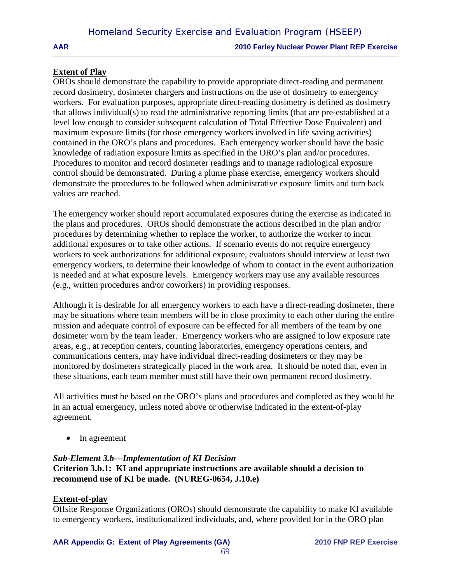## **Extent of Play**

OROs should demonstrate the capability to provide appropriate direct-reading and permanent record dosimetry, dosimeter chargers and instructions on the use of dosimetry to emergency workers. For evaluation purposes, appropriate direct-reading dosimetry is defined as dosimetry that allows individual(s) to read the administrative reporting limits (that are pre-established at a level low enough to consider subsequent calculation of Total Effective Dose Equivalent) and maximum exposure limits (for those emergency workers involved in life saving activities) contained in the ORO's plans and procedures. Each emergency worker should have the basic knowledge of radiation exposure limits as specified in the ORO's plan and/or procedures. Procedures to monitor and record dosimeter readings and to manage radiological exposure control should be demonstrated. During a plume phase exercise, emergency workers should demonstrate the procedures to be followed when administrative exposure limits and turn back values are reached.

The emergency worker should report accumulated exposures during the exercise as indicated in the plans and procedures. OROs should demonstrate the actions described in the plan and/or procedures by determining whether to replace the worker, to authorize the worker to incur additional exposures or to take other actions. If scenario events do not require emergency workers to seek authorizations for additional exposure, evaluators should interview at least two emergency workers, to determine their knowledge of whom to contact in the event authorization is needed and at what exposure levels. Emergency workers may use any available resources (e.g., written procedures and/or coworkers) in providing responses.

Although it is desirable for all emergency workers to each have a direct-reading dosimeter, there may be situations where team members will be in close proximity to each other during the entire mission and adequate control of exposure can be effected for all members of the team by one dosimeter worn by the team leader. Emergency workers who are assigned to low exposure rate areas, e.g., at reception centers, counting laboratories, emergency operations centers, and communications centers, may have individual direct-reading dosimeters or they may be monitored by dosimeters strategically placed in the work area. It should be noted that, even in these situations, each team member must still have their own permanent record dosimetry.

All activities must be based on the ORO's plans and procedures and completed as they would be in an actual emergency, unless noted above or otherwise indicated in the extent-of-play agreement.

• In agreement

#### *Sub-Element 3.b—Implementation of KI Decision* **Criterion 3.b.1: KI and appropriate instructions are available should a decision to recommend use of KI be made. (NUREG-0654, J.10.e)**

## **Extent-of-play**

Offsite Response Organizations (OROs) should demonstrate the capability to make KI available to emergency workers, institutionalized individuals, and, where provided for in the ORO plan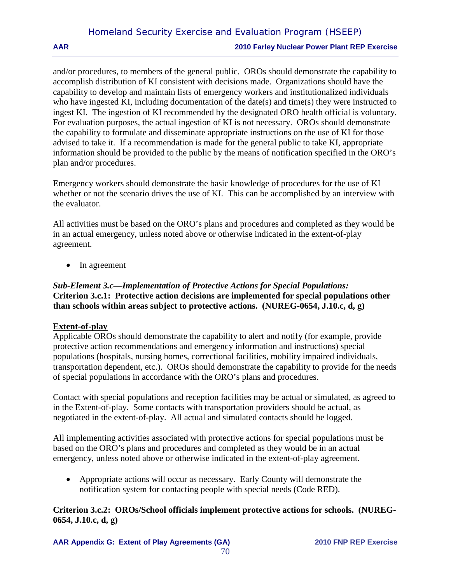and/or procedures, to members of the general public. OROs should demonstrate the capability to accomplish distribution of KI consistent with decisions made. Organizations should have the capability to develop and maintain lists of emergency workers and institutionalized individuals who have ingested KI, including documentation of the date(s) and time(s) they were instructed to ingest KI. The ingestion of KI recommended by the designated ORO health official is voluntary. For evaluation purposes, the actual ingestion of KI is not necessary. OROs should demonstrate the capability to formulate and disseminate appropriate instructions on the use of KI for those advised to take it. If a recommendation is made for the general public to take KI, appropriate information should be provided to the public by the means of notification specified in the ORO's plan and/or procedures.

Emergency workers should demonstrate the basic knowledge of procedures for the use of KI whether or not the scenario drives the use of KI. This can be accomplished by an interview with the evaluator.

All activities must be based on the ORO's plans and procedures and completed as they would be in an actual emergency, unless noted above or otherwise indicated in the extent-of-play agreement.

• In agreement

## *Sub-Element 3.c—Implementation of Protective Actions for Special Populations:* **Criterion 3.c.1: Protective action decisions are implemented for special populations other than schools within areas subject to protective actions. (NUREG-0654, J.10.c, d, g)**

#### **Extent-of-play**

Applicable OROs should demonstrate the capability to alert and notify (for example, provide protective action recommendations and emergency information and instructions) special populations (hospitals, nursing homes, correctional facilities, mobility impaired individuals, transportation dependent, etc.). OROs should demonstrate the capability to provide for the needs of special populations in accordance with the ORO's plans and procedures.

Contact with special populations and reception facilities may be actual or simulated, as agreed to in the Extent-of-play. Some contacts with transportation providers should be actual, as negotiated in the extent-of-play. All actual and simulated contacts should be logged.

All implementing activities associated with protective actions for special populations must be based on the ORO's plans and procedures and completed as they would be in an actual emergency, unless noted above or otherwise indicated in the extent-of-play agreement.

• Appropriate actions will occur as necessary. Early County will demonstrate the notification system for contacting people with special needs (Code RED).

## **Criterion 3.c.2: OROs/School officials implement protective actions for schools. (NUREG-0654, J.10.c, d, g)**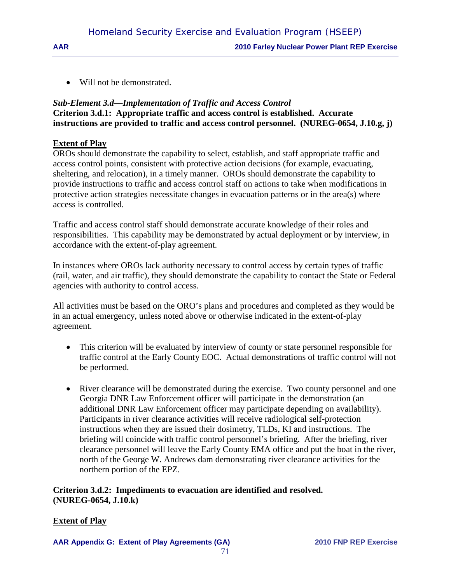• Will not be demonstrated.

## *Sub-Element 3.d—Implementation of Traffic and Access Control*  **Criterion 3.d.1: Appropriate traffic and access control is established. Accurate instructions are provided to traffic and access control personnel. (NUREG-0654, J.10.g, j)**

#### **Extent of Play**

OROs should demonstrate the capability to select, establish, and staff appropriate traffic and access control points, consistent with protective action decisions (for example, evacuating, sheltering, and relocation), in a timely manner. OROs should demonstrate the capability to provide instructions to traffic and access control staff on actions to take when modifications in protective action strategies necessitate changes in evacuation patterns or in the area(s) where access is controlled.

Traffic and access control staff should demonstrate accurate knowledge of their roles and responsibilities. This capability may be demonstrated by actual deployment or by interview, in accordance with the extent-of-play agreement.

In instances where OROs lack authority necessary to control access by certain types of traffic (rail, water, and air traffic), they should demonstrate the capability to contact the State or Federal agencies with authority to control access.

All activities must be based on the ORO's plans and procedures and completed as they would be in an actual emergency, unless noted above or otherwise indicated in the extent-of-play agreement.

- This criterion will be evaluated by interview of county or state personnel responsible for traffic control at the Early County EOC. Actual demonstrations of traffic control will not be performed.
- River clearance will be demonstrated during the exercise. Two county personnel and one Georgia DNR Law Enforcement officer will participate in the demonstration (an additional DNR Law Enforcement officer may participate depending on availability). Participants in river clearance activities will receive radiological self-protection instructions when they are issued their dosimetry, TLDs, KI and instructions. The briefing will coincide with traffic control personnel's briefing. After the briefing, river clearance personnel will leave the Early County EMA office and put the boat in the river, north of the George W. Andrews dam demonstrating river clearance activities for the northern portion of the EPZ.

#### **Criterion 3.d.2: Impediments to evacuation are identified and resolved. (NUREG-0654, J.10.k)**

## **Extent of Play**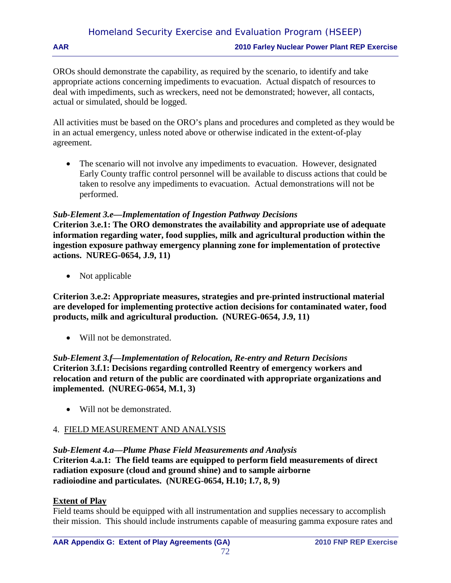OROs should demonstrate the capability, as required by the scenario, to identify and take appropriate actions concerning impediments to evacuation. Actual dispatch of resources to deal with impediments, such as wreckers, need not be demonstrated; however, all contacts, actual or simulated, should be logged.

All activities must be based on the ORO's plans and procedures and completed as they would be in an actual emergency, unless noted above or otherwise indicated in the extent-of-play agreement.

• The scenario will not involve any impediments to evacuation. However, designated Early County traffic control personnel will be available to discuss actions that could be taken to resolve any impediments to evacuation. Actual demonstrations will not be performed.

#### *Sub-Element 3.e—Implementation of Ingestion Pathway Decisions*

**Criterion 3.e.1: The ORO demonstrates the availability and appropriate use of adequate information regarding water, food supplies, milk and agricultural production within the ingestion exposure pathway emergency planning zone for implementation of protective actions. NUREG-0654, J.9, 11)** 

• Not applicable

**Criterion 3.e.2: Appropriate measures, strategies and pre-printed instructional material are developed for implementing protective action decisions for contaminated water, food products, milk and agricultural production. (NUREG-0654, J.9, 11)** 

• Will not be demonstrated.

*Sub-Element 3.f—Implementation of Relocation, Re-entry and Return Decisions* **Criterion 3.f.1: Decisions regarding controlled Reentry of emergency workers and relocation and return of the public are coordinated with appropriate organizations and implemented. (NUREG-0654, M.1, 3)**

• Will not be demonstrated.

## 4. FIELD MEASUREMENT AND ANALYSIS

#### *Sub-Element 4.a—Plume Phase Field Measurements and Analysis* **Criterion 4.a.1: The field teams are equipped to perform field measurements of direct radiation exposure (cloud and ground shine) and to sample airborne radioiodine and particulates. (NUREG-0654, H.10; I.7, 8, 9)**

#### **Extent of Play**

Field teams should be equipped with all instrumentation and supplies necessary to accomplish their mission. This should include instruments capable of measuring gamma exposure rates and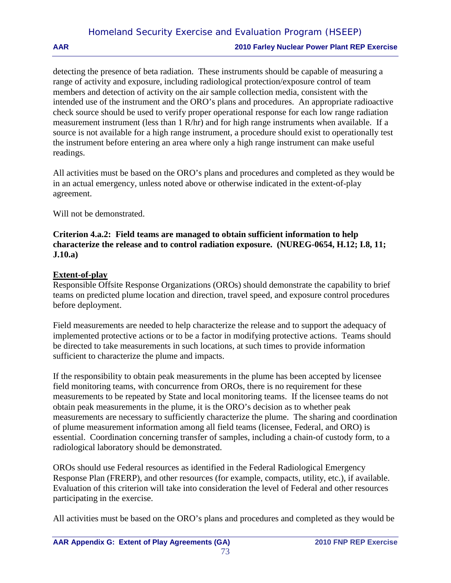detecting the presence of beta radiation. These instruments should be capable of measuring a range of activity and exposure, including radiological protection/exposure control of team members and detection of activity on the air sample collection media, consistent with the intended use of the instrument and the ORO's plans and procedures. An appropriate radioactive check source should be used to verify proper operational response for each low range radiation measurement instrument (less than 1 R/hr) and for high range instruments when available. If a source is not available for a high range instrument, a procedure should exist to operationally test the instrument before entering an area where only a high range instrument can make useful readings.

All activities must be based on the ORO's plans and procedures and completed as they would be in an actual emergency, unless noted above or otherwise indicated in the extent-of-play agreement.

Will not be demonstrated.

## **Criterion 4.a.2: Field teams are managed to obtain sufficient information to help characterize the release and to control radiation exposure. (NUREG-0654, H.12; I.8, 11; J.10.a)**

## **Extent-of-play**

Responsible Offsite Response Organizations (OROs) should demonstrate the capability to brief teams on predicted plume location and direction, travel speed, and exposure control procedures before deployment.

Field measurements are needed to help characterize the release and to support the adequacy of implemented protective actions or to be a factor in modifying protective actions. Teams should be directed to take measurements in such locations, at such times to provide information sufficient to characterize the plume and impacts.

If the responsibility to obtain peak measurements in the plume has been accepted by licensee field monitoring teams, with concurrence from OROs, there is no requirement for these measurements to be repeated by State and local monitoring teams. If the licensee teams do not obtain peak measurements in the plume, it is the ORO's decision as to whether peak measurements are necessary to sufficiently characterize the plume. The sharing and coordination of plume measurement information among all field teams (licensee, Federal, and ORO) is essential. Coordination concerning transfer of samples, including a chain-of custody form, to a radiological laboratory should be demonstrated.

OROs should use Federal resources as identified in the Federal Radiological Emergency Response Plan (FRERP), and other resources (for example, compacts, utility, etc.), if available. Evaluation of this criterion will take into consideration the level of Federal and other resources participating in the exercise.

All activities must be based on the ORO's plans and procedures and completed as they would be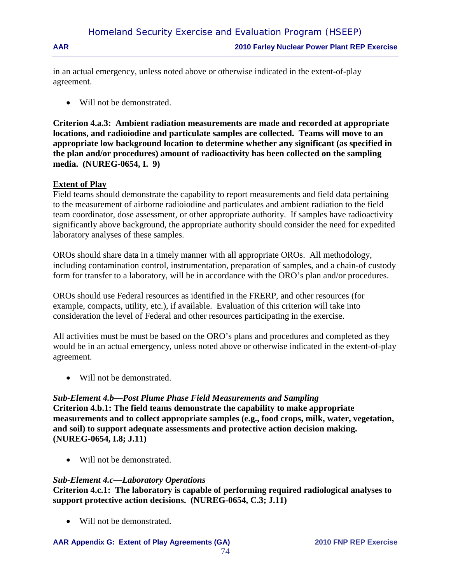#### **AAR 2010 Farley Nuclear Power Plant REP Exercise**

in an actual emergency, unless noted above or otherwise indicated in the extent-of-play agreement.

• Will not be demonstrated.

**Criterion 4.a.3: Ambient radiation measurements are made and recorded at appropriate locations, and radioiodine and particulate samples are collected. Teams will move to an appropriate low background location to determine whether any significant (as specified in the plan and/or procedures) amount of radioactivity has been collected on the sampling media. (NUREG-0654, I. 9)** 

#### **Extent of Play**

Field teams should demonstrate the capability to report measurements and field data pertaining to the measurement of airborne radioiodine and particulates and ambient radiation to the field team coordinator, dose assessment, or other appropriate authority. If samples have radioactivity significantly above background, the appropriate authority should consider the need for expedited laboratory analyses of these samples.

OROs should share data in a timely manner with all appropriate OROs. All methodology, including contamination control, instrumentation, preparation of samples, and a chain-of custody form for transfer to a laboratory, will be in accordance with the ORO's plan and/or procedures.

OROs should use Federal resources as identified in the FRERP, and other resources (for example, compacts, utility, etc.), if available. Evaluation of this criterion will take into consideration the level of Federal and other resources participating in the exercise.

All activities must be must be based on the ORO's plans and procedures and completed as they would be in an actual emergency, unless noted above or otherwise indicated in the extent-of-play agreement.

• Will not be demonstrated.

## *Sub-Element 4.b—Post Plume Phase Field Measurements and Sampling*

**Criterion 4.b.1: The field teams demonstrate the capability to make appropriate measurements and to collect appropriate samples (e.g., food crops, milk, water, vegetation, and soil) to support adequate assessments and protective action decision making. (NUREG-0654, I.8; J.11)** 

• Will not be demonstrated.

## *Sub-Element 4.c—Laboratory Operations*

**Criterion 4.c.1: The laboratory is capable of performing required radiological analyses to support protective action decisions. (NUREG-0654, C.3; J.11)** 

• Will not be demonstrated.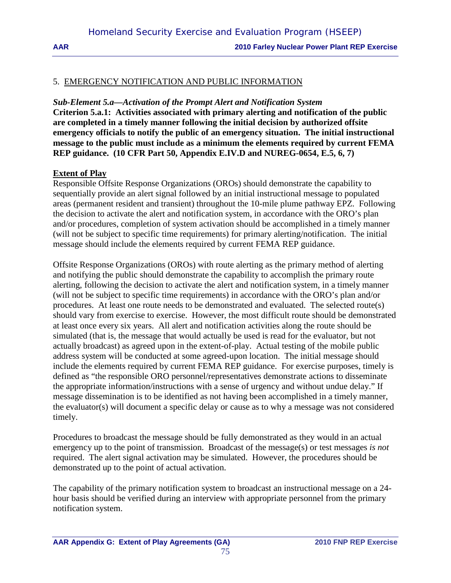## 5. EMERGENCY NOTIFICATION AND PUBLIC INFORMATION

*Sub-Element 5.a—Activation of the Prompt Alert and Notification System* **Criterion 5.a.1: Activities associated with primary alerting and notification of the public are completed in a timely manner following the initial decision by authorized offsite emergency officials to notify the public of an emergency situation. The initial instructional message to the public must include as a minimum the elements required by current FEMA REP guidance. (10 CFR Part 50, Appendix E.IV.D and NUREG-0654, E.5, 6, 7)** 

#### **Extent of Play**

Responsible Offsite Response Organizations (OROs) should demonstrate the capability to sequentially provide an alert signal followed by an initial instructional message to populated areas (permanent resident and transient) throughout the 10-mile plume pathway EPZ. Following the decision to activate the alert and notification system, in accordance with the ORO's plan and/or procedures, completion of system activation should be accomplished in a timely manner (will not be subject to specific time requirements) for primary alerting/notification. The initial message should include the elements required by current FEMA REP guidance.

Offsite Response Organizations (OROs) with route alerting as the primary method of alerting and notifying the public should demonstrate the capability to accomplish the primary route alerting, following the decision to activate the alert and notification system, in a timely manner (will not be subject to specific time requirements) in accordance with the ORO's plan and/or procedures. At least one route needs to be demonstrated and evaluated. The selected route(s) should vary from exercise to exercise. However, the most difficult route should be demonstrated at least once every six years. All alert and notification activities along the route should be simulated (that is, the message that would actually be used is read for the evaluator, but not actually broadcast) as agreed upon in the extent-of-play. Actual testing of the mobile public address system will be conducted at some agreed-upon location. The initial message should include the elements required by current FEMA REP guidance. For exercise purposes, timely is defined as "the responsible ORO personnel/representatives demonstrate actions to disseminate the appropriate information/instructions with a sense of urgency and without undue delay." If message dissemination is to be identified as not having been accomplished in a timely manner, the evaluator(s) will document a specific delay or cause as to why a message was not considered timely.

Procedures to broadcast the message should be fully demonstrated as they would in an actual emergency up to the point of transmission. Broadcast of the message(s) or test messages *is not*  required. The alert signal activation may be simulated. However, the procedures should be demonstrated up to the point of actual activation.

The capability of the primary notification system to broadcast an instructional message on a 24 hour basis should be verified during an interview with appropriate personnel from the primary notification system.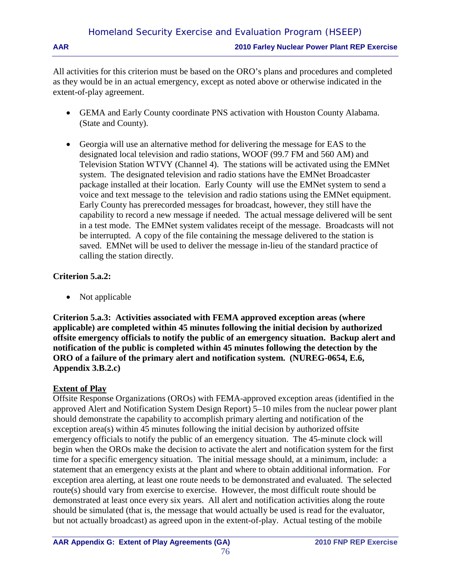All activities for this criterion must be based on the ORO's plans and procedures and completed as they would be in an actual emergency, except as noted above or otherwise indicated in the extent-of-play agreement.

- GEMA and Early County coordinate PNS activation with Houston County Alabama. (State and County).
- Georgia will use an alternative method for delivering the message for EAS to the designated local television and radio stations, WOOF (99.7 FM and 560 AM) and Television Station WTVY (Channel 4). The stations will be activated using the EMNet system. The designated television and radio stations have the EMNet Broadcaster package installed at their location. Early County will use the EMNet system to send a voice and text message to the television and radio stations using the EMNet equipment. Early County has prerecorded messages for broadcast, however, they still have the capability to record a new message if needed. The actual message delivered will be sent in a test mode. The EMNet system validates receipt of the message. Broadcasts will not be interrupted. A copy of the file containing the message delivered to the station is saved. EMNet will be used to deliver the message in-lieu of the standard practice of calling the station directly.

#### **Criterion 5.a.2:**

• Not applicable

**Criterion 5.a.3: Activities associated with FEMA approved exception areas (where applicable) are completed within 45 minutes following the initial decision by authorized offsite emergency officials to notify the public of an emergency situation. Backup alert and notification of the public is completed within 45 minutes following the detection by the ORO of a failure of the primary alert and notification system. (NUREG-0654, E.6, Appendix 3.B.2.c)** 

## **Extent of Play**

Offsite Response Organizations (OROs) with FEMA-approved exception areas (identified in the approved Alert and Notification System Design Report) 5–10 miles from the nuclear power plant should demonstrate the capability to accomplish primary alerting and notification of the exception area(s) within 45 minutes following the initial decision by authorized offsite emergency officials to notify the public of an emergency situation. The 45-minute clock will begin when the OROs make the decision to activate the alert and notification system for the first time for a specific emergency situation. The initial message should, at a minimum, include: a statement that an emergency exists at the plant and where to obtain additional information. For exception area alerting, at least one route needs to be demonstrated and evaluated. The selected route(s) should vary from exercise to exercise. However, the most difficult route should be demonstrated at least once every six years. All alert and notification activities along the route should be simulated (that is, the message that would actually be used is read for the evaluator, but not actually broadcast) as agreed upon in the extent-of-play. Actual testing of the mobile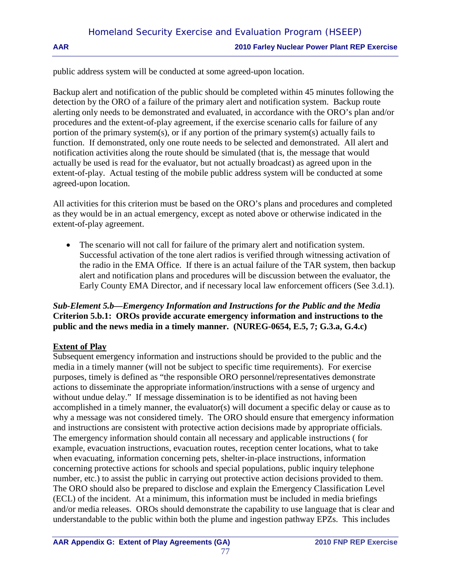public address system will be conducted at some agreed-upon location.

Backup alert and notification of the public should be completed within 45 minutes following the detection by the ORO of a failure of the primary alert and notification system. Backup route alerting only needs to be demonstrated and evaluated, in accordance with the ORO's plan and/or procedures and the extent-of-play agreement, if the exercise scenario calls for failure of any portion of the primary system(s), or if any portion of the primary system(s) actually fails to function. If demonstrated, only one route needs to be selected and demonstrated. All alert and notification activities along the route should be simulated (that is, the message that would actually be used is read for the evaluator, but not actually broadcast) as agreed upon in the extent-of-play. Actual testing of the mobile public address system will be conducted at some agreed-upon location.

All activities for this criterion must be based on the ORO's plans and procedures and completed as they would be in an actual emergency, except as noted above or otherwise indicated in the extent-of-play agreement.

• The scenario will not call for failure of the primary alert and notification system. Successful activation of the tone alert radios is verified through witnessing activation of the radio in the EMA Office. If there is an actual failure of the TAR system, then backup alert and notification plans and procedures will be discussion between the evaluator, the Early County EMA Director, and if necessary local law enforcement officers (See 3.d.1).

# *Sub-Element 5.b—Emergency Information and Instructions for the Public and the Media*  **Criterion 5.b.1: OROs provide accurate emergency information and instructions to the public and the news media in a timely manner. (NUREG-0654, E.5, 7; G.3.a, G.4.c)**

# **Extent of Play**

Subsequent emergency information and instructions should be provided to the public and the media in a timely manner (will not be subject to specific time requirements). For exercise purposes, timely is defined as "the responsible ORO personnel/representatives demonstrate actions to disseminate the appropriate information/instructions with a sense of urgency and without undue delay." If message dissemination is to be identified as not having been accomplished in a timely manner, the evaluator(s) will document a specific delay or cause as to why a message was not considered timely. The ORO should ensure that emergency information and instructions are consistent with protective action decisions made by appropriate officials. The emergency information should contain all necessary and applicable instructions ( for example, evacuation instructions, evacuation routes, reception center locations, what to take when evacuating, information concerning pets, shelter-in-place instructions, information concerning protective actions for schools and special populations, public inquiry telephone number, etc.) to assist the public in carrying out protective action decisions provided to them. The ORO should also be prepared to disclose and explain the Emergency Classification Level (ECL) of the incident. At a minimum, this information must be included in media briefings and/or media releases. OROs should demonstrate the capability to use language that is clear and understandable to the public within both the plume and ingestion pathway EPZs. This includes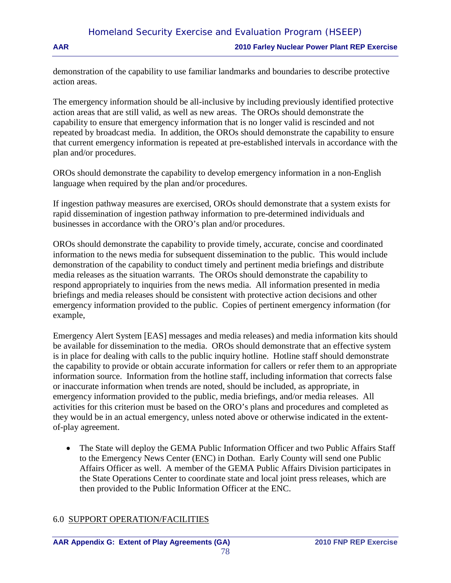demonstration of the capability to use familiar landmarks and boundaries to describe protective action areas.

The emergency information should be all-inclusive by including previously identified protective action areas that are still valid, as well as new areas. The OROs should demonstrate the capability to ensure that emergency information that is no longer valid is rescinded and not repeated by broadcast media. In addition, the OROs should demonstrate the capability to ensure that current emergency information is repeated at pre-established intervals in accordance with the plan and/or procedures.

OROs should demonstrate the capability to develop emergency information in a non-English language when required by the plan and/or procedures.

If ingestion pathway measures are exercised, OROs should demonstrate that a system exists for rapid dissemination of ingestion pathway information to pre-determined individuals and businesses in accordance with the ORO's plan and/or procedures.

OROs should demonstrate the capability to provide timely, accurate, concise and coordinated information to the news media for subsequent dissemination to the public. This would include demonstration of the capability to conduct timely and pertinent media briefings and distribute media releases as the situation warrants. The OROs should demonstrate the capability to respond appropriately to inquiries from the news media. All information presented in media briefings and media releases should be consistent with protective action decisions and other emergency information provided to the public. Copies of pertinent emergency information (for example,

Emergency Alert System [EAS] messages and media releases) and media information kits should be available for dissemination to the media. OROs should demonstrate that an effective system is in place for dealing with calls to the public inquiry hotline. Hotline staff should demonstrate the capability to provide or obtain accurate information for callers or refer them to an appropriate information source. Information from the hotline staff, including information that corrects false or inaccurate information when trends are noted, should be included, as appropriate, in emergency information provided to the public, media briefings, and/or media releases. All activities for this criterion must be based on the ORO's plans and procedures and completed as they would be in an actual emergency, unless noted above or otherwise indicated in the extentof-play agreement.

• The State will deploy the GEMA Public Information Officer and two Public Affairs Staff to the Emergency News Center (ENC) in Dothan. Early County will send one Public Affairs Officer as well. A member of the GEMA Public Affairs Division participates in the State Operations Center to coordinate state and local joint press releases, which are then provided to the Public Information Officer at the ENC.

## 6.0 SUPPORT OPERATION/FACILITIES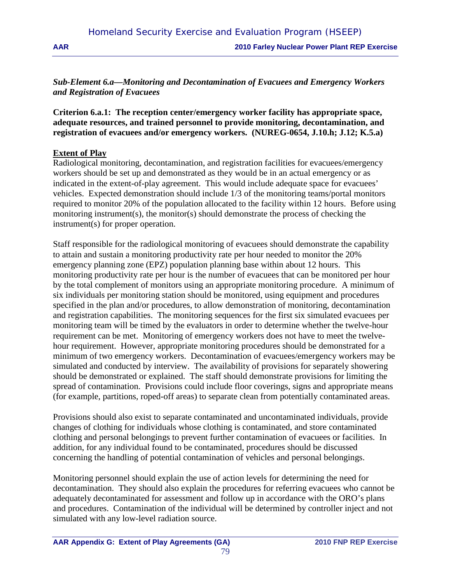## *Sub-Element 6.a—Monitoring and Decontamination of Evacuees and Emergency Workers and Registration of Evacuees*

**Criterion 6.a.1: The reception center/emergency worker facility has appropriate space, adequate resources, and trained personnel to provide monitoring, decontamination, and registration of evacuees and/or emergency workers. (NUREG-0654, J.10.h; J.12; K.5.a)** 

#### **Extent of Play**

Radiological monitoring, decontamination, and registration facilities for evacuees/emergency workers should be set up and demonstrated as they would be in an actual emergency or as indicated in the extent-of-play agreement. This would include adequate space for evacuees' vehicles. Expected demonstration should include 1/3 of the monitoring teams/portal monitors required to monitor 20% of the population allocated to the facility within 12 hours. Before using monitoring instrument(s), the monitor(s) should demonstrate the process of checking the instrument(s) for proper operation.

Staff responsible for the radiological monitoring of evacuees should demonstrate the capability to attain and sustain a monitoring productivity rate per hour needed to monitor the 20% emergency planning zone (EPZ) population planning base within about 12 hours. This monitoring productivity rate per hour is the number of evacuees that can be monitored per hour by the total complement of monitors using an appropriate monitoring procedure. A minimum of six individuals per monitoring station should be monitored, using equipment and procedures specified in the plan and/or procedures, to allow demonstration of monitoring, decontamination and registration capabilities. The monitoring sequences for the first six simulated evacuees per monitoring team will be timed by the evaluators in order to determine whether the twelve-hour requirement can be met. Monitoring of emergency workers does not have to meet the twelvehour requirement. However, appropriate monitoring procedures should be demonstrated for a minimum of two emergency workers. Decontamination of evacuees/emergency workers may be simulated and conducted by interview. The availability of provisions for separately showering should be demonstrated or explained. The staff should demonstrate provisions for limiting the spread of contamination. Provisions could include floor coverings, signs and appropriate means (for example, partitions, roped-off areas) to separate clean from potentially contaminated areas.

Provisions should also exist to separate contaminated and uncontaminated individuals, provide changes of clothing for individuals whose clothing is contaminated, and store contaminated clothing and personal belongings to prevent further contamination of evacuees or facilities. In addition, for any individual found to be contaminated, procedures should be discussed concerning the handling of potential contamination of vehicles and personal belongings.

Monitoring personnel should explain the use of action levels for determining the need for decontamination. They should also explain the procedures for referring evacuees who cannot be adequately decontaminated for assessment and follow up in accordance with the ORO's plans and procedures. Contamination of the individual will be determined by controller inject and not simulated with any low-level radiation source.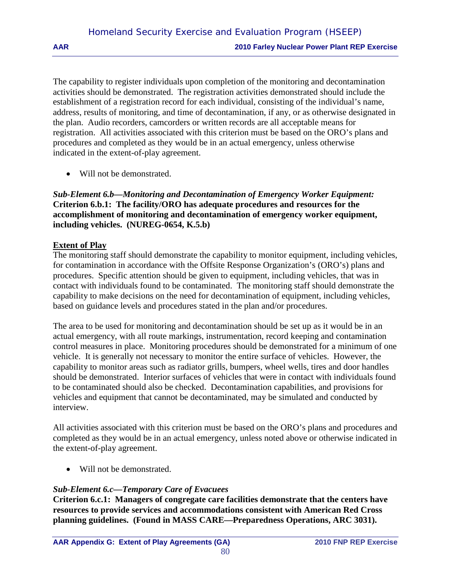The capability to register individuals upon completion of the monitoring and decontamination activities should be demonstrated. The registration activities demonstrated should include the establishment of a registration record for each individual, consisting of the individual's name, address, results of monitoring, and time of decontamination, if any, or as otherwise designated in the plan. Audio recorders, camcorders or written records are all acceptable means for registration. All activities associated with this criterion must be based on the ORO's plans and procedures and completed as they would be in an actual emergency, unless otherwise indicated in the extent-of-play agreement.

• Will not be demonstrated.

*Sub-Element 6.b—Monitoring and Decontamination of Emergency Worker Equipment:*  **Criterion 6.b.1: The facility/ORO has adequate procedures and resources for the accomplishment of monitoring and decontamination of emergency worker equipment, including vehicles. (NUREG-0654, K.5.b)**

# **Extent of Play**

The monitoring staff should demonstrate the capability to monitor equipment, including vehicles, for contamination in accordance with the Offsite Response Organization's (ORO's) plans and procedures. Specific attention should be given to equipment, including vehicles, that was in contact with individuals found to be contaminated. The monitoring staff should demonstrate the capability to make decisions on the need for decontamination of equipment, including vehicles, based on guidance levels and procedures stated in the plan and/or procedures.

The area to be used for monitoring and decontamination should be set up as it would be in an actual emergency, with all route markings, instrumentation, record keeping and contamination control measures in place. Monitoring procedures should be demonstrated for a minimum of one vehicle. It is generally not necessary to monitor the entire surface of vehicles. However, the capability to monitor areas such as radiator grills, bumpers, wheel wells, tires and door handles should be demonstrated. Interior surfaces of vehicles that were in contact with individuals found to be contaminated should also be checked. Decontamination capabilities, and provisions for vehicles and equipment that cannot be decontaminated, may be simulated and conducted by interview.

All activities associated with this criterion must be based on the ORO's plans and procedures and completed as they would be in an actual emergency, unless noted above or otherwise indicated in the extent-of-play agreement.

• Will not be demonstrated.

# *Sub-Element 6.c—Temporary Care of Evacuees*

**Criterion 6.c.1: Managers of congregate care facilities demonstrate that the centers have resources to provide services and accommodations consistent with American Red Cross planning guidelines. (Found in MASS CARE—Preparedness Operations, ARC 3031).**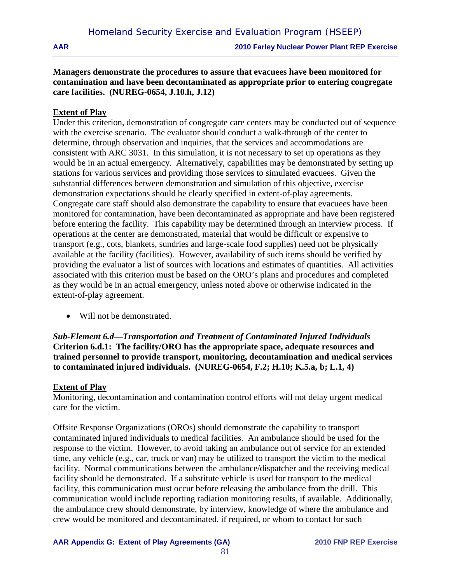**Managers demonstrate the procedures to assure that evacuees have been monitored for contamination and have been decontaminated as appropriate prior to entering congregate care facilities. (NUREG-0654, J.10.h, J.12)** 

## **Extent of Play**

Under this criterion, demonstration of congregate care centers may be conducted out of sequence with the exercise scenario. The evaluator should conduct a walk-through of the center to determine, through observation and inquiries, that the services and accommodations are consistent with ARC 3031. In this simulation, it is not necessary to set up operations as they would be in an actual emergency. Alternatively, capabilities may be demonstrated by setting up stations for various services and providing those services to simulated evacuees. Given the substantial differences between demonstration and simulation of this objective, exercise demonstration expectations should be clearly specified in extent-of-play agreements. Congregate care staff should also demonstrate the capability to ensure that evacuees have been monitored for contamination, have been decontaminated as appropriate and have been registered before entering the facility. This capability may be determined through an interview process. If operations at the center are demonstrated, material that would be difficult or expensive to transport (e.g., cots, blankets, sundries and large-scale food supplies) need not be physically available at the facility (facilities). However, availability of such items should be verified by providing the evaluator a list of sources with locations and estimates of quantities. All activities associated with this criterion must be based on the ORO's plans and procedures and completed as they would be in an actual emergency, unless noted above or otherwise indicated in the extent-of-play agreement.

• Will not be demonstrated.

## *Sub-Element 6.d—Transportation and Treatment of Contaminated Injured Individuals*  **Criterion 6.d.1: The facility/ORO has the appropriate space, adequate resources and trained personnel to provide transport, monitoring, decontamination and medical services to contaminated injured individuals. (NUREG-0654, F.2; H.10; K.5.a, b; L.1, 4)**

#### **Extent of Play**

Monitoring, decontamination and contamination control efforts will not delay urgent medical care for the victim.

Offsite Response Organizations (OROs) should demonstrate the capability to transport contaminated injured individuals to medical facilities. An ambulance should be used for the response to the victim. However, to avoid taking an ambulance out of service for an extended time, any vehicle (e.g., car, truck or van) may be utilized to transport the victim to the medical facility. Normal communications between the ambulance/dispatcher and the receiving medical facility should be demonstrated. If a substitute vehicle is used for transport to the medical facility, this communication must occur before releasing the ambulance from the drill. This communication would include reporting radiation monitoring results, if available. Additionally, the ambulance crew should demonstrate, by interview, knowledge of where the ambulance and crew would be monitored and decontaminated, if required, or whom to contact for such